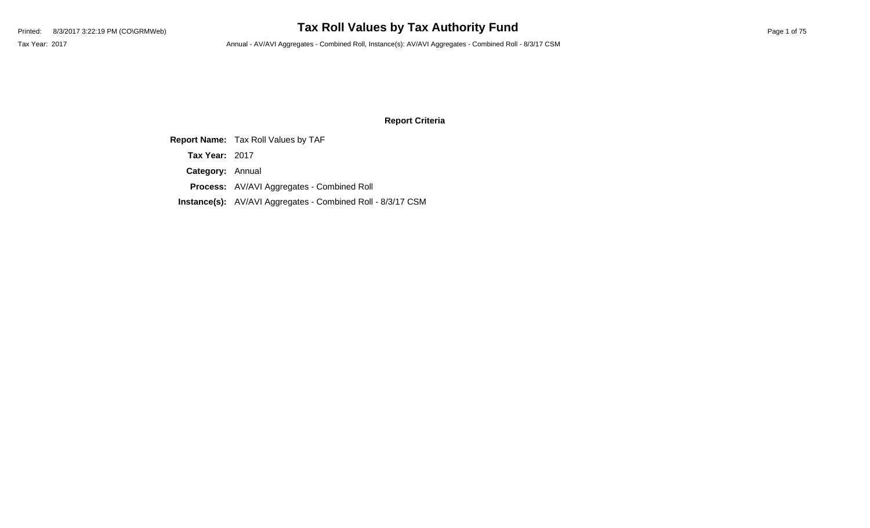# Printed: 8/3/2017 3:22:19 PM (CO\GRMWeb) **Tax Roll Values by Tax Authority Fund** Page 1 of 75

Tax Year: 2017 **Annual - AV/AVI Aggregates - Combined Roll**, Instance(s): AV/AVI Aggregates - Combined Roll - 8/3/17 CSM

#### **Report Criteria**

**Report Name:** Tax Roll Values by TAF

**Tax Year:** 2017

**Category:** Annual

**Process:** AV/AVI Aggregates - Combined Roll

**Instance(s):** AV/AVI Aggregates - Combined Roll - 8/3/17 CSM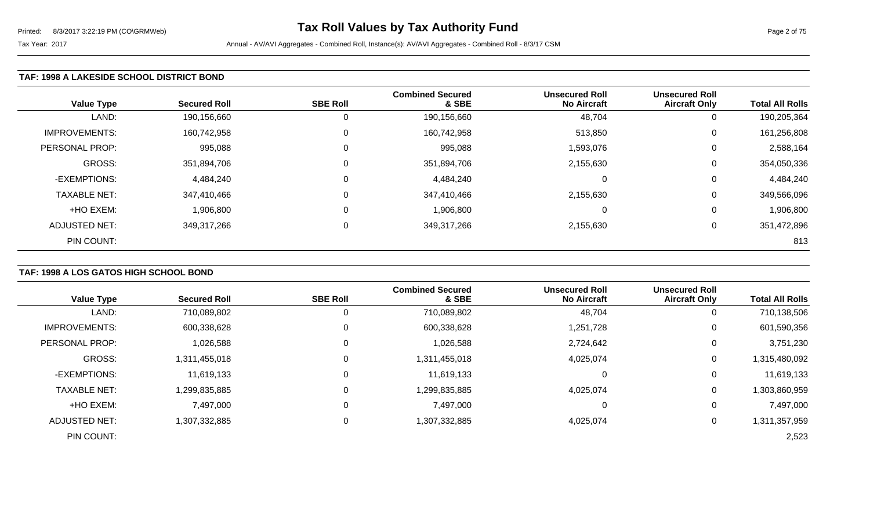#### Tax Year: 2017 **Annual - AV/AVI Aggregates - Combined Roll**, Instance(s): AV/AVI Aggregates - Combined Roll - 8/3/17 CSM

# **TAF: 1998 A LAKESIDE SCHOOL DISTRICT BOND**

| <b>Value Type</b>    | <b>Secured Roll</b> | <b>SBE Roll</b> | <b>Combined Secured</b><br>& SBE | <b>Unsecured Roll</b><br><b>No Aircraft</b> | <b>Unsecured Roll</b><br><b>Aircraft Only</b> | <b>Total All Rolls</b> |
|----------------------|---------------------|-----------------|----------------------------------|---------------------------------------------|-----------------------------------------------|------------------------|
| LAND:                | 190,156,660         |                 | 190,156,660                      | 48,704                                      |                                               | 190,205,364            |
| <b>IMPROVEMENTS:</b> | 160,742,958         |                 | 160,742,958                      | 513,850                                     | 0                                             | 161,256,808            |
| PERSONAL PROP:       | 995,088             |                 | 995,088                          | 1,593,076                                   | 0                                             | 2,588,164              |
| <b>GROSS:</b>        | 351,894,706         |                 | 351,894,706                      | 2,155,630                                   | $\Omega$                                      | 354,050,336            |
| -EXEMPTIONS:         | 4,484,240           |                 | 4,484,240                        | 0                                           | 0                                             | 4,484,240              |
| <b>TAXABLE NET:</b>  | 347,410,466         |                 | 347,410,466                      | 2,155,630                                   | $\Omega$                                      | 349,566,096            |
| +HO EXEM:            | 1,906,800           |                 | 1,906,800                        | 0                                           | 0                                             | 1,906,800              |
| ADJUSTED NET:        | 349,317,266         |                 | 349,317,266                      | 2,155,630                                   | 0                                             | 351,472,896            |
| PIN COUNT:           |                     |                 |                                  |                                             |                                               | 813                    |

# **TAF: 1998 A LOS GATOS HIGH SCHOOL BOND**

| <b>Value Type</b>    | <b>Secured Roll</b> | <b>SBE Roll</b> | <b>Combined Secured</b><br>& SBE | <b>Unsecured Roll</b><br><b>No Aircraft</b> | <b>Unsecured Roll</b><br><b>Aircraft Only</b> | <b>Total All Rolls</b> |
|----------------------|---------------------|-----------------|----------------------------------|---------------------------------------------|-----------------------------------------------|------------------------|
| LAND:                |                     |                 |                                  |                                             |                                               |                        |
|                      | 710,089,802         |                 | 710,089,802                      | 48,704                                      | 0                                             | 710,138,506            |
| <b>IMPROVEMENTS:</b> | 600,338,628         | 0               | 600,338,628                      | 1,251,728                                   | 0                                             | 601,590,356            |
| PERSONAL PROP:       | 1,026,588           | 0               | 1,026,588                        | 2,724,642                                   | 0                                             | 3,751,230              |
| <b>GROSS:</b>        | 1,311,455,018       |                 | 1,311,455,018                    | 4,025,074                                   | $\mathbf 0$                                   | 1,315,480,092          |
| -EXEMPTIONS:         | 11,619,133          | 0               | 11,619,133                       |                                             | 0                                             | 11,619,133             |
| <b>TAXABLE NET:</b>  | 1,299,835,885       |                 | 1,299,835,885                    | 4,025,074                                   | 0                                             | 1,303,860,959          |
| +HO EXEM:            | 7,497,000           | 0               | 7,497,000                        |                                             | 0                                             | 7,497,000              |
| <b>ADJUSTED NET:</b> | 1,307,332,885       |                 | 1,307,332,885                    | 4,025,074                                   | 0                                             | 1,311,357,959          |
| PIN COUNT:           |                     |                 |                                  |                                             |                                               | 2,523                  |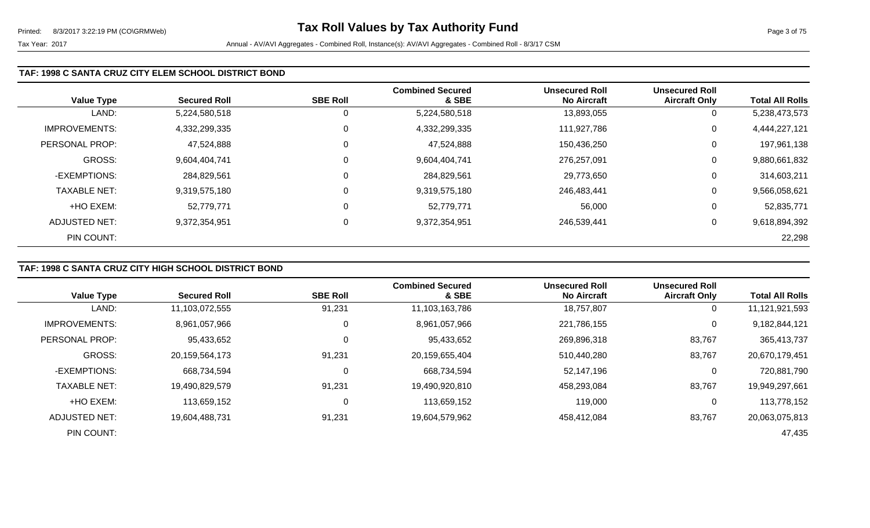| <b>Value Type</b>     | <b>Secured Roll</b> | <b>SBE Roll</b> | <b>Combined Secured</b><br>& SBE | <b>Unsecured Roll</b><br><b>No Aircraft</b> | <b>Unsecured Roll</b><br><b>Aircraft Only</b> | <b>Total All Rolls</b> |
|-----------------------|---------------------|-----------------|----------------------------------|---------------------------------------------|-----------------------------------------------|------------------------|
| LAND:                 | 5,224,580,518       | υ               | 5,224,580,518                    | 13,893,055                                  | 0                                             | 5,238,473,573          |
| <b>IMPROVEMENTS:</b>  | 4,332,299,335       | 0               | 4,332,299,335                    | 111,927,786                                 | 0                                             | 4,444,227,121          |
| <b>PERSONAL PROP:</b> | 47,524,888          | υ               | 47,524,888                       | 150,436,250                                 | $\mathbf{0}$                                  | 197,961,138            |
| <b>GROSS:</b>         | 9,604,404,741       | 0               | 9,604,404,741                    | 276.257.091                                 | 0                                             | 9,880,661,832          |
| -EXEMPTIONS:          | 284,829,561         | υ               | 284,829,561                      | 29,773,650                                  | $\mathbf 0$                                   | 314,603,211            |
| <b>TAXABLE NET:</b>   | 9,319,575,180       | 0               | 9,319,575,180                    | 246,483,441                                 | 0                                             | 9,566,058,621          |
| +HO EXEM:             | 52,779,771          | 0               | 52,779,771                       | 56,000                                      | 0                                             | 52,835,771             |
| ADJUSTED NET:         | 9,372,354,951       | 0               | 9,372,354,951                    | 246,539,441                                 | 0                                             | 9,618,894,392          |
| PIN COUNT:            |                     |                 |                                  |                                             |                                               | 22,298                 |

# **TAF: 1998 C SANTA CRUZ CITY HIGH SCHOOL DISTRICT BOND**

|                       |                     |                 | <b>Combined Secured</b> | <b>Unsecured Roll</b> | <b>Unsecured Roll</b> |                        |
|-----------------------|---------------------|-----------------|-------------------------|-----------------------|-----------------------|------------------------|
| <b>Value Type</b>     | <b>Secured Roll</b> | <b>SBE Roll</b> | & SBE                   | <b>No Aircraft</b>    | <b>Aircraft Only</b>  | <b>Total All Rolls</b> |
| LAND:                 | 11,103,072,555      | 91,231          | 11,103,163,786          | 18,757,807            | $\overline{0}$        | 11,121,921,593         |
| <b>IMPROVEMENTS:</b>  | 8,961,057,966       |                 | 8,961,057,966           | 221,786,155           | 0                     | 9,182,844,121          |
| <b>PERSONAL PROP:</b> | 95,433,652          |                 | 95,433,652              | 269,896,318           | 83,767                | 365,413,737            |
| <b>GROSS:</b>         | 20,159,564,173      | 91,231          | 20,159,655,404          | 510,440,280           | 83,767                | 20,670,179,451         |
| -EXEMPTIONS:          | 668,734,594         |                 | 668,734,594             | 52,147,196            | 0                     | 720,881,790            |
| <b>TAXABLE NET:</b>   | 19.490.829.579      | 91,231          | 19,490,920,810          | 458,293,084           | 83,767                | 19,949,297,661         |
| +HO EXEM:             | 113,659,152         |                 | 113,659,152             | 119,000               | 0                     | 113,778,152            |
| ADJUSTED NET:         | 19,604,488,731      | 91,231          | 19,604,579,962          | 458.412.084           | 83,767                | 20,063,075,813         |
| PIN COUNT:            |                     |                 |                         |                       |                       | 47,435                 |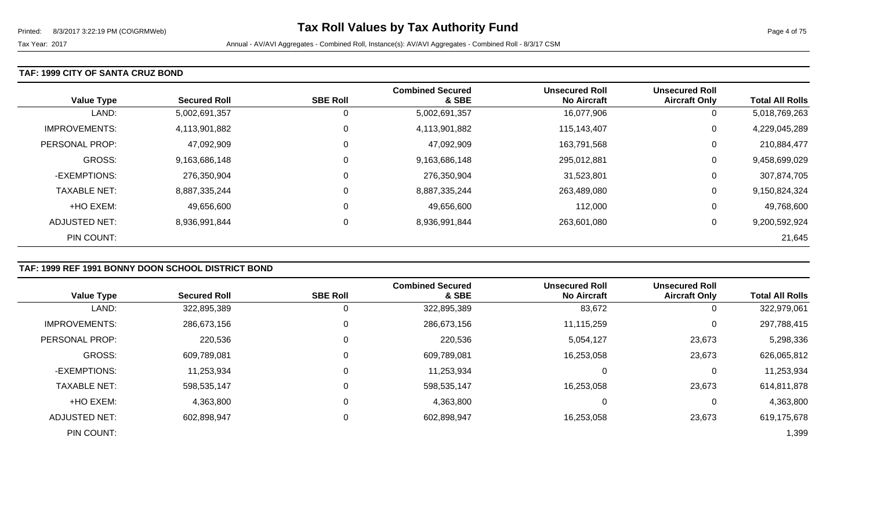#### **TAF: 1999 CITY OF SANTA CRUZ BOND**

| <b>Value Type</b>    | <b>Secured Roll</b> | <b>SBE Roll</b> | <b>Combined Secured</b><br>& SBE | <b>Unsecured Roll</b><br><b>No Aircraft</b> | <b>Unsecured Roll</b><br><b>Aircraft Only</b> | <b>Total All Rolls</b> |
|----------------------|---------------------|-----------------|----------------------------------|---------------------------------------------|-----------------------------------------------|------------------------|
| LAND:                | 5,002,691,357       | 0               | 5,002,691,357                    | 16,077,906                                  | U                                             | 5,018,769,263          |
| <b>IMPROVEMENTS:</b> | 4,113,901,882       | 0               | 4,113,901,882                    | 115,143,407                                 | 0                                             | 4,229,045,289          |
| PERSONAL PROP:       | 47,092,909          | $\mathbf 0$     | 47,092,909                       | 163,791,568                                 | 0                                             | 210,884,477            |
| <b>GROSS:</b>        | 9,163,686,148       | $\mathbf 0$     | 9,163,686,148                    | 295,012,881                                 | 0                                             | 9,458,699,029          |
| -EXEMPTIONS:         | 276,350,904         | 0               | 276,350,904                      | 31,523,801                                  | 0                                             | 307,874,705            |
| <b>TAXABLE NET:</b>  | 8,887,335,244       | 0               | 8,887,335,244                    | 263,489,080                                 | 0                                             | 9,150,824,324          |
| +HO EXEM:            | 49,656,600          | 0               | 49,656,600                       | 112,000                                     | 0                                             | 49,768,600             |
| ADJUSTED NET:        | 8,936,991,844       | 0               | 8,936,991,844                    | 263,601,080                                 | 0                                             | 9,200,592,924          |
| PIN COUNT:           |                     |                 |                                  |                                             |                                               | 21,645                 |

# **TAF: 1999 REF 1991 BONNY DOON SCHOOL DISTRICT BOND**

|                      |                     |                 | <b>Combined Secured</b> | <b>Unsecured Roll</b> | <b>Unsecured Roll</b> |                        |
|----------------------|---------------------|-----------------|-------------------------|-----------------------|-----------------------|------------------------|
| <b>Value Type</b>    | <b>Secured Roll</b> | <b>SBE Roll</b> | & SBE                   | <b>No Aircraft</b>    | <b>Aircraft Only</b>  | <b>Total All Rolls</b> |
| LAND:                | 322,895,389         | 0               | 322,895,389             | 83,672                | $\overline{0}$        | 322,979,061            |
| <b>IMPROVEMENTS:</b> | 286,673,156         | 0               | 286,673,156             | 11,115,259            | 0                     | 297,788,415            |
| PERSONAL PROP:       | 220,536             | $\mathbf 0$     | 220,536                 | 5,054,127             | 23,673                | 5,298,336              |
| <b>GROSS:</b>        | 609,789,081         | $\mathbf{0}$    | 609,789,081             | 16,253,058            | 23,673                | 626,065,812            |
| -EXEMPTIONS:         | 11,253,934          | 0               | 11,253,934              |                       | 0                     | 11,253,934             |
| <b>TAXABLE NET:</b>  | 598,535,147         | 0               | 598,535,147             | 16,253,058            | 23,673                | 614,811,878            |
| +HO EXEM:            | 4,363,800           | 0               | 4,363,800               | 0                     | 0                     | 4,363,800              |
| ADJUSTED NET:        | 602,898,947         | 0               | 602,898,947             | 16,253,058            | 23,673                | 619,175,678            |
| PIN COUNT:           |                     |                 |                         |                       |                       | 1,399                  |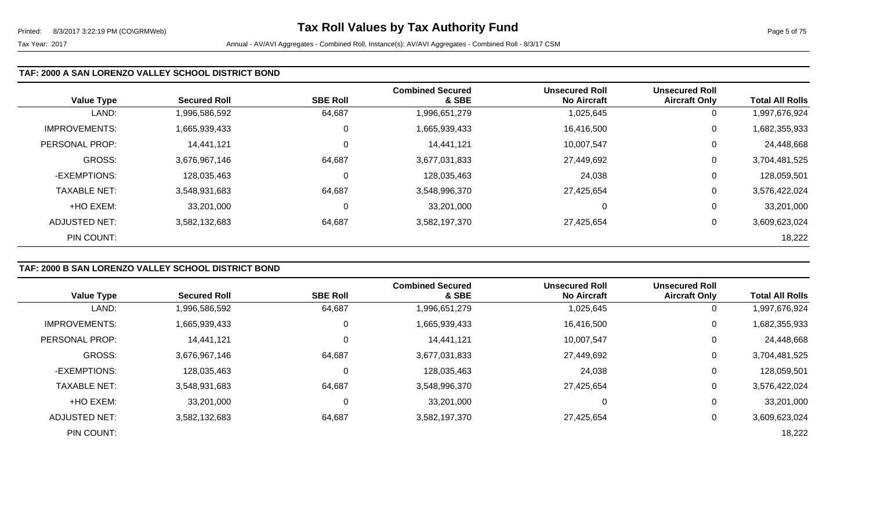### **TAF: 2000 A SAN LORENZO VALLEY SCHOOL DISTRICT BOND**

|                      |                     |                 | <b>Combined Secured</b> | <b>Unsecured Roll</b> | <b>Unsecured Roll</b> |                        |
|----------------------|---------------------|-----------------|-------------------------|-----------------------|-----------------------|------------------------|
| <b>Value Type</b>    | <b>Secured Roll</b> | <b>SBE Roll</b> | & SBE                   | <b>No Aircraft</b>    | <b>Aircraft Only</b>  | <b>Total All Rolls</b> |
| LAND:                | 1,996,586,592       | 64,687          | 1,996,651,279           | 1,025,645             | 0                     | 1,997,676,924          |
| <b>IMPROVEMENTS:</b> | 1,665,939,433       | 0               | 1,665,939,433           | 16,416,500            | 0                     | 1,682,355,933          |
| PERSONAL PROP:       | 14,441,121          |                 | 14,441,121              | 10,007,547            | 0                     | 24,448,668             |
| <b>GROSS:</b>        | 3,676,967,146       | 64,687          | 3,677,031,833           | 27,449,692            | 0                     | 3,704,481,525          |
| -EXEMPTIONS:         | 128,035,463         | C               | 128,035,463             | 24,038                | 0                     | 128,059,501            |
| <b>TAXABLE NET:</b>  | 3,548,931,683       | 64,687          | 3,548,996,370           | 27,425,654            | 0                     | 3,576,422,024          |
| +HO EXEM:            | 33,201,000          | 0               | 33,201,000              | 0                     | 0                     | 33,201,000             |
| ADJUSTED NET:        | 3,582,132,683       | 64,687          | 3,582,197,370           | 27,425,654            | 0                     | 3,609,623,024          |
| PIN COUNT:           |                     |                 |                         |                       |                       | 18,222                 |

# **TAF: 2000 B SAN LORENZO VALLEY SCHOOL DISTRICT BOND**

|                      |                     |                 | <b>Combined Secured</b> | <b>Unsecured Roll</b> | <b>Unsecured Roll</b> |                        |
|----------------------|---------------------|-----------------|-------------------------|-----------------------|-----------------------|------------------------|
| <b>Value Type</b>    | <b>Secured Roll</b> | <b>SBE Roll</b> | & SBE                   | <b>No Aircraft</b>    | <b>Aircraft Only</b>  | <b>Total All Rolls</b> |
| LAND:                | 1,996,586,592       | 64,687          | 1,996,651,279           | 1,025,645             | 0                     | 997,676,924            |
| <b>IMPROVEMENTS:</b> | 1,665,939,433       | 0               | 1,665,939,433           | 16,416,500            | 0                     | 1,682,355,933          |
| PERSONAL PROP:       | 14,441,121          | $\Omega$        | 14,441,121              | 10,007,547            | 0                     | 24,448,668             |
| <b>GROSS:</b>        | 3,676,967,146       | 64,687          | 3,677,031,833           | 27,449,692            | 0                     | 3,704,481,525          |
| -EXEMPTIONS:         | 128,035,463         | 0               | 128,035,463             | 24,038                | 0                     | 128,059,501            |
| <b>TAXABLE NET:</b>  | 3,548,931,683       | 64,687          | 3,548,996,370           | 27,425,654            | 0                     | 3,576,422,024          |
| +HO EXEM:            | 33,201,000          | 0               | 33,201,000              |                       | 0                     | 33,201,000             |
| <b>ADJUSTED NET:</b> | 3,582,132,683       | 64,687          | 3,582,197,370           | 27,425,654            | 0                     | 3,609,623,024          |
| PIN COUNT:           |                     |                 |                         |                       |                       | 18,222                 |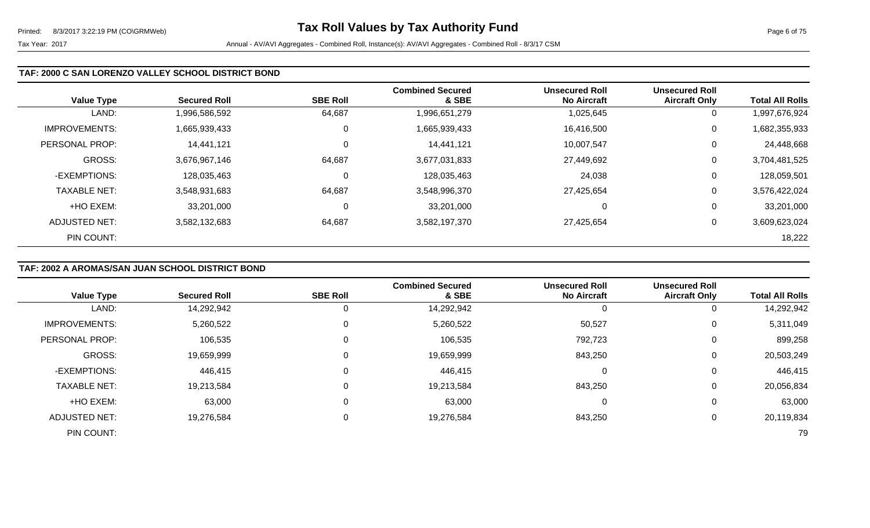| <b>Value Type</b>    | <b>Secured Roll</b> | <b>SBE Roll</b> | <b>Combined Secured</b><br>& SBE | <b>Unsecured Roll</b><br><b>No Aircraft</b> | <b>Unsecured Roll</b><br><b>Aircraft Only</b> | <b>Total All Rolls</b> |
|----------------------|---------------------|-----------------|----------------------------------|---------------------------------------------|-----------------------------------------------|------------------------|
| LAND:                | 1,996,586,592       | 64,687          | 1,996,651,279                    | 1,025,645                                   | 0                                             | 1,997,676,924          |
| <b>IMPROVEMENTS:</b> | 1,665,939,433       | 0               | 1,665,939,433                    | 16,416,500                                  | 0                                             | 1,682,355,933          |
| PERSONAL PROP:       | 14,441,121          | 0               | 14,441,121                       | 10,007,547                                  | 0                                             | 24,448,668             |
| <b>GROSS:</b>        | 3,676,967,146       | 64,687          | 3,677,031,833                    | 27,449,692                                  | $\mathbf 0$                                   | 3,704,481,525          |
| -EXEMPTIONS:         | 128,035,463         | 0               | 128,035,463                      | 24,038                                      | 0                                             | 128,059,501            |
| <b>TAXABLE NET:</b>  | 3,548,931,683       | 64,687          | 3,548,996,370                    | 27,425,654                                  | $\mathbf 0$                                   | 3,576,422,024          |
| +HO EXEM:            | 33,201,000          | 0               | 33,201,000                       |                                             | 0                                             | 33,201,000             |
| ADJUSTED NET:        | 3,582,132,683       | 64,687          | 3,582,197,370                    | 27,425,654                                  | 0                                             | 3,609,623,024          |
| PIN COUNT:           |                     |                 |                                  |                                             |                                               | 18,222                 |

# **TAF: 2002 A AROMAS/SAN JUAN SCHOOL DISTRICT BOND**

|                      |                     |                 | <b>Combined Secured</b> | <b>Unsecured Roll</b> | <b>Unsecured Roll</b> |                        |
|----------------------|---------------------|-----------------|-------------------------|-----------------------|-----------------------|------------------------|
| <b>Value Type</b>    | <b>Secured Roll</b> | <b>SBE Roll</b> | & SBE                   | <b>No Aircraft</b>    | <b>Aircraft Only</b>  | <b>Total All Rolls</b> |
| LAND:                | 14,292,942          |                 | 14,292,942              |                       | 0                     | 14,292,942             |
| <b>IMPROVEMENTS:</b> | 5,260,522           |                 | 5,260,522               | 50,527                | 0                     | 5,311,049              |
| PERSONAL PROP:       | 106,535             |                 | 106,535                 | 792,723               | 0                     | 899,258                |
| GROSS:               | 19,659,999          |                 | 19,659,999              | 843,250               | 0                     | 20,503,249             |
| -EXEMPTIONS:         | 446,415             |                 | 446,415                 |                       | 0                     | 446,415                |
| <b>TAXABLE NET:</b>  | 19,213,584          |                 | 19,213,584              | 843,250               | 0                     | 20,056,834             |
| +HO EXEM:            | 63,000              |                 | 63,000                  |                       | 0                     | 63,000                 |
| <b>ADJUSTED NET:</b> | 19,276,584          |                 | 19,276,584              | 843,250               | 0                     | 20,119,834             |
| PIN COUNT:           |                     |                 |                         |                       |                       | 79                     |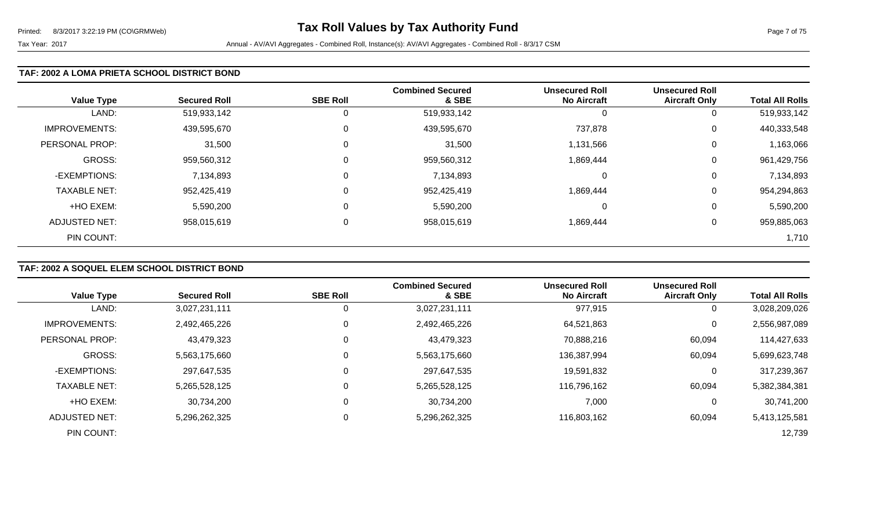#### **TAF: 2002 A LOMA PRIETA SCHOOL DISTRICT BOND**

| <b>Value Type</b>    | <b>Secured Roll</b> | <b>SBE Roll</b> | <b>Combined Secured</b><br>& SBE | <b>Unsecured Roll</b><br><b>No Aircraft</b> | <b>Unsecured Roll</b><br><b>Aircraft Only</b> | <b>Total All Rolls</b> |
|----------------------|---------------------|-----------------|----------------------------------|---------------------------------------------|-----------------------------------------------|------------------------|
| LAND:                | 519,933,142         | 0               | 519,933,142                      | O                                           | 0                                             | 519,933,142            |
| <b>IMPROVEMENTS:</b> | 439,595,670         | $\mathbf 0$     | 439,595,670                      | 737,878                                     | 0                                             | 440,333,548            |
| PERSONAL PROP:       | 31,500              | $\mathbf 0$     | 31,500                           | 1,131,566                                   | 0                                             | 1,163,066              |
| <b>GROSS:</b>        | 959,560,312         | $\mathbf 0$     | 959,560,312                      | 1,869,444                                   | 0                                             | 961,429,756            |
| -EXEMPTIONS:         | 7,134,893           | $\mathbf 0$     | 7,134,893                        | 0                                           | 0                                             | 7,134,893              |
| <b>TAXABLE NET:</b>  | 952,425,419         | $\mathbf 0$     | 952,425,419                      | 1,869,444                                   | 0                                             | 954,294,863            |
| +HO EXEM:            | 5,590,200           | $\mathbf 0$     | 5,590,200                        | 0                                           | 0                                             | 5,590,200              |
| <b>ADJUSTED NET:</b> | 958,015,619         | 0               | 958,015,619                      | 1,869,444                                   | 0                                             | 959,885,063            |
| PIN COUNT:           |                     |                 |                                  |                                             |                                               | 1,710                  |

# **TAF: 2002 A SOQUEL ELEM SCHOOL DISTRICT BOND**

|                      |                     |                 | <b>Combined Secured</b> | <b>Unsecured Roll</b> | <b>Unsecured Roll</b> |                        |
|----------------------|---------------------|-----------------|-------------------------|-----------------------|-----------------------|------------------------|
| <b>Value Type</b>    | <b>Secured Roll</b> | <b>SBE Roll</b> | & SBE                   | <b>No Aircraft</b>    | <b>Aircraft Only</b>  | <b>Total All Rolls</b> |
| LAND:                | 3,027,231,111       | 0               | 3,027,231,111           | 977,915               | 0                     | 3,028,209,026          |
| <b>IMPROVEMENTS:</b> | 2,492,465,226       | 0               | 2,492,465,226           | 64,521,863            | 0                     | 2,556,987,089          |
| PERSONAL PROP:       | 43,479,323          | $\mathbf 0$     | 43,479,323              | 70,888,216            | 60,094                | 114,427,633            |
| <b>GROSS:</b>        | 5,563,175,660       | $\Omega$        | 5,563,175,660           | 136,387,994           | 60,094                | 5,699,623,748          |
| -EXEMPTIONS:         | 297,647,535         | 0               | 297,647,535             | 19,591,832            | 0                     | 317,239,367            |
| <b>TAXABLE NET:</b>  | 5,265,528,125       | 0               | 5,265,528,125           | 116,796,162           | 60,094                | 5,382,384,381          |
| +HO EXEM:            | 30,734,200          | 0               | 30,734,200              | 7,000                 | 0                     | 30,741,200             |
| ADJUSTED NET:        | 5,296,262,325       | $\mathbf 0$     | 5,296,262,325           | 116,803,162           | 60,094                | 5,413,125,581          |
| PIN COUNT:           |                     |                 |                         |                       |                       | 12,739                 |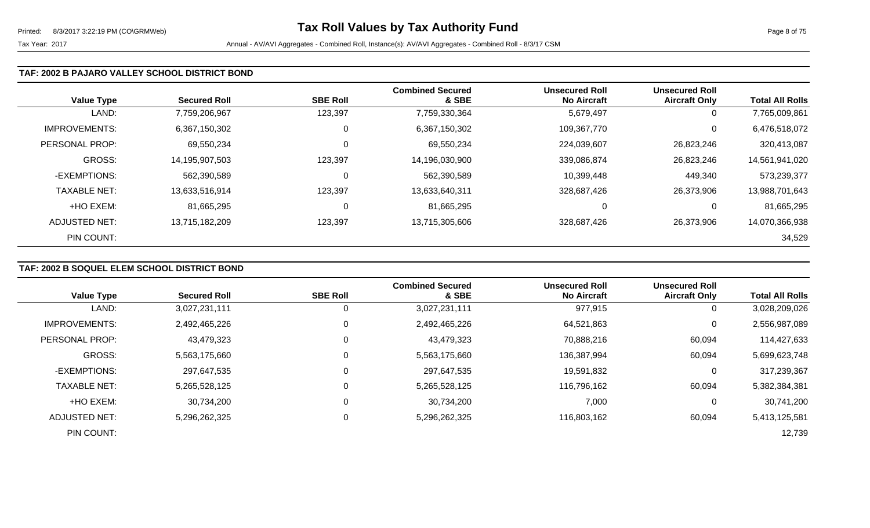#### **TAF: 2002 B PAJARO VALLEY SCHOOL DISTRICT BOND**

| <b>Value Type</b>    | <b>Secured Roll</b> | <b>SBE Roll</b> | <b>Combined Secured</b><br>& SBE | <b>Unsecured Roll</b><br>No Aircraft | <b>Unsecured Roll</b><br><b>Aircraft Only</b> | <b>Total All Rolls</b> |
|----------------------|---------------------|-----------------|----------------------------------|--------------------------------------|-----------------------------------------------|------------------------|
| LAND:                | 7,759,206,967       | 123,397         | 7,759,330,364                    | 5,679,497                            | 0                                             | 7,765,009,861          |
| <b>IMPROVEMENTS:</b> | 6,367,150,302       | 0               | 6,367,150,302                    | 109,367,770                          | 0                                             | 6,476,518,072          |
| PERSONAL PROP:       | 69,550,234          | 0               | 69,550,234                       | 224,039,607                          | 26,823,246                                    | 320,413,087            |
| GROSS:               | 14,195,907,503      | 123,397         | 14,196,030,900                   | 339,086,874                          | 26,823,246                                    | 14,561,941,020         |
| -EXEMPTIONS:         | 562,390,589         | 0               | 562,390,589                      | 10,399,448                           | 449,340                                       | 573,239,377            |
| <b>TAXABLE NET:</b>  | 13,633,516,914      | 123,397         | 13,633,640,311                   | 328,687,426                          | 26,373,906                                    | 13,988,701,643         |
| +HO EXEM:            | 81,665,295          | 0               | 81,665,295                       | 0                                    | 0                                             | 81,665,295             |
| <b>ADJUSTED NET:</b> | 13,715,182,209      | 123,397         | 13,715,305,606                   | 328,687,426                          | 26,373,906                                    | 14,070,366,938         |
| PIN COUNT:           |                     |                 |                                  |                                      |                                               | 34,529                 |

# **TAF: 2002 B SOQUEL ELEM SCHOOL DISTRICT BOND**

|                      |                     |                 | <b>Combined Secured</b> | <b>Unsecured Roll</b> | <b>Unsecured Roll</b> |                        |
|----------------------|---------------------|-----------------|-------------------------|-----------------------|-----------------------|------------------------|
| <b>Value Type</b>    | <b>Secured Roll</b> | <b>SBE Roll</b> | & SBE                   | <b>No Aircraft</b>    | <b>Aircraft Only</b>  | <b>Total All Rolls</b> |
| LAND:                | 3,027,231,111       | 0               | 3,027,231,111           | 977,915               | $\mathbf 0$           | 3,028,209,026          |
| <b>IMPROVEMENTS:</b> | 2,492,465,226       | 0               | 2,492,465,226           | 64,521,863            | 0                     | 2,556,987,089          |
| PERSONAL PROP:       | 43,479,323          | 0               | 43,479,323              | 70,888,216            | 60,094                | 114,427,633            |
| <b>GROSS:</b>        | 5,563,175,660       | 0               | 5,563,175,660           | 136,387,994           | 60,094                | 5,699,623,748          |
| -EXEMPTIONS:         | 297,647,535         | 0               | 297,647,535             | 19,591,832            | 0                     | 317,239,367            |
| <b>TAXABLE NET:</b>  | 5,265,528,125       | 0               | 5,265,528,125           | 116,796,162           | 60,094                | 5,382,384,381          |
| +HO EXEM:            | 30,734,200          | 0               | 30,734,200              | 7,000                 | 0                     | 30,741,200             |
| ADJUSTED NET:        | 5,296,262,325       | $\mathbf 0$     | 5,296,262,325           | 116,803,162           | 60,094                | 5,413,125,581          |
| PIN COUNT:           |                     |                 |                         |                       |                       | 12,739                 |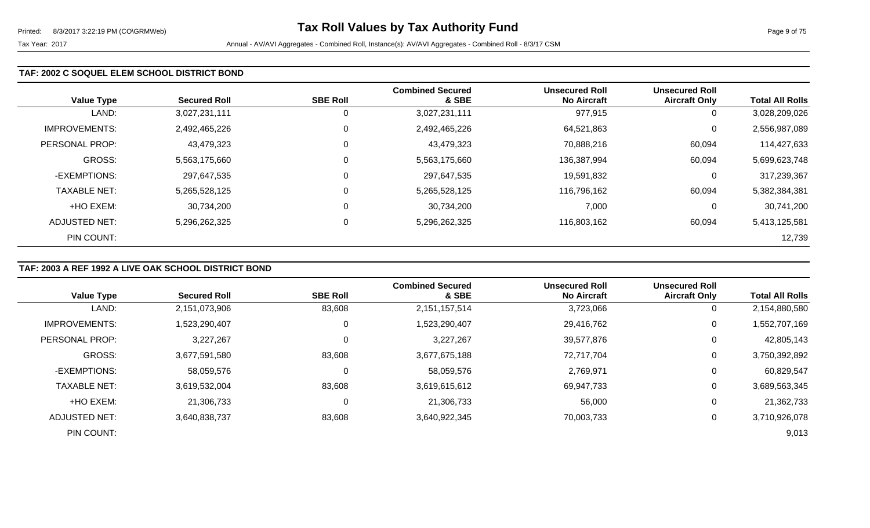### **TAF: 2002 C SOQUEL ELEM SCHOOL DISTRICT BOND**

| <b>Value Type</b>    | <b>Secured Roll</b> | <b>SBE Roll</b> | <b>Combined Secured</b><br>& SBE | <b>Unsecured Roll</b><br><b>No Aircraft</b> | <b>Unsecured Roll</b><br><b>Aircraft Only</b> | <b>Total All Rolls</b> |
|----------------------|---------------------|-----------------|----------------------------------|---------------------------------------------|-----------------------------------------------|------------------------|
| LAND:                | 3,027,231,111       | 0               | 3,027,231,111                    | 977,915                                     | 0                                             | 3,028,209,026          |
| <b>IMPROVEMENTS:</b> | 2,492,465,226       | 0               | 2,492,465,226                    | 64,521,863                                  | 0                                             | 2,556,987,089          |
| PERSONAL PROP:       | 43,479,323          | 0               | 43,479,323                       | 70,888,216                                  | 60,094                                        | 114,427,633            |
| <b>GROSS:</b>        | 5,563,175,660       | 0               | 5,563,175,660                    | 136,387,994                                 | 60,094                                        | 5,699,623,748          |
| -EXEMPTIONS:         | 297,647,535         | 0               | 297,647,535                      | 19,591,832                                  | 0                                             | 317,239,367            |
| <b>TAXABLE NET:</b>  | 5,265,528,125       | $\mathbf 0$     | 5,265,528,125                    | 116,796,162                                 | 60,094                                        | 5,382,384,381          |
| +HO EXEM:            | 30,734,200          | 0               | 30,734,200                       | 7,000                                       | 0                                             | 30,741,200             |
| ADJUSTED NET:        | 5,296,262,325       | 0               | 5,296,262,325                    | 116,803,162                                 | 60,094                                        | 5,413,125,581          |
| PIN COUNT:           |                     |                 |                                  |                                             |                                               | 12,739                 |

# **TAF: 2003 A REF 1992 A LIVE OAK SCHOOL DISTRICT BOND**

|                      |                     |                 | <b>Combined Secured</b> | <b>Unsecured Roll</b> | <b>Unsecured Roll</b> |                        |
|----------------------|---------------------|-----------------|-------------------------|-----------------------|-----------------------|------------------------|
| <b>Value Type</b>    | <b>Secured Roll</b> | <b>SBE Roll</b> | & SBE                   | <b>No Aircraft</b>    | <b>Aircraft Only</b>  | <b>Total All Rolls</b> |
| LAND:                | 2,151,073,906       | 83,608          | 2,151,157,514           | 3,723,066             | 0                     | 2,154,880,580          |
| <b>IMPROVEMENTS:</b> | 1,523,290,407       | 0               | 1,523,290,407           | 29,416,762            | 0                     | 1,552,707,169          |
| PERSONAL PROP:       | 3,227,267           |                 | 3,227,267               | 39,577,876            | $\Omega$              | 42,805,143             |
| GROSS:               | 3,677,591,580       | 83,608          | 3,677,675,188           | 72,717,704            | 0                     | 3,750,392,892          |
| -EXEMPTIONS:         | 58,059,576          | 0               | 58,059,576              | 2,769,971             | 0                     | 60,829,547             |
| <b>TAXABLE NET:</b>  | 3,619,532,004       | 83,608          | 3,619,615,612           | 69,947,733            | 0                     | 3,689,563,345          |
| +HO EXEM:            | 21,306,733          | 0               | 21,306,733              | 56,000                | 0                     | 21,362,733             |
| ADJUSTED NET:        | 3,640,838,737       | 83,608          | 3,640,922,345           | 70,003,733            | 0                     | 3,710,926,078          |
| PIN COUNT:           |                     |                 |                         |                       |                       | 9,013                  |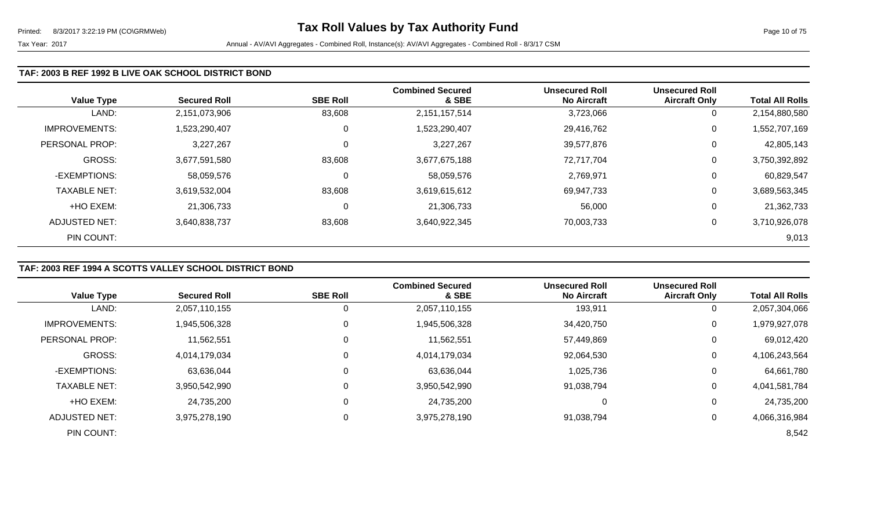#### **TAF: 2003 B REF 1992 B LIVE OAK SCHOOL DISTRICT BOND**

| <b>Value Type</b>    | <b>Secured Roll</b> | <b>SBE Roll</b> | <b>Combined Secured</b><br>& SBE | <b>Unsecured Roll</b><br><b>No Aircraft</b> | <b>Unsecured Roll</b><br><b>Aircraft Only</b> | <b>Total All Rolls</b> |
|----------------------|---------------------|-----------------|----------------------------------|---------------------------------------------|-----------------------------------------------|------------------------|
| LAND:                | 2,151,073,906       | 83,608          | 2,151,157,514                    | 3,723,066                                   | 0                                             | 2,154,880,580          |
| <b>IMPROVEMENTS:</b> | 1,523,290,407       | 0               | 1,523,290,407                    | 29,416,762                                  | $\mathbf 0$                                   | 1,552,707,169          |
| PERSONAL PROP:       | 3,227,267           | 0               | 3,227,267                        | 39,577,876                                  | 0                                             | 42,805,143             |
| GROSS:               | 3,677,591,580       | 83,608          | 3,677,675,188                    | 72,717,704                                  | 0                                             | 3,750,392,892          |
| -EXEMPTIONS:         | 58,059,576          | 0               | 58,059,576                       | 2,769,971                                   | $\mathbf 0$                                   | 60,829,547             |
| <b>TAXABLE NET:</b>  | 3,619,532,004       | 83,608          | 3,619,615,612                    | 69,947,733                                  | 0                                             | 3,689,563,345          |
| +HO EXEM:            | 21,306,733          | 0               | 21,306,733                       | 56,000                                      | 0                                             | 21,362,733             |
| ADJUSTED NET:        | 3,640,838,737       | 83,608          | 3,640,922,345                    | 70,003,733                                  | 0                                             | 3,710,926,078          |
| PIN COUNT:           |                     |                 |                                  |                                             |                                               | 9,013                  |

# **TAF: 2003 REF 1994 A SCOTTS VALLEY SCHOOL DISTRICT BOND**

|                      |                     |                 | <b>Combined Secured</b> | <b>Unsecured Roll</b> | <b>Unsecured Roll</b> |                        |
|----------------------|---------------------|-----------------|-------------------------|-----------------------|-----------------------|------------------------|
| <b>Value Type</b>    | <b>Secured Roll</b> | <b>SBE Roll</b> | & SBE                   | <b>No Aircraft</b>    | <b>Aircraft Only</b>  | <b>Total All Rolls</b> |
| LAND:                | 2,057,110,155       |                 | 2,057,110,155           | 193,911               | 0                     | 2,057,304,066          |
| <b>IMPROVEMENTS:</b> | 1,945,506,328       | 0               | 1,945,506,328           | 34,420,750            | 0                     | 1,979,927,078          |
| PERSONAL PROP:       | 11,562,551          |                 | 11,562,551              | 57,449,869            | 0                     | 69,012,420             |
| <b>GROSS:</b>        | 4,014,179,034       |                 | 4,014,179,034           | 92,064,530            | 0                     | 4,106,243,564          |
| -EXEMPTIONS:         | 63,636,044          |                 | 63,636,044              | 1,025,736             | 0                     | 64,661,780             |
| <b>TAXABLE NET:</b>  | 3,950,542,990       |                 | 3,950,542,990           | 91,038,794            | 0                     | 4,041,581,784          |
| +HO EXEM:            | 24,735,200          |                 | 24,735,200              | 0                     | 0                     | 24,735,200             |
| <b>ADJUSTED NET:</b> | 3,975,278,190       |                 | 3,975,278,190           | 91,038,794            | 0                     | 4,066,316,984          |
| PIN COUNT:           |                     |                 |                         |                       |                       | 8,542                  |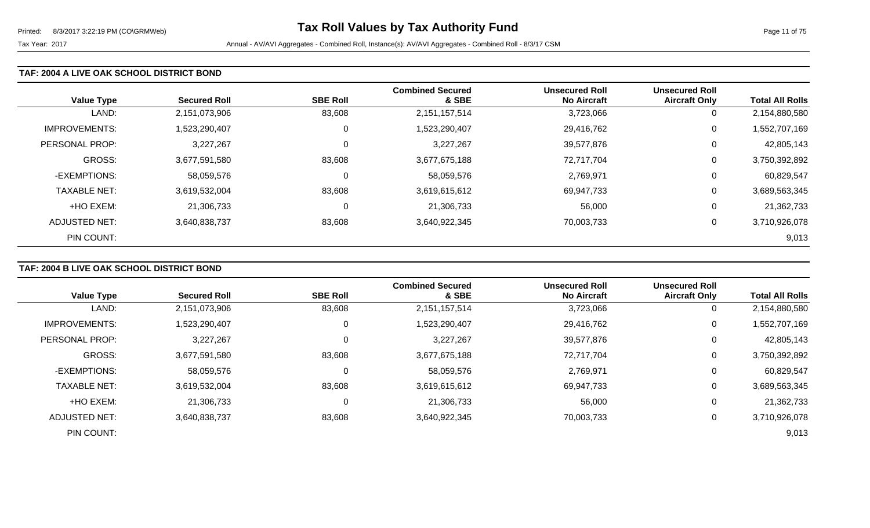#### **TAF: 2004 A LIVE OAK SCHOOL DISTRICT BOND**

| <b>Value Type</b>    | <b>Secured Roll</b> | <b>SBE Roll</b> | <b>Combined Secured</b><br>& SBE | <b>Unsecured Roll</b><br><b>No Aircraft</b> | <b>Unsecured Roll</b><br><b>Aircraft Only</b> | <b>Total All Rolls</b> |
|----------------------|---------------------|-----------------|----------------------------------|---------------------------------------------|-----------------------------------------------|------------------------|
| LAND:                | 2,151,073,906       | 83,608          | 2, 151, 157, 514                 | 3,723,066                                   | 0                                             | 2,154,880,580          |
| <b>IMPROVEMENTS:</b> | 1,523,290,407       | 0               | 1,523,290,407                    | 29,416,762                                  | 0                                             | 1,552,707,169          |
| PERSONAL PROP:       | 3,227,267           | 0               | 3,227,267                        | 39,577,876                                  | 0                                             | 42,805,143             |
| <b>GROSS:</b>        | 3,677,591,580       | 83,608          | 3,677,675,188                    | 72,717,704                                  | 0                                             | 3,750,392,892          |
| -EXEMPTIONS:         | 58,059,576          | 0               | 58,059,576                       | 2,769,971                                   | 0                                             | 60,829,547             |
| <b>TAXABLE NET:</b>  | 3,619,532,004       | 83,608          | 3,619,615,612                    | 69,947,733                                  | 0                                             | 3,689,563,345          |
| +HO EXEM:            | 21,306,733          | 0               | 21,306,733                       | 56,000                                      | 0                                             | 21,362,733             |
| ADJUSTED NET:        | 3,640,838,737       | 83,608          | 3,640,922,345                    | 70,003,733                                  | 0                                             | 3,710,926,078          |
| PIN COUNT:           |                     |                 |                                  |                                             |                                               | 9,013                  |

# **TAF: 2004 B LIVE OAK SCHOOL DISTRICT BOND**

|                      |                     |                 | <b>Combined Secured</b> | <b>Unsecured Roll</b> | <b>Unsecured Roll</b> |                        |
|----------------------|---------------------|-----------------|-------------------------|-----------------------|-----------------------|------------------------|
| <b>Value Type</b>    | <b>Secured Roll</b> | <b>SBE Roll</b> | & SBE                   | <b>No Aircraft</b>    | <b>Aircraft Only</b>  | <b>Total All Rolls</b> |
| LAND:                | 2,151,073,906       | 83,608          | 2,151,157,514           | 3,723,066             | 0                     | 2,154,880,580          |
| <b>IMPROVEMENTS:</b> | 1,523,290,407       | 0               | 1,523,290,407           | 29,416,762            | 0                     | ,552,707,169           |
| PERSONAL PROP:       | 3,227,267           |                 | 3,227,267               | 39,577,876            | 0                     | 42,805,143             |
| <b>GROSS:</b>        | 3,677,591,580       | 83,608          | 3,677,675,188           | 72,717,704            | 0                     | 3,750,392,892          |
| -EXEMPTIONS:         | 58,059,576          |                 | 58,059,576              | 2,769,971             | 0                     | 60,829,547             |
| <b>TAXABLE NET:</b>  | 3,619,532,004       | 83,608          | 3,619,615,612           | 69,947,733            | 0                     | 3,689,563,345          |
| +HO EXEM:            | 21,306,733          |                 | 21,306,733              | 56,000                | 0                     | 21,362,733             |
| ADJUSTED NET:        | 3,640,838,737       | 83,608          | 3,640,922,345           | 70,003,733            | 0                     | 3,710,926,078          |
| PIN COUNT:           |                     |                 |                         |                       |                       | 9,013                  |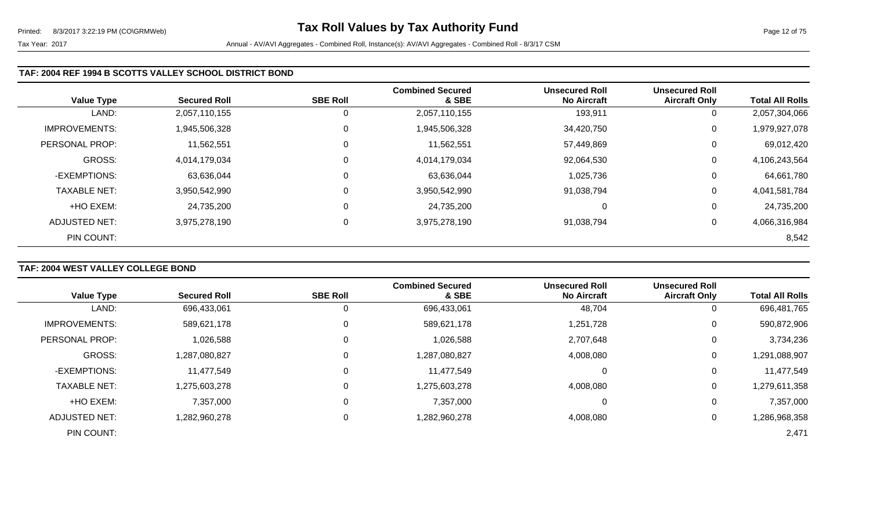| <b>Value Type</b>    | <b>Secured Roll</b> | <b>SBE Roll</b> | <b>Combined Secured</b><br>& SBE | <b>Unsecured Roll</b><br><b>No Aircraft</b> | <b>Unsecured Roll</b><br><b>Aircraft Only</b> | <b>Total All Rolls</b> |
|----------------------|---------------------|-----------------|----------------------------------|---------------------------------------------|-----------------------------------------------|------------------------|
| LAND:                | 2,057,110,155       | 0               | 2,057,110,155                    | 193,911                                     | 0                                             | 2,057,304,066          |
| <b>IMPROVEMENTS:</b> | 1,945,506,328       | 0               | 1,945,506,328                    | 34,420,750                                  | $\overline{0}$                                | 1,979,927,078          |
| PERSONAL PROP:       | 11,562,551          | 0               | 11,562,551                       | 57,449,869                                  | 0                                             | 69,012,420             |
| <b>GROSS:</b>        | 4,014,179,034       | 0               | 4,014,179,034                    | 92,064,530                                  | 0                                             | 4,106,243,564          |
| -EXEMPTIONS:         | 63,636,044          | 0               | 63,636,044                       | 1,025,736                                   | $\mathbf 0$                                   | 64,661,780             |
| <b>TAXABLE NET:</b>  | 3,950,542,990       | 0               | 3,950,542,990                    | 91,038,794                                  | 0                                             | 4,041,581,784          |
| +HO EXEM:            | 24,735,200          | 0               | 24,735,200                       |                                             | $\mathbf 0$                                   | 24,735,200             |
| ADJUSTED NET:        | 3,975,278,190       | 0               | 3,975,278,190                    | 91,038,794                                  | 0                                             | 4,066,316,984          |
| PIN COUNT:           |                     |                 |                                  |                                             |                                               | 8,542                  |

# **TAF: 2004 WEST VALLEY COLLEGE BOND**

|                      |                     |                 | <b>Combined Secured</b> | <b>Unsecured Roll</b> | <b>Unsecured Roll</b> |                        |
|----------------------|---------------------|-----------------|-------------------------|-----------------------|-----------------------|------------------------|
| <b>Value Type</b>    | <b>Secured Roll</b> | <b>SBE Roll</b> | & SBE                   | <b>No Aircraft</b>    | <b>Aircraft Only</b>  | <b>Total All Rolls</b> |
| LAND:                | 696,433,061         | O               | 696,433,061             | 48,704                | 0                     | 696,481,765            |
| <b>IMPROVEMENTS:</b> | 589,621,178         | 0               | 589,621,178             | 1,251,728             | 0                     | 590,872,906            |
| PERSONAL PROP:       | 1,026,588           | 0               | 1,026,588               | 2,707,648             | 0                     | 3,734,236              |
| <b>GROSS:</b>        | 1,287,080,827       | 0               | 1,287,080,827           | 4,008,080             | 0                     | 1,291,088,907          |
| -EXEMPTIONS:         | 11,477,549          | 0               | 11,477,549              |                       | 0                     | 11,477,549             |
| <b>TAXABLE NET:</b>  | 1,275,603,278       | $\mathbf{0}$    | 1,275,603,278           | 4,008,080             | 0                     | 1,279,611,358          |
| +HO EXEM:            | 7,357,000           | $\mathbf 0$     | 7,357,000               |                       | 0                     | 7,357,000              |
| <b>ADJUSTED NET:</b> | 1,282,960,278       | 0               | 1,282,960,278           | 4,008,080             | 0                     | 1,286,968,358          |
| PIN COUNT:           |                     |                 |                         |                       |                       | 2,471                  |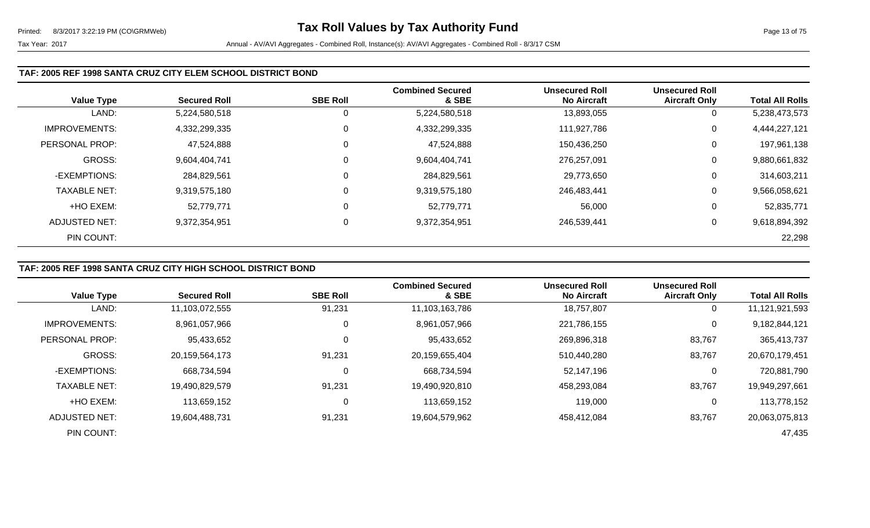#### **TAF: 2005 REF 1998 SANTA CRUZ CITY ELEM SCHOOL DISTRICT BOND**

|                      |                     |                 | <b>Combined Secured</b> | <b>Unsecured Roll</b> | <b>Unsecured Roll</b> |                        |
|----------------------|---------------------|-----------------|-------------------------|-----------------------|-----------------------|------------------------|
| <b>Value Type</b>    | <b>Secured Roll</b> | <b>SBE Roll</b> | & SBE                   | <b>No Aircraft</b>    | <b>Aircraft Only</b>  | <b>Total All Rolls</b> |
| LAND:                | 5,224,580,518       |                 | 5,224,580,518           | 13,893,055            | 0                     | 5,238,473,573          |
| <b>IMPROVEMENTS:</b> | 4,332,299,335       | 0               | 4,332,299,335           | 111,927,786           | 0                     | 4,444,227,121          |
| PERSONAL PROP:       | 47,524,888          | 0               | 47,524,888              | 150,436,250           | 0                     | 197,961,138            |
| <b>GROSS:</b>        | 9,604,404,741       | 0               | 9,604,404,741           | 276,257,091           | 0                     | 9,880,661,832          |
| -EXEMPTIONS:         | 284,829,561         |                 | 284,829,561             | 29,773,650            | 0                     | 314,603,211            |
| <b>TAXABLE NET:</b>  | 9,319,575,180       | $\mathbf 0$     | 9,319,575,180           | 246,483,441           | 0                     | 9,566,058,621          |
| +HO EXEM:            | 52,779,771          | $\Omega$        | 52,779,771              | 56,000                | 0                     | 52,835,771             |
| ADJUSTED NET:        | 9,372,354,951       | 0               | 9,372,354,951           | 246,539,441           | 0                     | 9,618,894,392          |
| PIN COUNT:           |                     |                 |                         |                       |                       | 22,298                 |

# **TAF: 2005 REF 1998 SANTA CRUZ CITY HIGH SCHOOL DISTRICT BOND**

|                       |                     |                 | <b>Combined Secured</b> | <b>Unsecured Roll</b> | <b>Unsecured Roll</b> |                        |
|-----------------------|---------------------|-----------------|-------------------------|-----------------------|-----------------------|------------------------|
| <b>Value Type</b>     | <b>Secured Roll</b> | <b>SBE Roll</b> | & SBE                   | <b>No Aircraft</b>    | <b>Aircraft Only</b>  | <b>Total All Rolls</b> |
| LAND:                 | 11,103,072,555      | 91,231          | 11,103,163,786          | 18,757,807            | $\mathbf 0$           | 11,121,921,593         |
| <b>IMPROVEMENTS:</b>  | 8,961,057,966       | 0               | 8,961,057,966           | 221,786,155           | 0                     | 9,182,844,121          |
| <b>PERSONAL PROP:</b> | 95,433,652          | 0               | 95,433,652              | 269,896,318           | 83,767                | 365,413,737            |
| <b>GROSS:</b>         | 20,159,564,173      | 91,231          | 20,159,655,404          | 510,440,280           | 83,767                | 20,670,179,451         |
| -EXEMPTIONS:          | 668,734,594         | 0               | 668,734,594             | 52,147,196            | 0                     | 720,881,790            |
| <b>TAXABLE NET:</b>   | 19,490,829,579      | 91,231          | 19,490,920,810          | 458,293,084           | 83,767                | 19,949,297,661         |
| +HO EXEM:             | 113,659,152         | 0               | 113,659,152             | 119,000               | 0                     | 113,778,152            |
| ADJUSTED NET:         | 19,604,488,731      | 91,231          | 19,604,579,962          | 458,412,084           | 83,767                | 20,063,075,813         |
| PIN COUNT:            |                     |                 |                         |                       |                       | 47,435                 |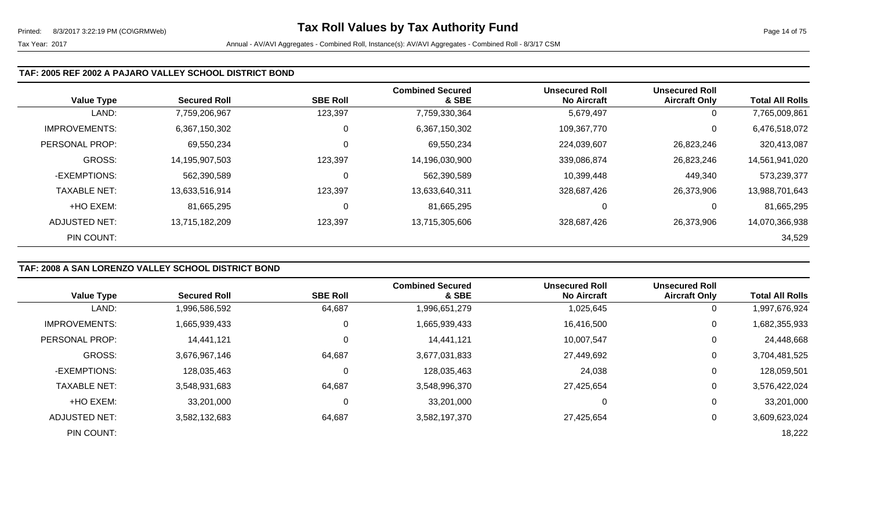#### **TAF: 2005 REF 2002 A PAJARO VALLEY SCHOOL DISTRICT BOND**

| <b>Value Type</b>    | <b>Secured Roll</b> | <b>SBE Roll</b> | <b>Combined Secured</b><br>& SBE | <b>Unsecured Roll</b><br><b>No Aircraft</b> | <b>Unsecured Roll</b><br><b>Aircraft Only</b> | <b>Total All Rolls</b> |
|----------------------|---------------------|-----------------|----------------------------------|---------------------------------------------|-----------------------------------------------|------------------------|
| LAND:                | 7,759,206,967       | 123,397         | 7,759,330,364                    | 5,679,497                                   | 0                                             | 7,765,009,861          |
| <b>IMPROVEMENTS:</b> | 6,367,150,302       | 0               | 6,367,150,302                    | 109,367,770                                 | 0                                             | 6,476,518,072          |
| PERSONAL PROP:       | 69,550,234          | 0               | 69,550,234                       | 224,039,607                                 | 26,823,246                                    | 320,413,087            |
| GROSS:               | 14,195,907,503      | 123,397         | 14,196,030,900                   | 339,086,874                                 | 26,823,246                                    | 14,561,941,020         |
| -EXEMPTIONS:         | 562,390,589         | 0               | 562,390,589                      | 10,399,448                                  | 449,340                                       | 573,239,377            |
| <b>TAXABLE NET:</b>  | 13,633,516,914      | 123,397         | 13,633,640,311                   | 328,687,426                                 | 26,373,906                                    | 13,988,701,643         |
| +HO EXEM:            | 81,665,295          | 0               | 81,665,295                       |                                             | 0                                             | 81,665,295             |
| ADJUSTED NET:        | 13,715,182,209      | 123,397         | 13,715,305,606                   | 328,687,426                                 | 26,373,906                                    | 14,070,366,938         |
| PIN COUNT:           |                     |                 |                                  |                                             |                                               | 34,529                 |

# **TAF: 2008 A SAN LORENZO VALLEY SCHOOL DISTRICT BOND**

|                      |                     |                 | <b>Combined Secured</b> | <b>Unsecured Roll</b> | <b>Unsecured Roll</b> |                        |
|----------------------|---------------------|-----------------|-------------------------|-----------------------|-----------------------|------------------------|
| <b>Value Type</b>    | <b>Secured Roll</b> | <b>SBE Roll</b> | & SBE                   | <b>No Aircraft</b>    | <b>Aircraft Only</b>  | <b>Total All Rolls</b> |
| LAND:                | 1,996,586,592       | 64,687          | 1,996,651,279           | 1,025,645             | 0                     | 1,997,676,924          |
| <b>IMPROVEMENTS:</b> | 1,665,939,433       | 0               | 1,665,939,433           | 16,416,500            | 0                     | 1,682,355,933          |
| PERSONAL PROP:       | 14,441,121          | 0               | 14,441,121              | 10,007,547            | 0                     | 24,448,668             |
| <b>GROSS:</b>        | 3,676,967,146       | 64,687          | 3,677,031,833           | 27,449,692            | 0                     | 3,704,481,525          |
| -EXEMPTIONS:         | 128,035,463         | $\mathbf 0$     | 128,035,463             | 24,038                | 0                     | 128,059,501            |
| <b>TAXABLE NET:</b>  | 3,548,931,683       | 64,687          | 3,548,996,370           | 27,425,654            | 0                     | 3,576,422,024          |
| +HO EXEM:            | 33,201,000          | 0               | 33,201,000              | 0                     | 0                     | 33,201,000             |
| ADJUSTED NET:        | 3,582,132,683       | 64,687          | 3,582,197,370           | 27,425,654            | 0                     | 3,609,623,024          |
| PIN COUNT:           |                     |                 |                         |                       |                       | 18,222                 |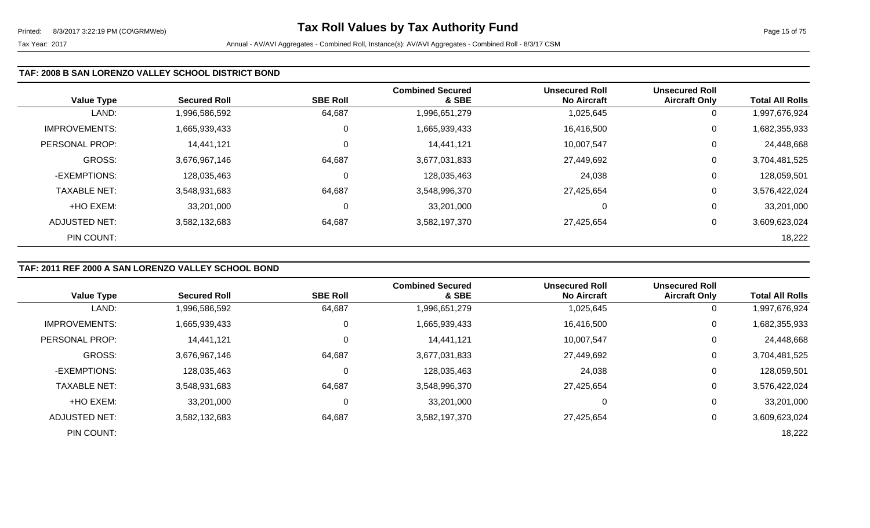### **TAF: 2008 B SAN LORENZO VALLEY SCHOOL DISTRICT BOND**

| <b>Value Type</b>    | <b>Secured Roll</b> | <b>SBE Roll</b> | <b>Combined Secured</b><br>& SBE | <b>Unsecured Roll</b><br><b>No Aircraft</b> | <b>Unsecured Roll</b><br><b>Aircraft Only</b> | <b>Total All Rolls</b> |
|----------------------|---------------------|-----------------|----------------------------------|---------------------------------------------|-----------------------------------------------|------------------------|
| LAND:                | 1,996,586,592       | 64,687          | 1,996,651,279                    | 1,025,645                                   | 0                                             | 1,997,676,924          |
| <b>IMPROVEMENTS:</b> | 1,665,939,433       | 0               | 1,665,939,433                    | 16,416,500                                  | 0                                             | 1,682,355,933          |
| PERSONAL PROP:       | 14,441,121          | 0               | 14,441,121                       | 10,007,547                                  | 0                                             | 24,448,668             |
| <b>GROSS:</b>        | 3,676,967,146       | 64,687          | 3,677,031,833                    | 27,449,692                                  | 0                                             | 3,704,481,525          |
| -EXEMPTIONS:         | 128,035,463         | 0               | 128,035,463                      | 24,038                                      | 0                                             | 128,059,501            |
| <b>TAXABLE NET:</b>  | 3,548,931,683       | 64,687          | 3,548,996,370                    | 27,425,654                                  | 0                                             | 3,576,422,024          |
| +HO EXEM:            | 33,201,000          | 0               | 33,201,000                       | 0                                           | 0                                             | 33,201,000             |
| <b>ADJUSTED NET:</b> | 3,582,132,683       | 64,687          | 3,582,197,370                    | 27,425,654                                  | 0                                             | 3,609,623,024          |
| PIN COUNT:           |                     |                 |                                  |                                             |                                               | 18,222                 |

# **TAF: 2011 REF 2000 A SAN LORENZO VALLEY SCHOOL BOND**

|                      |                     |                 | <b>Combined Secured</b> | <b>Unsecured Roll</b> | <b>Unsecured Roll</b> |                        |
|----------------------|---------------------|-----------------|-------------------------|-----------------------|-----------------------|------------------------|
| <b>Value Type</b>    | <b>Secured Roll</b> | <b>SBE Roll</b> | & SBE                   | <b>No Aircraft</b>    | <b>Aircraft Only</b>  | <b>Total All Rolls</b> |
| LAND:                | 1,996,586,592       | 64,687          | 1,996,651,279           | 1,025,645             | $\overline{0}$        | ,997,676,924           |
| <b>IMPROVEMENTS:</b> | 1,665,939,433       | 0               | 1,665,939,433           | 16,416,500            | 0                     | 1,682,355,933          |
| PERSONAL PROP:       | 14,441,121          | $\mathbf 0$     | 14,441,121              | 10,007,547            | 0                     | 24,448,668             |
| <b>GROSS:</b>        | 3,676,967,146       | 64,687          | 3,677,031,833           | 27,449,692            | $\overline{0}$        | 3,704,481,525          |
| -EXEMPTIONS:         | 128,035,463         | $\Omega$        | 128,035,463             | 24,038                | 0                     | 128,059,501            |
| <b>TAXABLE NET:</b>  | 3,548,931,683       | 64,687          | 3,548,996,370           | 27,425,654            | 0                     | 3,576,422,024          |
| +HO EXEM:            | 33,201,000          | 0               | 33,201,000              | 0                     | $\mathbf 0$           | 33,201,000             |
| ADJUSTED NET:        | 3,582,132,683       | 64,687          | 3,582,197,370           | 27,425,654            | 0                     | 3,609,623,024          |
| PIN COUNT:           |                     |                 |                         |                       |                       | 18,222                 |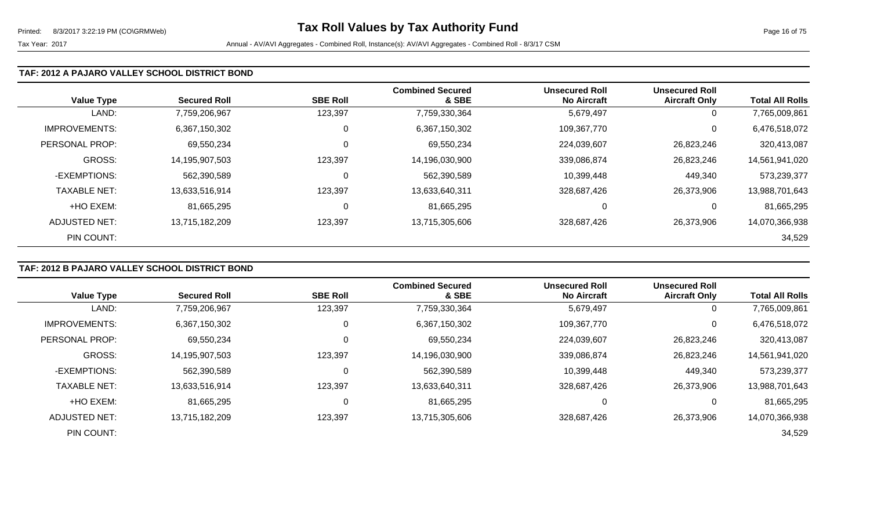### **TAF: 2012 A PAJARO VALLEY SCHOOL DISTRICT BOND**

| <b>Value Type</b>    | <b>Secured Roll</b> | <b>SBE Roll</b> | <b>Combined Secured</b><br>& SBE | <b>Unsecured Roll</b><br><b>No Aircraft</b> | <b>Unsecured Roll</b><br><b>Aircraft Only</b> | <b>Total All Rolls</b> |
|----------------------|---------------------|-----------------|----------------------------------|---------------------------------------------|-----------------------------------------------|------------------------|
| LAND:                | 7,759,206,967       | 123,397         | 7,759,330,364                    | 5,679,497                                   | 0                                             | 7,765,009,861          |
| <b>IMPROVEMENTS:</b> | 6,367,150,302       | 0               | 6,367,150,302                    | 109,367,770                                 | 0                                             | 6,476,518,072          |
| PERSONAL PROP:       | 69,550,234          | 0               | 69,550,234                       | 224,039,607                                 | 26,823,246                                    | 320,413,087            |
| <b>GROSS:</b>        | 14,195,907,503      | 123,397         | 14,196,030,900                   | 339,086,874                                 | 26,823,246                                    | 14,561,941,020         |
| -EXEMPTIONS:         | 562,390,589         | 0               | 562,390,589                      | 10,399,448                                  | 449,340                                       | 573,239,377            |
| <b>TAXABLE NET:</b>  | 13,633,516,914      | 123,397         | 13,633,640,311                   | 328,687,426                                 | 26,373,906                                    | 13,988,701,643         |
| +HO EXEM:            | 81,665,295          | 0               | 81,665,295                       | 0                                           | 0                                             | 81,665,295             |
| <b>ADJUSTED NET:</b> | 13,715,182,209      | 123,397         | 13,715,305,606                   | 328,687,426                                 | 26,373,906                                    | 14,070,366,938         |
| PIN COUNT:           |                     |                 |                                  |                                             |                                               | 34,529                 |

# **TAF: 2012 B PAJARO VALLEY SCHOOL DISTRICT BOND**

|                       |                     |                 | <b>Combined Secured</b> | <b>Unsecured Roll</b> | <b>Unsecured Roll</b> |                        |
|-----------------------|---------------------|-----------------|-------------------------|-----------------------|-----------------------|------------------------|
| <b>Value Type</b>     | <b>Secured Roll</b> | <b>SBE Roll</b> | & SBE                   | <b>No Aircraft</b>    | <b>Aircraft Only</b>  | <b>Total All Rolls</b> |
| LAND:                 | 7,759,206,967       | 123,397         | 7,759,330,364           | 5,679,497             | $\overline{0}$        | 7,765,009,861          |
| <b>IMPROVEMENTS:</b>  | 6,367,150,302       | 0               | 6,367,150,302           | 109,367,770           | 0                     | 6,476,518,072          |
| <b>PERSONAL PROP:</b> | 69,550,234          | 0               | 69,550,234              | 224,039,607           | 26,823,246            | 320,413,087            |
| GROSS:                | 14,195,907,503      | 123,397         | 14,196,030,900          | 339,086,874           | 26,823,246            | 14,561,941,020         |
| -EXEMPTIONS:          | 562.390.589         | 0               | 562,390,589             | 10,399,448            | 449,340               | 573,239,377            |
| <b>TAXABLE NET:</b>   | 13,633,516,914      | 123,397         | 13,633,640,311          | 328,687,426           | 26,373,906            | 13,988,701,643         |
| +HO EXEM:             | 81,665,295          | 0               | 81,665,295              | 0                     | $\overline{0}$        | 81,665,295             |
| ADJUSTED NET:         | 13,715,182,209      | 123,397         | 13,715,305,606          | 328,687,426           | 26,373,906            | 14,070,366,938         |
| PIN COUNT:            |                     |                 |                         |                       |                       | 34,529                 |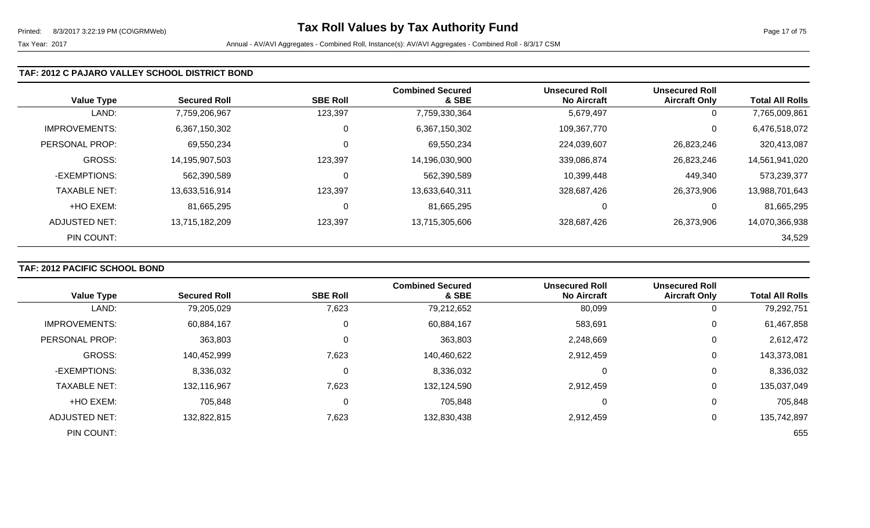### **TAF: 2012 C PAJARO VALLEY SCHOOL DISTRICT BOND**

| <b>Value Type</b>    | <b>Secured Roll</b> | <b>SBE Roll</b> | <b>Combined Secured</b><br>& SBE | <b>Unsecured Roll</b><br><b>No Aircraft</b> | <b>Unsecured Roll</b><br><b>Aircraft Only</b> | <b>Total All Rolls</b> |
|----------------------|---------------------|-----------------|----------------------------------|---------------------------------------------|-----------------------------------------------|------------------------|
| LAND:                | 7,759,206,967       | 123,397         | 7,759,330,364                    | 5,679,497                                   | 0                                             | 7,765,009,861          |
| <b>IMPROVEMENTS:</b> | 6,367,150,302       | 0               | 6,367,150,302                    | 109,367,770                                 | 0                                             | 6,476,518,072          |
| PERSONAL PROP:       | 69,550,234          | 0               | 69,550,234                       | 224,039,607                                 | 26,823,246                                    | 320,413,087            |
| <b>GROSS:</b>        | 14,195,907,503      | 123,397         | 14,196,030,900                   | 339,086,874                                 | 26,823,246                                    | 14,561,941,020         |
| -EXEMPTIONS:         | 562,390,589         | 0               | 562,390,589                      | 10,399,448                                  | 449,340                                       | 573,239,377            |
| <b>TAXABLE NET:</b>  | 13,633,516,914      | 123,397         | 13,633,640,311                   | 328,687,426                                 | 26,373,906                                    | 13,988,701,643         |
| +HO EXEM:            | 81,665,295          | $\mathbf{0}$    | 81,665,295                       | 0                                           | 0                                             | 81,665,295             |
| ADJUSTED NET:        | 13,715,182,209      | 123,397         | 13,715,305,606                   | 328,687,426                                 | 26,373,906                                    | 14,070,366,938         |
| PIN COUNT:           |                     |                 |                                  |                                             |                                               | 34,529                 |

# **TAF: 2012 PACIFIC SCHOOL BOND**

|                      |                     |                 | <b>Combined Secured</b> | <b>Unsecured Roll</b> | <b>Unsecured Roll</b> |                        |
|----------------------|---------------------|-----------------|-------------------------|-----------------------|-----------------------|------------------------|
| <b>Value Type</b>    | <b>Secured Roll</b> | <b>SBE Roll</b> | & SBE                   | <b>No Aircraft</b>    | <b>Aircraft Only</b>  | <b>Total All Rolls</b> |
| LAND:                | 79,205,029          | 7,623           | 79,212,652              | 80,099                | 0                     | 79,292,751             |
| <b>IMPROVEMENTS:</b> | 60,884,167          | 0               | 60,884,167              | 583,691               | $\overline{0}$        | 61,467,858             |
| PERSONAL PROP:       | 363,803             | 0               | 363,803                 | 2,248,669             | 0                     | 2,612,472              |
| <b>GROSS:</b>        | 140,452,999         | 7,623           | 140,460,622             | 2,912,459             | 0                     | 143,373,081            |
| -EXEMPTIONS:         | 8,336,032           | 0               | 8,336,032               |                       | 0                     | 8,336,032              |
| <b>TAXABLE NET:</b>  | 132,116,967         | 7,623           | 132,124,590             | 2,912,459             | $\mathbf 0$           | 135,037,049            |
| +HO EXEM:            | 705,848             | $\Omega$        | 705,848                 |                       | 0                     | 705,848                |
| <b>ADJUSTED NET:</b> | 132,822,815         | 7,623           | 132,830,438             | 2,912,459             | 0                     | 135,742,897            |
| PIN COUNT:           |                     |                 |                         |                       |                       | 655                    |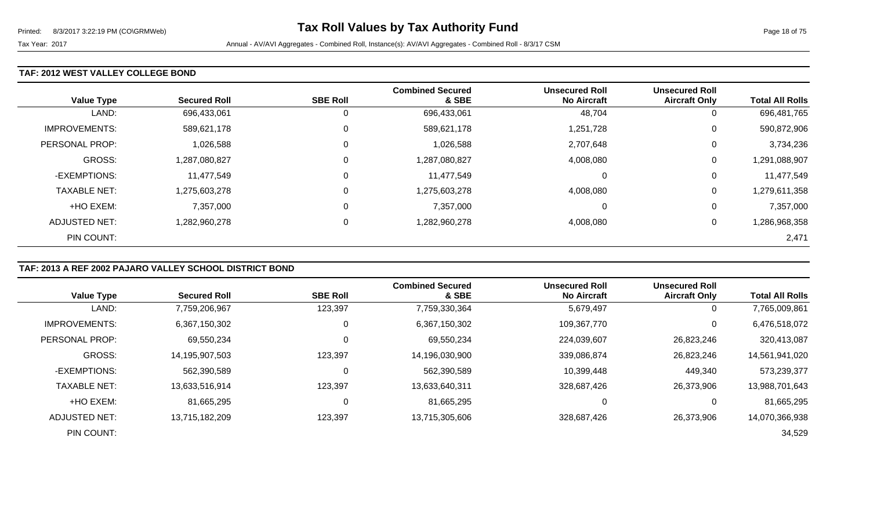#### **TAF: 2012 WEST VALLEY COLLEGE BOND**

| <b>Value Type</b>    | <b>Secured Roll</b> | <b>SBE Roll</b> | <b>Combined Secured</b><br>& SBE | <b>Unsecured Roll</b><br><b>No Aircraft</b> | <b>Unsecured Roll</b><br><b>Aircraft Only</b> | <b>Total All Rolls</b> |
|----------------------|---------------------|-----------------|----------------------------------|---------------------------------------------|-----------------------------------------------|------------------------|
| LAND:                | 696,433,061         | 0               | 696,433,061                      | 48,704                                      | 0                                             | 696,481,765            |
| <b>IMPROVEMENTS:</b> | 589,621,178         | $\mathbf 0$     | 589,621,178                      | 1,251,728                                   | 0                                             | 590,872,906            |
| PERSONAL PROP:       | 1,026,588           | $\mathbf 0$     | 1,026,588                        | 2,707,648                                   | 0                                             | 3,734,236              |
| <b>GROSS:</b>        | 1,287,080,827       | $\mathbf 0$     | 1,287,080,827                    | 4,008,080                                   | 0                                             | 1,291,088,907          |
| -EXEMPTIONS:         | 11,477,549          | 0               | 11,477,549                       | 0                                           | 0                                             | 11,477,549             |
| <b>TAXABLE NET:</b>  | 1,275,603,278       | $\mathbf 0$     | 1,275,603,278                    | 4,008,080                                   | 0                                             | 1,279,611,358          |
| +HO EXEM:            | 7,357,000           | $\mathbf 0$     | 7,357,000                        | 0                                           | 0                                             | 7,357,000              |
| ADJUSTED NET:        | 1,282,960,278       | 0               | 1,282,960,278                    | 4,008,080                                   | 0                                             | 1,286,968,358          |
| PIN COUNT:           |                     |                 |                                  |                                             |                                               | 2,471                  |

# **TAF: 2013 A REF 2002 PAJARO VALLEY SCHOOL DISTRICT BOND**

|                      |                     |                 | <b>Combined Secured</b> | <b>Unsecured Roll</b> | <b>Unsecured Roll</b> |                        |
|----------------------|---------------------|-----------------|-------------------------|-----------------------|-----------------------|------------------------|
| <b>Value Type</b>    | <b>Secured Roll</b> | <b>SBE Roll</b> | & SBE                   | <b>No Aircraft</b>    | <b>Aircraft Only</b>  | <b>Total All Rolls</b> |
| LAND:                | 7,759,206,967       | 123,397         | 7,759,330,364           | 5,679,497             | $\mathbf 0$           | 7,765,009,861          |
| <b>IMPROVEMENTS:</b> | 6,367,150,302       | 0               | 6,367,150,302           | 109,367,770           | 0                     | 6,476,518,072          |
| PERSONAL PROP:       | 69,550,234          | 0               | 69,550,234              | 224,039,607           | 26,823,246            | 320,413,087            |
| <b>GROSS:</b>        | 14,195,907,503      | 123,397         | 14,196,030,900          | 339,086,874           | 26,823,246            | 14,561,941,020         |
| -EXEMPTIONS:         | 562,390,589         | 0               | 562,390,589             | 10,399,448            | 449,340               | 573,239,377            |
| <b>TAXABLE NET:</b>  | 13,633,516,914      | 123,397         | 13,633,640,311          | 328,687,426           | 26,373,906            | 13,988,701,643         |
| +HO EXEM:            | 81,665,295          | 0               | 81,665,295              | 0                     | 0                     | 81,665,295             |
| ADJUSTED NET:        | 13,715,182,209      | 123,397         | 13,715,305,606          | 328,687,426           | 26,373,906            | 14,070,366,938         |
| PIN COUNT:           |                     |                 |                         |                       |                       | 34,529                 |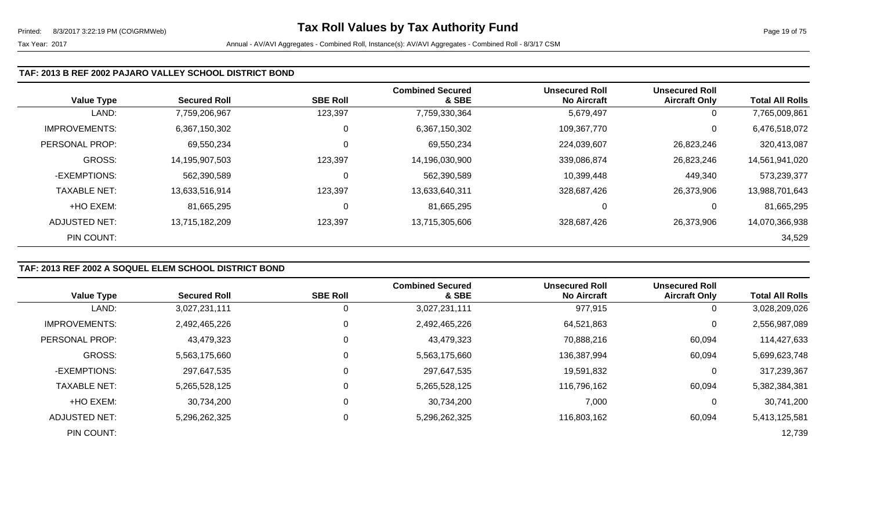### **TAF: 2013 B REF 2002 PAJARO VALLEY SCHOOL DISTRICT BOND**

| <b>Value Type</b>    | <b>Secured Roll</b> | <b>SBE Roll</b> | <b>Combined Secured</b><br>& SBE | <b>Unsecured Roll</b><br><b>No Aircraft</b> | <b>Unsecured Roll</b><br><b>Aircraft Only</b> | <b>Total All Rolls</b> |
|----------------------|---------------------|-----------------|----------------------------------|---------------------------------------------|-----------------------------------------------|------------------------|
| LAND:                | 7,759,206,967       | 123,397         | 7,759,330,364                    | 5,679,497                                   | 0                                             | 7,765,009,861          |
| <b>IMPROVEMENTS:</b> | 6,367,150,302       | υ               | 6,367,150,302                    | 109,367,770                                 | 0                                             | 6,476,518,072          |
| PERSONAL PROP:       | 69,550,234          | 0               | 69,550,234                       | 224,039,607                                 | 26,823,246                                    | 320,413,087            |
| <b>GROSS:</b>        | 14,195,907,503      | 123,397         | 14,196,030,900                   | 339,086,874                                 | 26,823,246                                    | 14,561,941,020         |
| -EXEMPTIONS:         | 562,390,589         | U               | 562,390,589                      | 10,399,448                                  | 449,340                                       | 573,239,377            |
| <b>TAXABLE NET:</b>  | 13,633,516,914      | 123,397         | 13,633,640,311                   | 328,687,426                                 | 26,373,906                                    | 13,988,701,643         |
| +HO EXEM:            | 81,665,295          | υ               | 81,665,295                       |                                             | 0                                             | 81,665,295             |
| ADJUSTED NET:        | 13,715,182,209      | 123,397         | 13,715,305,606                   | 328,687,426                                 | 26,373,906                                    | 14,070,366,938         |
| PIN COUNT:           |                     |                 |                                  |                                             |                                               | 34,529                 |

# **TAF: 2013 REF 2002 A SOQUEL ELEM SCHOOL DISTRICT BOND**

|                      |                     |                 | <b>Combined Secured</b> | <b>Unsecured Roll</b> | <b>Unsecured Roll</b> |                        |
|----------------------|---------------------|-----------------|-------------------------|-----------------------|-----------------------|------------------------|
| <b>Value Type</b>    | <b>Secured Roll</b> | <b>SBE Roll</b> | & SBE                   | <b>No Aircraft</b>    | <b>Aircraft Only</b>  | <b>Total All Rolls</b> |
| LAND:                | 3,027,231,111       | 0               | 3,027,231,111           | 977,915               | 0                     | 3,028,209,026          |
| <b>IMPROVEMENTS:</b> | 2,492,465,226       | 0               | 2,492,465,226           | 64,521,863            | 0                     | 2,556,987,089          |
| PERSONAL PROP:       | 43,479,323          | 0               | 43,479,323              | 70,888,216            | 60,094                | 114,427,633            |
| <b>GROSS:</b>        | 5,563,175,660       | 0               | 5,563,175,660           | 136,387,994           | 60,094                | 5,699,623,748          |
| -EXEMPTIONS:         | 297,647,535         | 0               | 297,647,535             | 19,591,832            | 0                     | 317,239,367            |
| <b>TAXABLE NET:</b>  | 5,265,528,125       | $\Omega$        | 5,265,528,125           | 116,796,162           | 60,094                | 5,382,384,381          |
| +HO EXEM:            | 30,734,200          | 0               | 30,734,200              | 7,000                 | 0                     | 30,741,200             |
| ADJUSTED NET:        | 5,296,262,325       | 0               | 5,296,262,325           | 116,803,162           | 60,094                | 5,413,125,581          |
| PIN COUNT:           |                     |                 |                         |                       |                       | 12,739                 |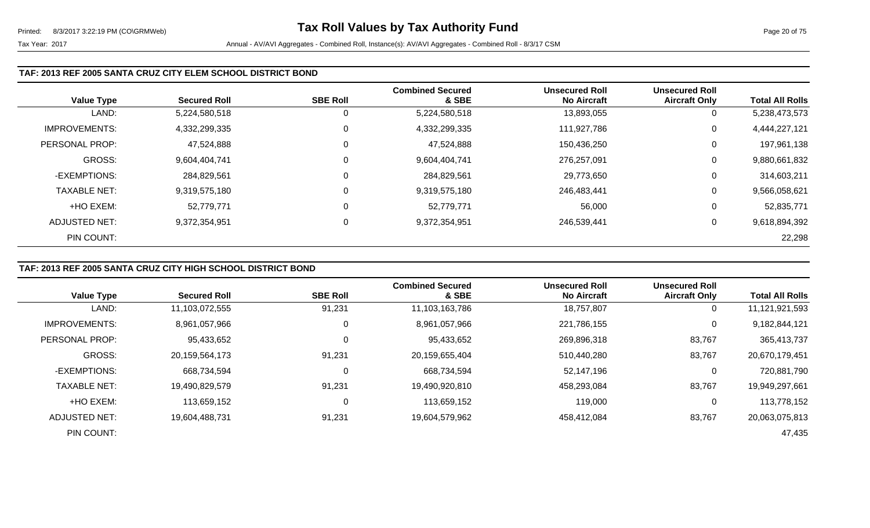#### **TAF: 2013 REF 2005 SANTA CRUZ CITY ELEM SCHOOL DISTRICT BOND**

|                      |                     |                 | <b>Combined Secured</b> | <b>Unsecured Roll</b> | <b>Unsecured Roll</b> |                        |
|----------------------|---------------------|-----------------|-------------------------|-----------------------|-----------------------|------------------------|
| <b>Value Type</b>    | <b>Secured Roll</b> | <b>SBE Roll</b> | & SBE                   | <b>No Aircraft</b>    | <b>Aircraft Only</b>  | <b>Total All Rolls</b> |
| LAND:                | 5,224,580,518       |                 | 5,224,580,518           | 13,893,055            | 0                     | 5,238,473,573          |
| <b>IMPROVEMENTS:</b> | 4,332,299,335       | 0               | 4,332,299,335           | 111,927,786           | 0                     | 4,444,227,121          |
| PERSONAL PROP:       | 47,524,888          | 0               | 47,524,888              | 150,436,250           | 0                     | 197,961,138            |
| <b>GROSS:</b>        | 9,604,404,741       | 0               | 9,604,404,741           | 276,257,091           | 0                     | 9,880,661,832          |
| -EXEMPTIONS:         | 284,829,561         |                 | 284,829,561             | 29,773,650            | 0                     | 314,603,211            |
| <b>TAXABLE NET:</b>  | 9,319,575,180       | $\mathbf 0$     | 9,319,575,180           | 246,483,441           | 0                     | 9,566,058,621          |
| +HO EXEM:            | 52,779,771          | $\Omega$        | 52,779,771              | 56,000                | 0                     | 52,835,771             |
| ADJUSTED NET:        | 9,372,354,951       | 0               | 9,372,354,951           | 246,539,441           | 0                     | 9,618,894,392          |
| PIN COUNT:           |                     |                 |                         |                       |                       | 22,298                 |

# **TAF: 2013 REF 2005 SANTA CRUZ CITY HIGH SCHOOL DISTRICT BOND**

|                      |                     |                 | <b>Combined Secured</b> | <b>Unsecured Roll</b> | <b>Unsecured Roll</b> |                        |
|----------------------|---------------------|-----------------|-------------------------|-----------------------|-----------------------|------------------------|
| <b>Value Type</b>    | <b>Secured Roll</b> | <b>SBE Roll</b> | & SBE                   | <b>No Aircraft</b>    | <b>Aircraft Only</b>  | <b>Total All Rolls</b> |
| LAND:                | 11,103,072,555      | 91,231          | 11,103,163,786          | 18,757,807            | 0                     | 11,121,921,593         |
| <b>IMPROVEMENTS:</b> | 8,961,057,966       | 0               | 8,961,057,966           | 221,786,155           | 0                     | 9,182,844,121          |
| PERSONAL PROP:       | 95,433,652          |                 | 95,433,652              | 269,896,318           | 83,767                | 365,413,737            |
| <b>GROSS:</b>        | 20,159,564,173      | 91,231          | 20,159,655,404          | 510,440,280           | 83,767                | 20,670,179,451         |
| -EXEMPTIONS:         | 668,734,594         |                 | 668,734,594             | 52,147,196            | 0                     | 720,881,790            |
| <b>TAXABLE NET:</b>  | 19,490,829,579      | 91,231          | 19,490,920,810          | 458,293,084           | 83,767                | 19,949,297,661         |
| +HO EXEM:            | 113,659,152         |                 | 113,659,152             | 119,000               | $\mathbf{0}$          | 113,778,152            |
| ADJUSTED NET:        | 19,604,488,731      | 91,231          | 19,604,579,962          | 458,412,084           | 83,767                | 20,063,075,813         |
| PIN COUNT:           |                     |                 |                         |                       |                       | 47,435                 |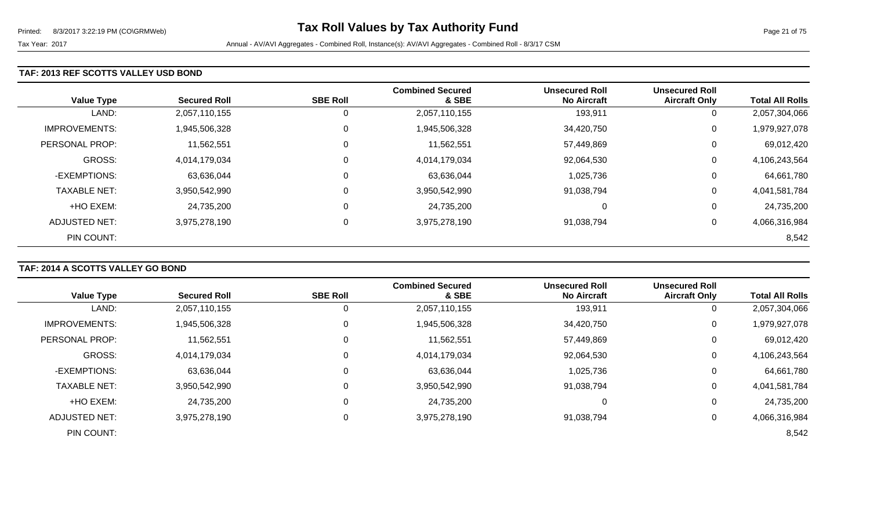#### **TAF: 2013 REF SCOTTS VALLEY USD BOND**

| <b>Value Type</b>    | <b>Secured Roll</b> | <b>SBE Roll</b> | <b>Combined Secured</b><br>& SBE | <b>Unsecured Roll</b><br><b>No Aircraft</b> | <b>Unsecured Roll</b><br><b>Aircraft Only</b> | <b>Total All Rolls</b> |
|----------------------|---------------------|-----------------|----------------------------------|---------------------------------------------|-----------------------------------------------|------------------------|
| LAND:                | 2,057,110,155       | 0               | 2,057,110,155                    | 193,911                                     | 0                                             | 2,057,304,066          |
| <b>IMPROVEMENTS:</b> | 1,945,506,328       | $\mathbf{0}$    | 1,945,506,328                    | 34,420,750                                  | 0                                             | 1,979,927,078          |
| PERSONAL PROP:       | 11,562,551          | $\mathbf 0$     | 11,562,551                       | 57,449,869                                  | 0                                             | 69,012,420             |
| <b>GROSS:</b>        | 4,014,179,034       | $\mathbf 0$     | 4,014,179,034                    | 92,064,530                                  | 0                                             | 4,106,243,564          |
| -EXEMPTIONS:         | 63,636,044          | $\mathbf 0$     | 63,636,044                       | 1,025,736                                   | 0                                             | 64,661,780             |
| <b>TAXABLE NET:</b>  | 3,950,542,990       | $\mathbf 0$     | 3,950,542,990                    | 91,038,794                                  | 0                                             | 4,041,581,784          |
| +HO EXEM:            | 24,735,200          | $\mathbf 0$     | 24,735,200                       | 0                                           | 0                                             | 24,735,200             |
| ADJUSTED NET:        | 3,975,278,190       | $\mathbf 0$     | 3,975,278,190                    | 91,038,794                                  | 0                                             | 4,066,316,984          |
| PIN COUNT:           |                     |                 |                                  |                                             |                                               | 8,542                  |

# **TAF: 2014 A SCOTTS VALLEY GO BOND**

|                      |                     |                 | <b>Combined Secured</b> | <b>Unsecured Roll</b> | <b>Unsecured Roll</b> |                        |
|----------------------|---------------------|-----------------|-------------------------|-----------------------|-----------------------|------------------------|
| <b>Value Type</b>    | <b>Secured Roll</b> | <b>SBE Roll</b> | & SBE                   | <b>No Aircraft</b>    | <b>Aircraft Only</b>  | <b>Total All Rolls</b> |
| LAND:                | 2,057,110,155       | 0               | 2,057,110,155           | 193,911               | 0                     | 2,057,304,066          |
| <b>IMPROVEMENTS:</b> | 1,945,506,328       | 0               | 1,945,506,328           | 34,420,750            | $\mathbf{0}$          | 1,979,927,078          |
| PERSONAL PROP:       | 11,562,551          | 0               | 11,562,551              | 57,449,869            | 0                     | 69,012,420             |
| <b>GROSS:</b>        | 4,014,179,034       | 0               | 4,014,179,034           | 92,064,530            | 0                     | 4,106,243,564          |
| -EXEMPTIONS:         | 63,636,044          | 0               | 63,636,044              | 1,025,736             | 0                     | 64,661,780             |
| <b>TAXABLE NET:</b>  | 3,950,542,990       | 0               | 3,950,542,990           | 91,038,794            | 0                     | 4,041,581,784          |
| +HO EXEM:            | 24,735,200          | 0               | 24,735,200              | 0                     | 0                     | 24,735,200             |
| ADJUSTED NET:        | 3,975,278,190       | 0               | 3,975,278,190           | 91,038,794            | 0                     | 4,066,316,984          |
| PIN COUNT:           |                     |                 |                         |                       |                       | 8,542                  |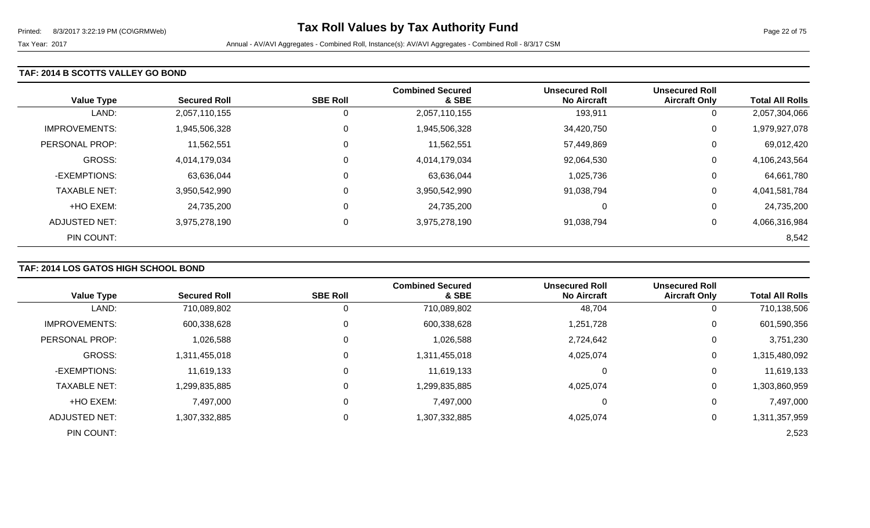#### **TAF: 2014 B SCOTTS VALLEY GO BOND**

| <b>Value Type</b>    | <b>Secured Roll</b> | <b>SBE Roll</b> | <b>Combined Secured</b><br>& SBE | <b>Unsecured Roll</b><br><b>No Aircraft</b> | <b>Unsecured Roll</b><br><b>Aircraft Only</b> | <b>Total All Rolls</b> |
|----------------------|---------------------|-----------------|----------------------------------|---------------------------------------------|-----------------------------------------------|------------------------|
| LAND:                | 2,057,110,155       | 0               | 2,057,110,155                    | 193,911                                     | 0                                             | 2,057,304,066          |
| <b>IMPROVEMENTS:</b> | 1,945,506,328       | $\mathbf 0$     | 1,945,506,328                    | 34,420,750                                  | 0                                             | 1,979,927,078          |
| PERSONAL PROP:       | 11,562,551          | $\mathbf 0$     | 11,562,551                       | 57,449,869                                  | 0                                             | 69,012,420             |
| <b>GROSS:</b>        | 4,014,179,034       | $\mathbf 0$     | 4,014,179,034                    | 92,064,530                                  | 0                                             | 4,106,243,564          |
| -EXEMPTIONS:         | 63,636,044          | $\mathbf 0$     | 63,636,044                       | 1,025,736                                   | 0                                             | 64,661,780             |
| <b>TAXABLE NET:</b>  | 3,950,542,990       | $\mathbf 0$     | 3,950,542,990                    | 91,038,794                                  | 0                                             | 4,041,581,784          |
| +HO EXEM:            | 24,735,200          | $\mathbf 0$     | 24,735,200                       | 0                                           | 0                                             | 24,735,200             |
| ADJUSTED NET:        | 3,975,278,190       | 0               | 3,975,278,190                    | 91,038,794                                  | 0                                             | 4,066,316,984          |
| PIN COUNT:           |                     |                 |                                  |                                             |                                               | 8,542                  |

### **TAF: 2014 LOS GATOS HIGH SCHOOL BOND**

|                      |                     |                 | <b>Combined Secured</b> | <b>Unsecured Roll</b> | <b>Unsecured Roll</b> |                        |
|----------------------|---------------------|-----------------|-------------------------|-----------------------|-----------------------|------------------------|
| <b>Value Type</b>    | <b>Secured Roll</b> | <b>SBE Roll</b> | & SBE                   | <b>No Aircraft</b>    | <b>Aircraft Only</b>  | <b>Total All Rolls</b> |
| LAND:                | 710,089,802         |                 | 710,089,802             | 48,704                | 0                     | 710,138,506            |
| <b>IMPROVEMENTS:</b> | 600,338,628         | 0               | 600,338,628             | 1,251,728             | 0                     | 601,590,356            |
| PERSONAL PROP:       | 1,026,588           | 0               | 1,026,588               | 2,724,642             | 0                     | 3,751,230              |
| <b>GROSS:</b>        | 1,311,455,018       | 0               | 1,311,455,018           | 4,025,074             | 0                     | 1,315,480,092          |
| -EXEMPTIONS:         | 11,619,133          | 0               | 11,619,133              |                       | 0                     | 11,619,133             |
| <b>TAXABLE NET:</b>  | 1,299,835,885       | 0               | 1,299,835,885           | 4,025,074             | 0                     | 1,303,860,959          |
| +HO EXEM:            | 7,497,000           |                 | 7,497,000               |                       | 0                     | 7,497,000              |
| <b>ADJUSTED NET:</b> | 1,307,332,885       | 0               | 1,307,332,885           | 4,025,074             | 0                     | 1,311,357,959          |
| PIN COUNT:           |                     |                 |                         |                       |                       | 2,523                  |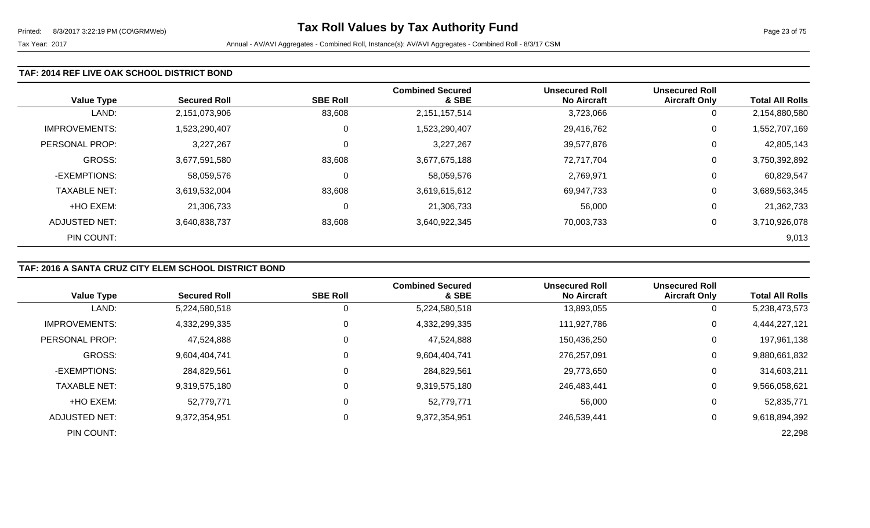#### **TAF: 2014 REF LIVE OAK SCHOOL DISTRICT BOND**

| <b>Value Type</b>    | <b>Secured Roll</b> | <b>SBE Roll</b> | <b>Combined Secured</b><br>& SBE | <b>Unsecured Roll</b><br><b>No Aircraft</b> | <b>Unsecured Roll</b><br><b>Aircraft Only</b> | <b>Total All Rolls</b> |
|----------------------|---------------------|-----------------|----------------------------------|---------------------------------------------|-----------------------------------------------|------------------------|
| LAND:                | 2,151,073,906       | 83,608          | 2,151,157,514                    | 3,723,066                                   | 0                                             | 2,154,880,580          |
| <b>IMPROVEMENTS:</b> | 1,523,290,407       | 0               | 1,523,290,407                    | 29,416,762                                  | 0                                             | 1,552,707,169          |
| PERSONAL PROP:       | 3,227,267           | 0               | 3,227,267                        | 39,577,876                                  | 0                                             | 42,805,143             |
| <b>GROSS:</b>        | 3,677,591,580       | 83,608          | 3,677,675,188                    | 72,717,704                                  | 0                                             | 3,750,392,892          |
| -EXEMPTIONS:         | 58,059,576          | 0               | 58,059,576                       | 2,769,971                                   | 0                                             | 60,829,547             |
| <b>TAXABLE NET:</b>  | 3,619,532,004       | 83,608          | 3,619,615,612                    | 69,947,733                                  | 0                                             | 3,689,563,345          |
| +HO EXEM:            | 21,306,733          | 0               | 21,306,733                       | 56,000                                      | 0                                             | 21,362,733             |
| <b>ADJUSTED NET:</b> | 3,640,838,737       | 83,608          | 3,640,922,345                    | 70,003,733                                  | 0                                             | 3,710,926,078          |
| PIN COUNT:           |                     |                 |                                  |                                             |                                               | 9,013                  |

# **TAF: 2016 A SANTA CRUZ CITY ELEM SCHOOL DISTRICT BOND**

|                      |                     |                 | <b>Combined Secured</b> | <b>Unsecured Roll</b> | <b>Unsecured Roll</b> |                        |
|----------------------|---------------------|-----------------|-------------------------|-----------------------|-----------------------|------------------------|
| <b>Value Type</b>    | <b>Secured Roll</b> | <b>SBE Roll</b> | & SBE                   | <b>No Aircraft</b>    | <b>Aircraft Only</b>  | <b>Total All Rolls</b> |
| LAND:                | 5,224,580,518       |                 | 5,224,580,518           | 13,893,055            | 0                     | 5,238,473,573          |
| <b>IMPROVEMENTS:</b> | 4,332,299,335       | 0               | 4,332,299,335           | 111,927,786           | 0                     | 4,444,227,121          |
| PERSONAL PROP:       | 47,524,888          |                 | 47,524,888              | 150,436,250           | 0                     | 197,961,138            |
| <b>GROSS:</b>        | 9,604,404,741       | 0               | 9,604,404,741           | 276,257,091           | 0                     | 9,880,661,832          |
| -EXEMPTIONS:         | 284,829,561         |                 | 284,829,561             | 29,773,650            | 0                     | 314,603,211            |
| <b>TAXABLE NET:</b>  | 9,319,575,180       |                 | 9,319,575,180           | 246,483,441           | 0                     | 9,566,058,621          |
| +HO EXEM:            | 52,779,771          | C               | 52,779,771              | 56,000                | 0                     | 52,835,771             |
| ADJUSTED NET:        | 9,372,354,951       | 0               | 9,372,354,951           | 246,539,441           | 0                     | 9,618,894,392          |
| PIN COUNT:           |                     |                 |                         |                       |                       | 22,298                 |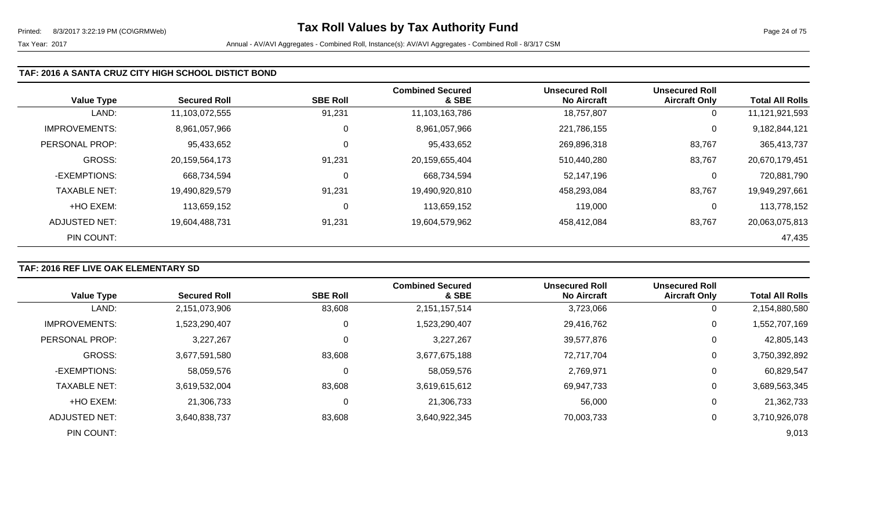#### **TAF: 2016 A SANTA CRUZ CITY HIGH SCHOOL DISTICT BOND**

|                      |                     |                 | <b>Combined Secured</b> | <b>Unsecured Roll</b> | <b>Unsecured Roll</b> |                        |
|----------------------|---------------------|-----------------|-------------------------|-----------------------|-----------------------|------------------------|
| <b>Value Type</b>    | <b>Secured Roll</b> | <b>SBE Roll</b> | & SBE                   | <b>No Aircraft</b>    | <b>Aircraft Only</b>  | <b>Total All Rolls</b> |
| LAND:                | 11,103,072,555      | 91,231          | 11,103,163,786          | 18,757,807            | 0                     | 11,121,921,593         |
| <b>IMPROVEMENTS:</b> | 8,961,057,966       | 0               | 8,961,057,966           | 221,786,155           | 0                     | 9,182,844,121          |
| PERSONAL PROP:       | 95,433,652          | 0               | 95,433,652              | 269,896,318           | 83,767                | 365,413,737            |
| <b>GROSS:</b>        | 20,159,564,173      | 91,231          | 20,159,655,404          | 510,440,280           | 83,767                | 20,670,179,451         |
| -EXEMPTIONS:         | 668,734,594         | 0               | 668,734,594             | 52,147,196            | 0                     | 720,881,790            |
| <b>TAXABLE NET:</b>  | 19,490,829,579      | 91,231          | 19,490,920,810          | 458,293,084           | 83,767                | 19,949,297,661         |
| +HO EXEM:            | 113,659,152         | 0               | 113,659,152             | 119,000               | 0                     | 113,778,152            |
| ADJUSTED NET:        | 19,604,488,731      | 91,231          | 19,604,579,962          | 458,412,084           | 83,767                | 20,063,075,813         |
| PIN COUNT:           |                     |                 |                         |                       |                       | 47,435                 |

### **TAF: 2016 REF LIVE OAK ELEMENTARY SD**

| <b>Value Type</b>     | <b>Secured Roll</b> | <b>SBE Roll</b> | <b>Combined Secured</b><br>& SBE | <b>Unsecured Roll</b><br><b>No Aircraft</b> | <b>Unsecured Roll</b><br><b>Aircraft Only</b> | <b>Total All Rolls</b> |
|-----------------------|---------------------|-----------------|----------------------------------|---------------------------------------------|-----------------------------------------------|------------------------|
| LAND:                 | 2,151,073,906       | 83,608          | 2,151,157,514                    | 3,723,066                                   | 0                                             | 2,154,880,580          |
| <b>IMPROVEMENTS:</b>  | 1,523,290,407       | 0               | 1,523,290,407                    | 29,416,762                                  | 0                                             | 1,552,707,169          |
| <b>PERSONAL PROP:</b> | 3,227,267           | 0               | 3,227,267                        | 39,577,876                                  | 0                                             | 42,805,143             |
| <b>GROSS:</b>         | 3,677,591,580       | 83,608          | 3,677,675,188                    | 72,717,704                                  | 0                                             | 3,750,392,892          |
| -EXEMPTIONS:          | 58,059,576          | 0               | 58,059,576                       | 2,769,971                                   | 0                                             | 60,829,547             |
| <b>TAXABLE NET:</b>   | 3,619,532,004       | 83,608          | 3,619,615,612                    | 69,947,733                                  | 0                                             | 3,689,563,345          |
| +HO EXEM:             | 21,306,733          | $\mathbf 0$     | 21,306,733                       | 56,000                                      | 0                                             | 21,362,733             |
| <b>ADJUSTED NET:</b>  | 3,640,838,737       | 83,608          | 3,640,922,345                    | 70,003,733                                  | 0                                             | 3,710,926,078          |
| PIN COUNT:            |                     |                 |                                  |                                             |                                               | 9,013                  |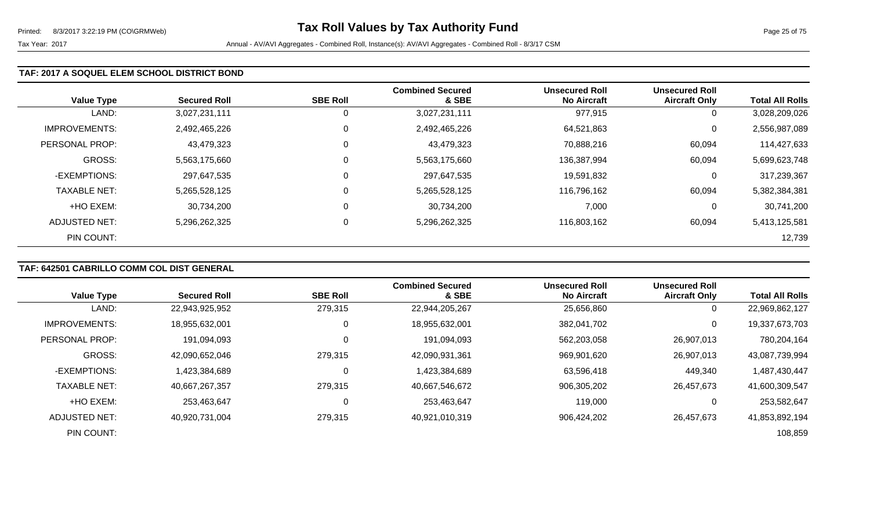Tax Year: 2017 **Annual - AV/AVI Aggregates - Combined Roll**, Instance(s): AV/AVI Aggregates - Combined Roll - 8/3/17 CSM

### **TAF: 2017 A SOQUEL ELEM SCHOOL DISTRICT BOND**

| <b>Value Type</b>    | <b>Secured Roll</b> | <b>SBE Roll</b> | <b>Combined Secured</b><br>& SBE | Unsecured Roll<br><b>No Aircraft</b> | <b>Unsecured Roll</b><br><b>Aircraft Only</b> | <b>Total All Rolls</b> |
|----------------------|---------------------|-----------------|----------------------------------|--------------------------------------|-----------------------------------------------|------------------------|
| LAND:                | 3,027,231,111       | 0               | 3,027,231,111                    | 977,915                              | 0                                             | 3,028,209,026          |
| <b>IMPROVEMENTS:</b> | 2,492,465,226       | $\mathbf 0$     | 2,492,465,226                    | 64,521,863                           | 0                                             | 2,556,987,089          |
| PERSONAL PROP:       | 43,479,323          | 0               | 43,479,323                       | 70,888,216                           | 60,094                                        | 114,427,633            |
| GROSS:               | 5,563,175,660       | $\mathbf 0$     | 5,563,175,660                    | 136,387,994                          | 60,094                                        | 5,699,623,748          |
| -EXEMPTIONS:         | 297,647,535         | 0               | 297,647,535                      | 19,591,832                           | 0                                             | 317,239,367            |
| <b>TAXABLE NET:</b>  | 5,265,528,125       | $\mathbf 0$     | 5,265,528,125                    | 116,796,162                          | 60,094                                        | 5,382,384,381          |
| +HO EXEM:            | 30,734,200          | $\mathbf 0$     | 30,734,200                       | 7,000                                | 0                                             | 30,741,200             |
| ADJUSTED NET:        | 5,296,262,325       | 0               | 5,296,262,325                    | 116,803,162                          | 60,094                                        | 5,413,125,581          |
| PIN COUNT:           |                     |                 |                                  |                                      |                                               | 12,739                 |

# **TAF: 642501 CABRILLO COMM COL DIST GENERAL**

| <b>Value Type</b>    | <b>Secured Roll</b> | <b>SBE Roll</b> | <b>Combined Secured</b><br>& SBE | <b>Unsecured Roll</b><br><b>No Aircraft</b> | <b>Unsecured Roll</b><br><b>Aircraft Only</b> | <b>Total All Rolls</b> |
|----------------------|---------------------|-----------------|----------------------------------|---------------------------------------------|-----------------------------------------------|------------------------|
| LAND:                | 22,943,925,952      | 279,315         | 22,944,205,267                   | 25,656,860                                  | 0                                             | 22,969,862,127         |
| <b>IMPROVEMENTS:</b> | 18,955,632,001      | 0               | 18,955,632,001                   | 382,041,702                                 | $\mathbf 0$                                   | 19,337,673,703         |
| PERSONAL PROP:       | 191,094,093         |                 | 191,094,093                      | 562,203,058                                 | 26,907,013                                    | 780,204,164            |
| GROSS:               | 42,090,652,046      | 279,315         | 42,090,931,361                   | 969,901,620                                 | 26,907,013                                    | 43,087,739,994         |
| -EXEMPTIONS:         | 1,423,384,689       |                 | 1,423,384,689                    | 63,596,418                                  | 449,340                                       | 1,487,430,447          |
| <b>TAXABLE NET:</b>  | 40,667,267,357      | 279,315         | 40,667,546,672                   | 906,305,202                                 | 26,457,673                                    | 41,600,309,547         |
| +HO EXEM:            | 253,463,647         |                 | 253,463,647                      | 119,000                                     | 0                                             | 253,582,647            |
| ADJUSTED NET:        | 40,920,731,004      | 279,315         | 40,921,010,319                   | 906,424,202                                 | 26,457,673                                    | 41,853,892,194         |
| PIN COUNT:           |                     |                 |                                  |                                             |                                               | 108,859                |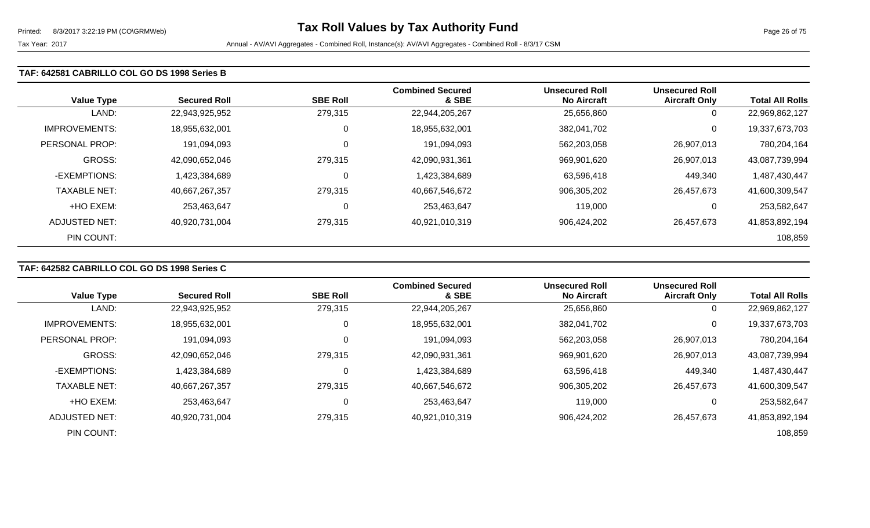#### **TAF: 642581 CABRILLO COL GO DS 1998 Series B**

| <b>Value Type</b>   | <b>Secured Roll</b> | <b>SBE Roll</b> | <b>Combined Secured</b><br>& SBE | <b>Unsecured Roll</b><br><b>No Aircraft</b> | <b>Unsecured Roll</b><br><b>Aircraft Only</b> | <b>Total All Rolls</b> |
|---------------------|---------------------|-----------------|----------------------------------|---------------------------------------------|-----------------------------------------------|------------------------|
| LAND:               | 22,943,925,952      | 279,315         | 22,944,205,267                   | 25,656,860                                  | 0                                             | 22,969,862,127         |
| IMPROVEMENTS:       | 18,955,632,001      | 0               | 18,955,632,001                   | 382,041,702                                 | 0                                             | 19,337,673,703         |
| PERSONAL PROP:      | 191,094,093         | 0               | 191,094,093                      | 562,203,058                                 | 26,907,013                                    | 780,204,164            |
| <b>GROSS:</b>       | 42,090,652,046      | 279,315         | 42,090,931,361                   | 969,901,620                                 | 26,907,013                                    | 43,087,739,994         |
| -EXEMPTIONS:        | 1,423,384,689       | $\Omega$        | 1,423,384,689                    | 63,596,418                                  | 449,340                                       | 1,487,430,447          |
| <b>TAXABLE NET:</b> | 40,667,267,357      | 279,315         | 40,667,546,672                   | 906,305,202                                 | 26,457,673                                    | 41,600,309,547         |
| +HO EXEM:           | 253,463,647         | $\Omega$        | 253,463,647                      | 119,000                                     | 0                                             | 253,582,647            |
| ADJUSTED NET:       | 40,920,731,004      | 279,315         | 40,921,010,319                   | 906,424,202                                 | 26,457,673                                    | 41,853,892,194         |
| PIN COUNT:          |                     |                 |                                  |                                             |                                               | 108,859                |

# **TAF: 642582 CABRILLO COL GO DS 1998 Series C**

|                      |                     |                 | <b>Combined Secured</b> | <b>Unsecured Roll</b> | <b>Unsecured Roll</b> |                        |
|----------------------|---------------------|-----------------|-------------------------|-----------------------|-----------------------|------------------------|
| <b>Value Type</b>    | <b>Secured Roll</b> | <b>SBE Roll</b> | & SBE                   | <b>No Aircraft</b>    | <b>Aircraft Only</b>  | <b>Total All Rolls</b> |
| LAND:                | 22,943,925,952      | 279,315         | 22,944,205,267          | 25,656,860            | 0                     | 22,969,862,127         |
| <b>IMPROVEMENTS:</b> | 18,955,632,001      | 0               | 18,955,632,001          | 382,041,702           | 0                     | 19,337,673,703         |
| PERSONAL PROP:       | 191,094,093         | 0               | 191,094,093             | 562,203,058           | 26,907,013            | 780,204,164            |
| GROSS:               | 42,090,652,046      | 279,315         | 42,090,931,361          | 969,901,620           | 26,907,013            | 43,087,739,994         |
| -EXEMPTIONS:         | 1,423,384,689       | 0               | 1,423,384,689           | 63,596,418            | 449,340               | 1,487,430,447          |
| <b>TAXABLE NET:</b>  | 40,667,267,357      | 279,315         | 40,667,546,672          | 906,305,202           | 26,457,673            | 41,600,309,547         |
| +HO EXEM:            | 253,463,647         | 0               | 253,463,647             | 119,000               | 0                     | 253,582,647            |
| ADJUSTED NET:        | 40,920,731,004      | 279,315         | 40,921,010,319          | 906,424,202           | 26.457.673            | 41,853,892,194         |
| PIN COUNT:           |                     |                 |                         |                       |                       | 108,859                |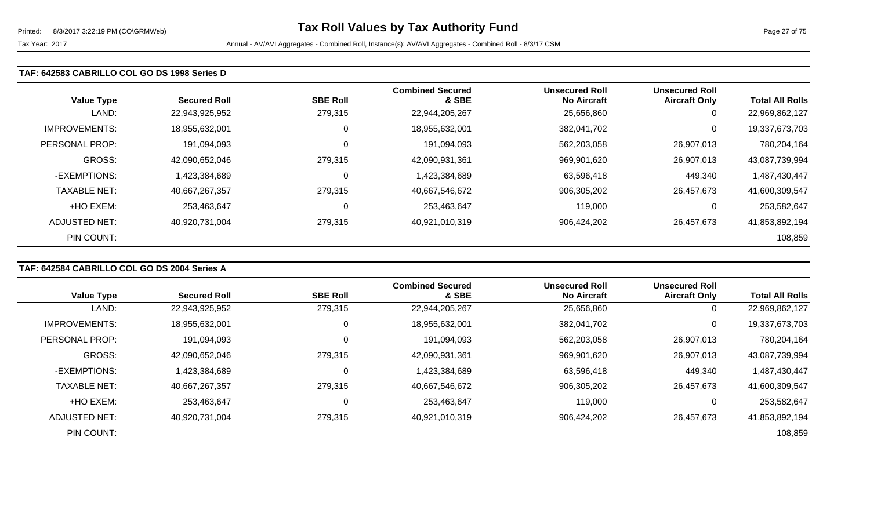# **TAF: 642583 CABRILLO COL GO DS 1998 Series D**

| <b>Value Type</b>    | <b>Secured Roll</b> | <b>SBE Roll</b> | <b>Combined Secured</b><br>& SBE | <b>Unsecured Roll</b><br><b>No Aircraft</b> | <b>Unsecured Roll</b><br><b>Aircraft Only</b> | <b>Total All Rolls</b> |
|----------------------|---------------------|-----------------|----------------------------------|---------------------------------------------|-----------------------------------------------|------------------------|
| LAND:                | 22,943,925,952      | 279,315         | 22,944,205,267                   | 25,656,860                                  | 0                                             | 22,969,862,127         |
| <b>IMPROVEMENTS:</b> | 18,955,632,001      | 0               | 18,955,632,001                   | 382,041,702                                 | 0                                             | 19,337,673,703         |
| PERSONAL PROP:       | 191,094,093         | 0               | 191,094,093                      | 562,203,058                                 | 26,907,013                                    | 780,204,164            |
| <b>GROSS:</b>        | 42,090,652,046      | 279,315         | 42,090,931,361                   | 969,901,620                                 | 26,907,013                                    | 43,087,739,994         |
| -EXEMPTIONS:         | 1,423,384,689       | $\mathbf 0$     | 1,423,384,689                    | 63,596,418                                  | 449,340                                       | 1,487,430,447          |
| <b>TAXABLE NET:</b>  | 40,667,267,357      | 279,315         | 40,667,546,672                   | 906,305,202                                 | 26,457,673                                    | 41,600,309,547         |
| +HO EXEM:            | 253,463,647         | 0               | 253,463,647                      | 119,000                                     | 0                                             | 253,582,647            |
| <b>ADJUSTED NET:</b> | 40,920,731,004      | 279,315         | 40,921,010,319                   | 906,424,202                                 | 26,457,673                                    | 41,853,892,194         |
| PIN COUNT:           |                     |                 |                                  |                                             |                                               | 108,859                |

# **TAF: 642584 CABRILLO COL GO DS 2004 Series A**

| <b>Value Type</b>    | <b>Secured Roll</b> | <b>SBE Roll</b> | <b>Combined Secured</b><br>& SBE | <b>Unsecured Roll</b><br><b>No Aircraft</b> | <b>Unsecured Roll</b><br><b>Aircraft Only</b> | <b>Total All Rolls</b> |
|----------------------|---------------------|-----------------|----------------------------------|---------------------------------------------|-----------------------------------------------|------------------------|
| LAND:                | 22,943,925,952      | 279,315         | 22,944,205,267                   | 25,656,860                                  | 0                                             | 22,969,862,127         |
|                      |                     |                 |                                  |                                             |                                               |                        |
| <b>IMPROVEMENTS:</b> | 18,955,632,001      | 0               | 18,955,632,001                   | 382,041,702                                 | 0                                             | 19,337,673,703         |
| PERSONAL PROP:       | 191,094,093         | 0               | 191,094,093                      | 562,203,058                                 | 26,907,013                                    | 780,204,164            |
| <b>GROSS:</b>        | 42,090,652,046      | 279,315         | 42,090,931,361                   | 969,901,620                                 | 26,907,013                                    | 43,087,739,994         |
| -EXEMPTIONS:         | 1,423,384,689       | 0               | 1,423,384,689                    | 63,596,418                                  | 449,340                                       | 1,487,430,447          |
| <b>TAXABLE NET:</b>  | 40,667,267,357      | 279,315         | 40,667,546,672                   | 906,305,202                                 | 26,457,673                                    | 41,600,309,547         |
| +HO EXEM:            | 253,463,647         | 0               | 253,463,647                      | 119,000                                     | 0                                             | 253,582,647            |
| ADJUSTED NET:        | 40,920,731,004      | 279,315         | 40,921,010,319                   | 906,424,202                                 | 26,457,673                                    | 41,853,892,194         |
| PIN COUNT:           |                     |                 |                                  |                                             |                                               | 108,859                |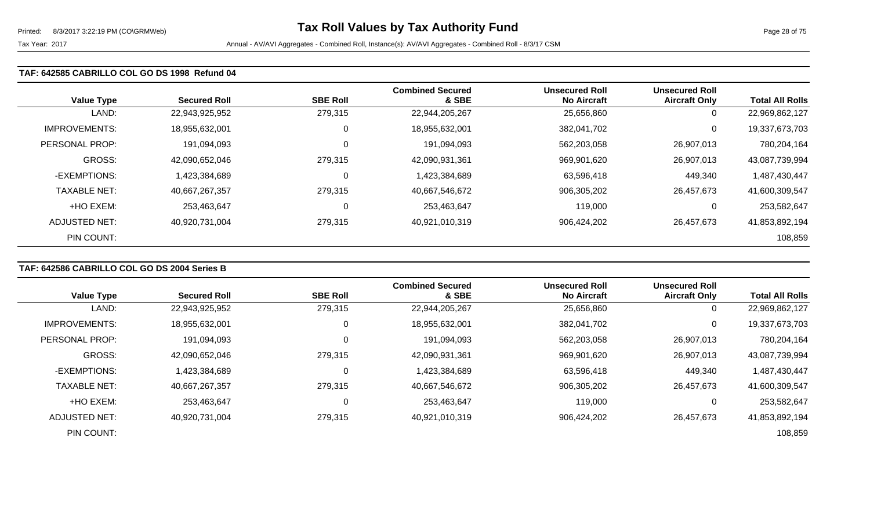# **TAF: 642585 CABRILLO COL GO DS 1998 Refund 04**

| <b>Value Type</b>    | <b>Secured Roll</b> | <b>SBE Roll</b> | <b>Combined Secured</b><br>& SBE | <b>Unsecured Roll</b><br><b>No Aircraft</b> | <b>Unsecured Roll</b><br><b>Aircraft Only</b> | <b>Total All Rolls</b> |
|----------------------|---------------------|-----------------|----------------------------------|---------------------------------------------|-----------------------------------------------|------------------------|
| LAND:                | 22,943,925,952      | 279,315         | 22,944,205,267                   | 25,656,860                                  | 0                                             | 22,969,862,127         |
| <b>IMPROVEMENTS:</b> | 18,955,632,001      | 0               | 18,955,632,001                   | 382,041,702                                 | 0                                             | 19,337,673,703         |
| PERSONAL PROP:       | 191,094,093         | 0               | 191,094,093                      | 562,203,058                                 | 26,907,013                                    | 780,204,164            |
| <b>GROSS:</b>        | 42,090,652,046      | 279,315         | 42,090,931,361                   | 969,901,620                                 | 26,907,013                                    | 43,087,739,994         |
| -EXEMPTIONS:         | 1,423,384,689       | $\mathbf 0$     | 1,423,384,689                    | 63,596,418                                  | 449,340                                       | 1,487,430,447          |
| <b>TAXABLE NET:</b>  | 40,667,267,357      | 279,315         | 40,667,546,672                   | 906,305,202                                 | 26,457,673                                    | 41,600,309,547         |
| +HO EXEM:            | 253.463.647         | 0               | 253,463,647                      | 119,000                                     | 0                                             | 253,582,647            |
| ADJUSTED NET:        | 40,920,731,004      | 279,315         | 40,921,010,319                   | 906,424,202                                 | 26,457,673                                    | 41,853,892,194         |
| PIN COUNT:           |                     |                 |                                  |                                             |                                               | 108,859                |

# **TAF: 642586 CABRILLO COL GO DS 2004 Series B**

| <b>Value Type</b>    | <b>Secured Roll</b> | <b>SBE Roll</b> | <b>Combined Secured</b><br>& SBE | <b>Unsecured Roll</b><br><b>No Aircraft</b> | <b>Unsecured Roll</b><br><b>Aircraft Only</b> | <b>Total All Rolls</b> |
|----------------------|---------------------|-----------------|----------------------------------|---------------------------------------------|-----------------------------------------------|------------------------|
|                      |                     |                 |                                  |                                             |                                               |                        |
| LAND:                | 22,943,925,952      | 279,315         | 22,944,205,267                   | 25,656,860                                  | 0                                             | 22,969,862,127         |
| <b>IMPROVEMENTS:</b> | 18,955,632,001      | υ               | 18,955,632,001                   | 382,041,702                                 | 0                                             | 19,337,673,703         |
| PERSONAL PROP:       | 191,094,093         | υ               | 191,094,093                      | 562,203,058                                 | 26,907,013                                    | 780,204,164            |
| <b>GROSS:</b>        | 42,090,652,046      | 279,315         | 42,090,931,361                   | 969,901,620                                 | 26,907,013                                    | 43,087,739,994         |
| -EXEMPTIONS:         | 1,423,384,689       | U               | 1,423,384,689                    | 63,596,418                                  | 449,340                                       | 1,487,430,447          |
| <b>TAXABLE NET:</b>  | 40,667,267,357      | 279,315         | 40,667,546,672                   | 906,305,202                                 | 26,457,673                                    | 41,600,309,547         |
| +HO EXEM:            | 253,463,647         | U               | 253,463,647                      | 119,000                                     |                                               | 253,582,647            |
| ADJUSTED NET:        | 40,920,731,004      | 279,315         | 40,921,010,319                   | 906,424,202                                 | 26,457,673                                    | 41,853,892,194         |
| PIN COUNT:           |                     |                 |                                  |                                             |                                               | 108,859                |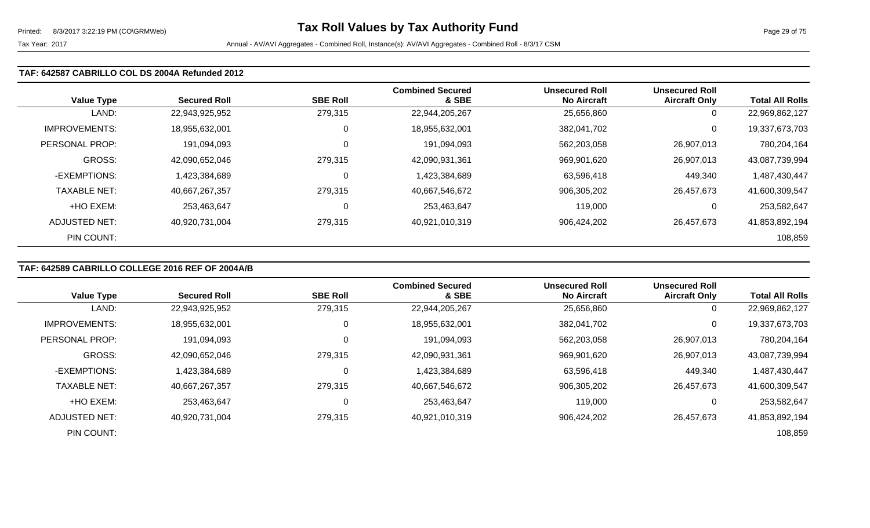#### **TAF: 642587 CABRILLO COL DS 2004A Refunded 2012**

| <b>Value Type</b>    | <b>Secured Roll</b> | <b>SBE Roll</b> | <b>Combined Secured</b><br>& SBE | Unsecured Roll<br><b>No Aircraft</b> | <b>Unsecured Roll</b><br><b>Aircraft Only</b> | <b>Total All Rolls</b> |
|----------------------|---------------------|-----------------|----------------------------------|--------------------------------------|-----------------------------------------------|------------------------|
| LAND:                | 22,943,925,952      | 279,315         | 22,944,205,267                   | 25,656,860                           | 0                                             | 22,969,862,127         |
| <b>IMPROVEMENTS:</b> | 18,955,632,001      | 0               | 18,955,632,001                   | 382,041,702                          | 0                                             | 19,337,673,703         |
| PERSONAL PROP:       | 191.094.093         | 0               | 191,094,093                      | 562,203,058                          | 26,907,013                                    | 780,204,164            |
| GROSS:               | 42,090,652,046      | 279,315         | 42,090,931,361                   | 969,901,620                          | 26,907,013                                    | 43,087,739,994         |
| -EXEMPTIONS:         | 1,423,384,689       | $\Omega$        | 1,423,384,689                    | 63,596,418                           | 449,340                                       | 1,487,430,447          |
| <b>TAXABLE NET:</b>  | 40,667,267,357      | 279,315         | 40,667,546,672                   | 906,305,202                          | 26,457,673                                    | 41,600,309,547         |
| +HO EXEM:            | 253,463,647         | 0               | 253,463,647                      | 119,000                              | 0                                             | 253,582,647            |
| ADJUSTED NET:        | 40,920,731,004      | 279,315         | 40,921,010,319                   | 906,424,202                          | 26,457,673                                    | 41,853,892,194         |
| PIN COUNT:           |                     |                 |                                  |                                      |                                               | 108,859                |

# **TAF: 642589 CABRILLO COLLEGE 2016 REF OF 2004A/B**

|                      |                     |                 | <b>Combined Secured</b> | <b>Unsecured Roll</b> | <b>Unsecured Roll</b> |                        |
|----------------------|---------------------|-----------------|-------------------------|-----------------------|-----------------------|------------------------|
| <b>Value Type</b>    | <b>Secured Roll</b> | <b>SBE Roll</b> | & SBE                   | <b>No Aircraft</b>    | <b>Aircraft Only</b>  | <b>Total All Rolls</b> |
| LAND:                | 22,943,925,952      | 279,315         | 22,944,205,267          | 25,656,860            | $\mathbf 0$           | 22,969,862,127         |
| <b>IMPROVEMENTS:</b> | 18,955,632,001      | 0               | 18,955,632,001          | 382,041,702           | 0                     | 19,337,673,703         |
| PERSONAL PROP:       | 191,094,093         |                 | 191,094,093             | 562,203,058           | 26,907,013            | 780,204,164            |
| GROSS:               | 42,090,652,046      | 279,315         | 42,090,931,361          | 969,901,620           | 26,907,013            | 43,087,739,994         |
| -EXEMPTIONS:         | 1,423,384,689       |                 | 1,423,384,689           | 63,596,418            | 449,340               | 1,487,430,447          |
| <b>TAXABLE NET:</b>  | 40,667,267,357      | 279,315         | 40,667,546,672          | 906,305,202           | 26,457,673            | 41,600,309,547         |
| +HO EXEM:            | 253.463.647         | C               | 253,463,647             | 119,000               | 0                     | 253,582,647            |
| ADJUSTED NET:        | 40,920,731,004      | 279,315         | 40,921,010,319          | 906,424,202           | 26.457.673            | 41,853,892,194         |
| PIN COUNT:           |                     |                 |                         |                       |                       | 108,859                |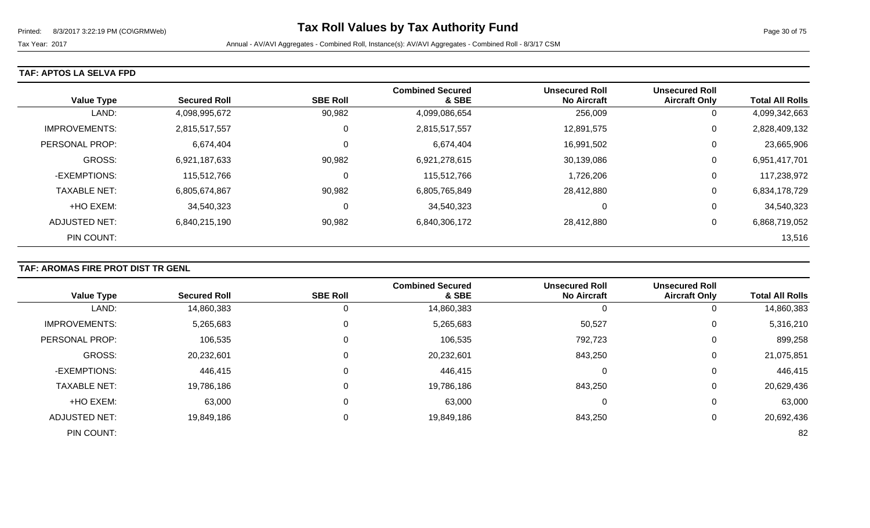Tax Year: 2017 **Annual - AV/AVI Aggregates - Combined Roll**, Instance(s): AV/AVI Aggregates - Combined Roll - 8/3/17 CSM

### **TAF: APTOS LA SELVA FPD**

| <b>Value Type</b>    | <b>Secured Roll</b> | <b>SBE Roll</b> | <b>Combined Secured</b><br>& SBE | <b>Unsecured Roll</b><br><b>No Aircraft</b> | <b>Unsecured Roll</b><br><b>Aircraft Only</b> | <b>Total All Rolls</b> |
|----------------------|---------------------|-----------------|----------------------------------|---------------------------------------------|-----------------------------------------------|------------------------|
| LAND:                | 4,098,995,672       | 90,982          | 4,099,086,654                    | 256,009                                     | 0                                             | 4,099,342,663          |
| <b>IMPROVEMENTS:</b> | 2,815,517,557       | 0               | 2,815,517,557                    | 12,891,575                                  | 0                                             | 2,828,409,132          |
| PERSONAL PROP:       | 6,674,404           | 0               | 6,674,404                        | 16,991,502                                  | 0                                             | 23,665,906             |
| <b>GROSS:</b>        | 6,921,187,633       | 90,982          | 6,921,278,615                    | 30,139,086                                  | 0                                             | 6,951,417,701          |
| -EXEMPTIONS:         | 115,512,766         | 0               | 115,512,766                      | 1,726,206                                   | 0                                             | 117,238,972            |
| <b>TAXABLE NET:</b>  | 6,805,674,867       | 90,982          | 6,805,765,849                    | 28,412,880                                  | 0                                             | 6,834,178,729          |
| +HO EXEM:            | 34,540,323          | 0               | 34,540,323                       | 0                                           | 0                                             | 34,540,323             |
| ADJUSTED NET:        | 6,840,215,190       | 90,982          | 6,840,306,172                    | 28,412,880                                  | 0                                             | 6,868,719,052          |
| PIN COUNT:           |                     |                 |                                  |                                             |                                               | 13,516                 |

# **TAF: AROMAS FIRE PROT DIST TR GENL**

|                       |                     |                 | <b>Combined Secured</b> | <b>Unsecured Roll</b> | <b>Unsecured Roll</b> |                        |
|-----------------------|---------------------|-----------------|-------------------------|-----------------------|-----------------------|------------------------|
| <b>Value Type</b>     | <b>Secured Roll</b> | <b>SBE Roll</b> | & SBE                   | <b>No Aircraft</b>    | <b>Aircraft Only</b>  | <b>Total All Rolls</b> |
| LAND:                 | 14,860,383          |                 | 14,860,383              | 0                     |                       | 14,860,383             |
| <b>IMPROVEMENTS:</b>  | 5,265,683           | $\mathbf 0$     | 5,265,683               | 50,527                | 0                     | 5,316,210              |
| <b>PERSONAL PROP:</b> | 106,535             | 0               | 106,535                 | 792,723               | 0                     | 899,258                |
| <b>GROSS:</b>         | 20,232,601          | 0               | 20,232,601              | 843,250               | 0                     | 21,075,851             |
| -EXEMPTIONS:          | 446,415             | 0               | 446,415                 | 0                     | 0                     | 446,415                |
| <b>TAXABLE NET:</b>   | 19,786,186          | 0               | 19,786,186              | 843,250               | $\Omega$              | 20,629,436             |
| +HO EXEM:             | 63,000              | 0               | 63,000                  | 0                     | 0                     | 63,000                 |
| <b>ADJUSTED NET:</b>  | 19,849,186          |                 | 19,849,186              | 843,250               |                       | 20,692,436             |
| PIN COUNT:            |                     |                 |                         |                       |                       | 82                     |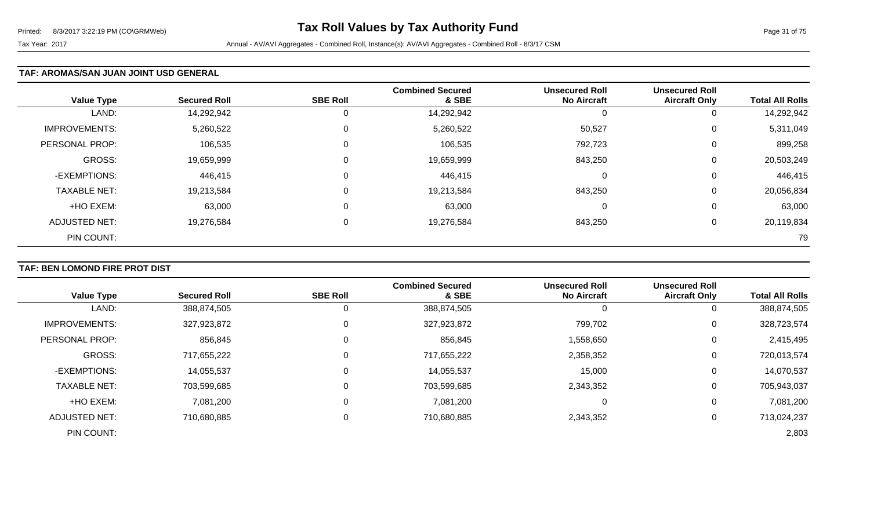#### **TAF: AROMAS/SAN JUAN JOINT USD GENERAL**

| <b>Value Type</b>    | <b>Secured Roll</b> | <b>SBE Roll</b> | <b>Combined Secured</b><br>& SBE | <b>Unsecured Roll</b><br><b>No Aircraft</b> | <b>Unsecured Roll</b><br><b>Aircraft Only</b> | <b>Total All Rolls</b> |
|----------------------|---------------------|-----------------|----------------------------------|---------------------------------------------|-----------------------------------------------|------------------------|
| LAND:                | 14,292,942          | 0               | 14,292,942                       |                                             | 0                                             | 14,292,942             |
| <b>IMPROVEMENTS:</b> | 5,260,522           | $\mathbf 0$     | 5,260,522                        | 50,527                                      | 0                                             | 5,311,049              |
| PERSONAL PROP:       | 106,535             | $\overline{0}$  | 106,535                          | 792,723                                     | 0                                             | 899,258                |
| <b>GROSS:</b>        | 19,659,999          | $\overline{0}$  | 19,659,999                       | 843,250                                     | 0                                             | 20,503,249             |
| -EXEMPTIONS:         | 446,415             | 0               | 446,415                          | 0                                           | 0                                             | 446,415                |
| <b>TAXABLE NET:</b>  | 19,213,584          | $\overline{0}$  | 19,213,584                       | 843,250                                     | 0                                             | 20,056,834             |
| +HO EXEM:            | 63,000              | $\mathbf 0$     | 63,000                           | 0                                           | 0                                             | 63,000                 |
| <b>ADJUSTED NET:</b> | 19,276,584          | 0               | 19,276,584                       | 843,250                                     | 0                                             | 20,119,834             |
| PIN COUNT:           |                     |                 |                                  |                                             |                                               | 79                     |

# **TAF: BEN LOMOND FIRE PROT DIST**

|                       |                     | <b>SBE Roll</b> | <b>Combined Secured</b><br>& SBE | <b>Unsecured Roll</b><br><b>No Aircraft</b> | <b>Unsecured Roll</b> | <b>Total All Rolls</b> |
|-----------------------|---------------------|-----------------|----------------------------------|---------------------------------------------|-----------------------|------------------------|
| <b>Value Type</b>     | <b>Secured Roll</b> |                 |                                  |                                             | <b>Aircraft Only</b>  |                        |
| LAND:                 | 388,874,505         |                 | 388,874,505                      | O                                           | U                     | 388,874,505            |
| <b>IMPROVEMENTS:</b>  | 327,923,872         |                 | 327,923,872                      | 799,702                                     | 0                     | 328,723,574            |
| <b>PERSONAL PROP:</b> | 856,845             |                 | 856,845                          | 1,558,650                                   | 0                     | 2,415,495              |
| <b>GROSS:</b>         | 717,655,222         |                 | 717,655,222                      | 2,358,352                                   | $\mathbf 0$           | 720,013,574            |
| -EXEMPTIONS:          | 14,055,537          |                 | 14,055,537                       | 15,000                                      | $\mathbf 0$           | 14,070,537             |
| <b>TAXABLE NET:</b>   | 703,599,685         |                 | 703,599,685                      | 2,343,352                                   | 0                     | 705,943,037            |
| +HO EXEM:             | 7,081,200           | 0               | 7,081,200                        | 0                                           | 0                     | 7,081,200              |
| <b>ADJUSTED NET:</b>  | 710,680,885         |                 | 710,680,885                      | 2,343,352                                   | 0                     | 713,024,237            |
| PIN COUNT:            |                     |                 |                                  |                                             |                       | 2,803                  |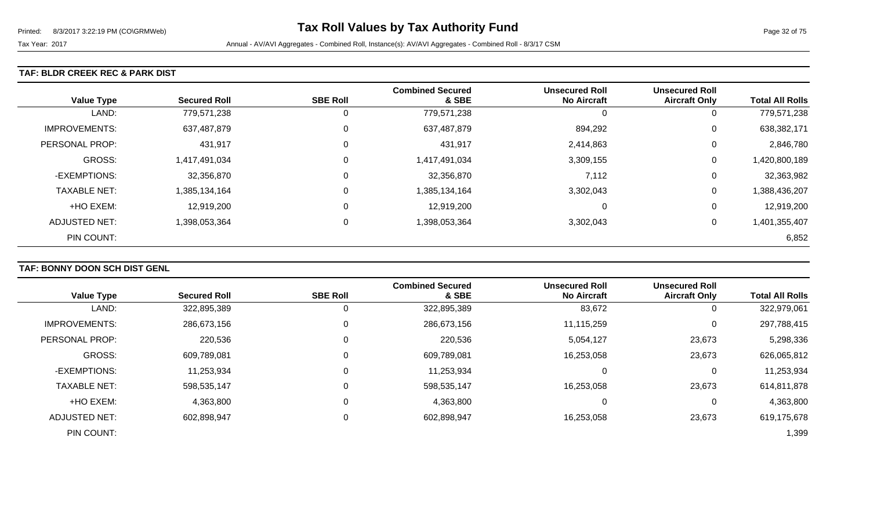#### **TAF: BLDR CREEK REC & PARK DIST**

| <b>Value Type</b>    | <b>Secured Roll</b> | <b>SBE Roll</b> | <b>Combined Secured</b><br>& SBE | <b>Unsecured Roll</b><br><b>No Aircraft</b> | <b>Unsecured Roll</b><br><b>Aircraft Only</b> | <b>Total All Rolls</b> |
|----------------------|---------------------|-----------------|----------------------------------|---------------------------------------------|-----------------------------------------------|------------------------|
| LAND:                | 779,571,238         | 0               | 779,571,238                      | 0                                           | $\theta$                                      | 779,571,238            |
| <b>IMPROVEMENTS:</b> | 637,487,879         | 0               | 637,487,879                      | 894,292                                     | 0                                             | 638,382,171            |
| PERSONAL PROP:       | 431,917             | 0               | 431,917                          | 2,414,863                                   | 0                                             | 2,846,780              |
| <b>GROSS:</b>        | 1,417,491,034       | 0               | 1,417,491,034                    | 3,309,155                                   | 0                                             | 1,420,800,189          |
| -EXEMPTIONS:         | 32,356,870          | 0               | 32,356,870                       | 7,112                                       | 0                                             | 32,363,982             |
| <b>TAXABLE NET:</b>  | 1,385,134,164       | 0               | 1,385,134,164                    | 3,302,043                                   | 0                                             | 1,388,436,207          |
| +HO EXEM:            | 12,919,200          | 0               | 12,919,200                       | $\Omega$                                    | 0                                             | 12,919,200             |
| ADJUSTED NET:        | 1,398,053,364       | 0               | 1,398,053,364                    | 3,302,043                                   | 0                                             | 1,401,355,407          |
| PIN COUNT:           |                     |                 |                                  |                                             |                                               | 6,852                  |

# **TAF: BONNY DOON SCH DIST GENL**

|                       |                     |                 | <b>Combined Secured</b> | <b>Unsecured Roll</b> | <b>Unsecured Roll</b> |                        |
|-----------------------|---------------------|-----------------|-------------------------|-----------------------|-----------------------|------------------------|
| <b>Value Type</b>     | <b>Secured Roll</b> | <b>SBE Roll</b> | & SBE                   | <b>No Aircraft</b>    | <b>Aircraft Only</b>  | <b>Total All Rolls</b> |
| LAND:                 | 322,895,389         |                 | 322,895,389             | 83,672                | 0                     | 322,979,061            |
| <b>IMPROVEMENTS:</b>  | 286,673,156         |                 | 286,673,156             | 11,115,259            | 0                     | 297,788,415            |
| <b>PERSONAL PROP:</b> | 220,536             | 0               | 220,536                 | 5,054,127             | 23,673                | 5,298,336              |
| <b>GROSS:</b>         | 609,789,081         |                 | 609,789,081             | 16,253,058            | 23,673                | 626,065,812            |
| -EXEMPTIONS:          | 11,253,934          |                 | 11,253,934              | 0                     | 0                     | 11,253,934             |
| <b>TAXABLE NET:</b>   | 598,535,147         |                 | 598,535,147             | 16,253,058            | 23,673                | 614,811,878            |
| +HO EXEM:             | 4,363,800           |                 | 4,363,800               | 0                     | 0                     | 4,363,800              |
| ADJUSTED NET:         | 602,898,947         |                 | 602,898,947             | 16,253,058            | 23,673                | 619,175,678            |
| PIN COUNT:            |                     |                 |                         |                       |                       | 1,399                  |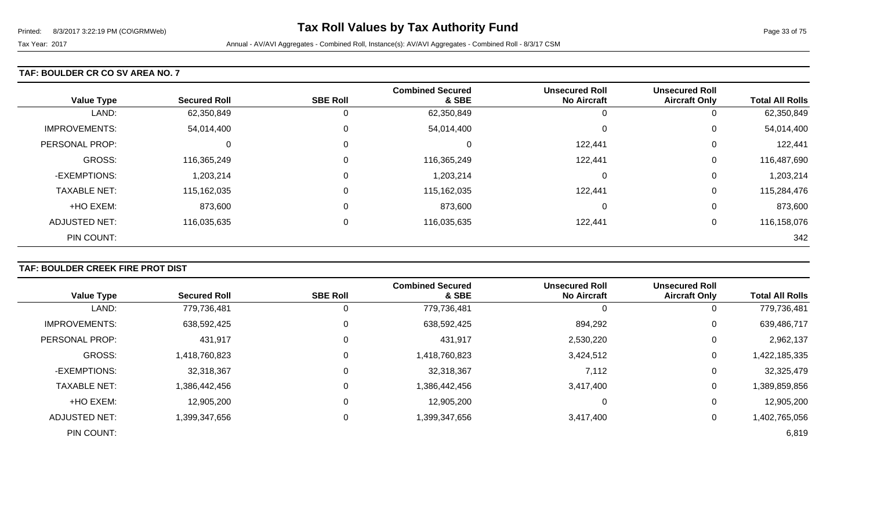#### **TAF: BOULDER CR CO SV AREA NO. 7**

| <b>Value Type</b>    | <b>Secured Roll</b> | <b>SBE Roll</b> | <b>Combined Secured</b><br>& SBE | <b>Unsecured Roll</b><br><b>No Aircraft</b> | <b>Unsecured Roll</b><br><b>Aircraft Only</b> | <b>Total All Rolls</b> |
|----------------------|---------------------|-----------------|----------------------------------|---------------------------------------------|-----------------------------------------------|------------------------|
| LAND:                | 62,350,849          | 0               | 62,350,849                       | -0                                          | U                                             | 62,350,849             |
| <b>IMPROVEMENTS:</b> | 54,014,400          | $\mathbf 0$     | 54,014,400                       | $\Omega$                                    | U                                             | 54,014,400             |
| PERSONAL PROP:       | $\Omega$            | 0               | 0                                | 122,441                                     | 0                                             | 122,441                |
| <b>GROSS:</b>        | 116,365,249         | 0               | 116,365,249                      | 122,441                                     | 0                                             | 116,487,690            |
| -EXEMPTIONS:         | 1,203,214           | 0               | 1,203,214                        | $\Omega$                                    | 0                                             | 1,203,214              |
| <b>TAXABLE NET:</b>  | 115,162,035         | 0               | 115,162,035                      | 122,441                                     | 0                                             | 115,284,476            |
| +HO EXEM:            | 873,600             | 0               | 873,600                          | $\Omega$                                    | 0                                             | 873,600                |
| ADJUSTED NET:        | 116,035,635         | 0               | 116,035,635                      | 122,441                                     | 0                                             | 116,158,076            |
| PIN COUNT:           |                     |                 |                                  |                                             |                                               | 342                    |

# **TAF: BOULDER CREEK FIRE PROT DIST**

| <b>Value Type</b>    | <b>Secured Roll</b> | <b>SBE Roll</b> | <b>Combined Secured</b><br>& SBE | <b>Unsecured Roll</b><br><b>No Aircraft</b> | <b>Unsecured Roll</b><br><b>Aircraft Only</b> | <b>Total All Rolls</b> |
|----------------------|---------------------|-----------------|----------------------------------|---------------------------------------------|-----------------------------------------------|------------------------|
|                      |                     |                 |                                  |                                             |                                               |                        |
| LAND:                | 779,736,481         | O               | 779,736,481                      |                                             | 0                                             | 779,736,481            |
| <b>IMPROVEMENTS:</b> | 638,592,425         | 0               | 638,592,425                      | 894,292                                     | 0                                             | 639,486,717            |
| PERSONAL PROP:       | 431,917             | 0               | 431,917                          | 2,530,220                                   | 0                                             | 2,962,137              |
| <b>GROSS:</b>        | 1,418,760,823       | 0               | 1,418,760,823                    | 3,424,512                                   | 0                                             | 1,422,185,335          |
| -EXEMPTIONS:         | 32,318,367          | 0               | 32,318,367                       | 7,112                                       | 0                                             | 32,325,479             |
| <b>TAXABLE NET:</b>  | 1,386,442,456       | $\mathbf{0}$    | 1,386,442,456                    | 3,417,400                                   | 0                                             | 1,389,859,856          |
| +HO EXEM:            | 12,905,200          | $\mathbf{0}$    | 12,905,200                       |                                             | 0                                             | 12,905,200             |
| <b>ADJUSTED NET:</b> | 1,399,347,656       | 0               | 1,399,347,656                    | 3,417,400                                   | 0                                             | 1,402,765,056          |
| PIN COUNT:           |                     |                 |                                  |                                             |                                               | 6,819                  |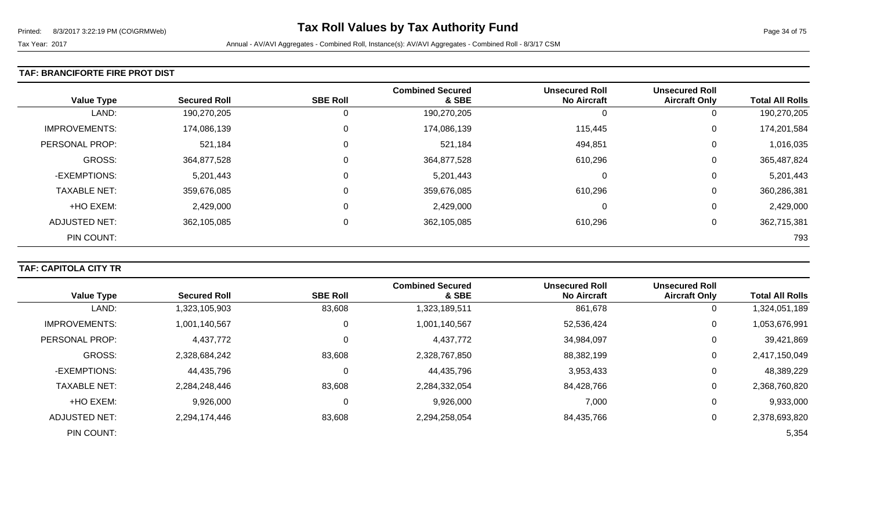#### **TAF: BRANCIFORTE FIRE PROT DIST**

| <b>Value Type</b>    | <b>Secured Roll</b> | <b>SBE Roll</b> | <b>Combined Secured</b><br>& SBE | <b>Unsecured Roll</b><br><b>No Aircraft</b> | <b>Unsecured Roll</b><br><b>Aircraft Only</b> | <b>Total All Rolls</b> |
|----------------------|---------------------|-----------------|----------------------------------|---------------------------------------------|-----------------------------------------------|------------------------|
| LAND:                | 190,270,205         | 0               | 190,270,205                      | O                                           | 0                                             | 190,270,205            |
| <b>IMPROVEMENTS:</b> | 174,086,139         | 0               | 174,086,139                      | 115,445                                     | 0                                             | 174,201,584            |
| PERSONAL PROP:       | 521,184             | 0               | 521,184                          | 494,851                                     | 0                                             | 1,016,035              |
| GROSS:               | 364,877,528         | 0               | 364,877,528                      | 610,296                                     | 0                                             | 365,487,824            |
| -EXEMPTIONS:         | 5,201,443           | 0               | 5,201,443                        | 0                                           | 0                                             | 5,201,443              |
| <b>TAXABLE NET:</b>  | 359,676,085         | 0               | 359,676,085                      | 610,296                                     | 0                                             | 360,286,381            |
| +HO EXEM:            | 2,429,000           | 0               | 2,429,000                        | 0                                           | 0                                             | 2,429,000              |
| ADJUSTED NET:        | 362,105,085         | 0               | 362,105,085                      | 610,296                                     | 0                                             | 362,715,381            |
| PIN COUNT:           |                     |                 |                                  |                                             |                                               | 793                    |

# **TAF: CAPITOLA CITY TR**

|                      |                     |                 | <b>Combined Secured</b> | <b>Unsecured Roll</b> | <b>Unsecured Roll</b> |                        |
|----------------------|---------------------|-----------------|-------------------------|-----------------------|-----------------------|------------------------|
| <b>Value Type</b>    | <b>Secured Roll</b> | <b>SBE Roll</b> | & SBE                   | <b>No Aircraft</b>    | <b>Aircraft Only</b>  | <b>Total All Rolls</b> |
| LAND:                | 1,323,105,903       | 83,608          | 1,323,189,511           | 861,678               | 0                     | ,324,051,189           |
| <b>IMPROVEMENTS:</b> | 1,001,140,567       | 0               | 1,001,140,567           | 52,536,424            | 0                     | 1,053,676,991          |
| PERSONAL PROP:       | 4,437,772           |                 | 4,437,772               | 34,984,097            | 0                     | 39,421,869             |
| <b>GROSS:</b>        | 2,328,684,242       | 83,608          | 2,328,767,850           | 88,382,199            | 0                     | 2,417,150,049          |
| -EXEMPTIONS:         | 44,435,796          |                 | 44,435,796              | 3,953,433             | 0                     | 48,389,229             |
| <b>TAXABLE NET:</b>  | 2,284,248,446       | 83,608          | 2,284,332,054           | 84,428,766            | 0                     | 2,368,760,820          |
| +HO EXEM:            | 9,926,000           | 0               | 9,926,000               | 7,000                 | $\mathbf 0$           | 9,933,000              |
| ADJUSTED NET:        | 2,294,174,446       | 83,608          | 2,294,258,054           | 84,435,766            | 0                     | 2,378,693,820          |
| PIN COUNT:           |                     |                 |                         |                       |                       | 5,354                  |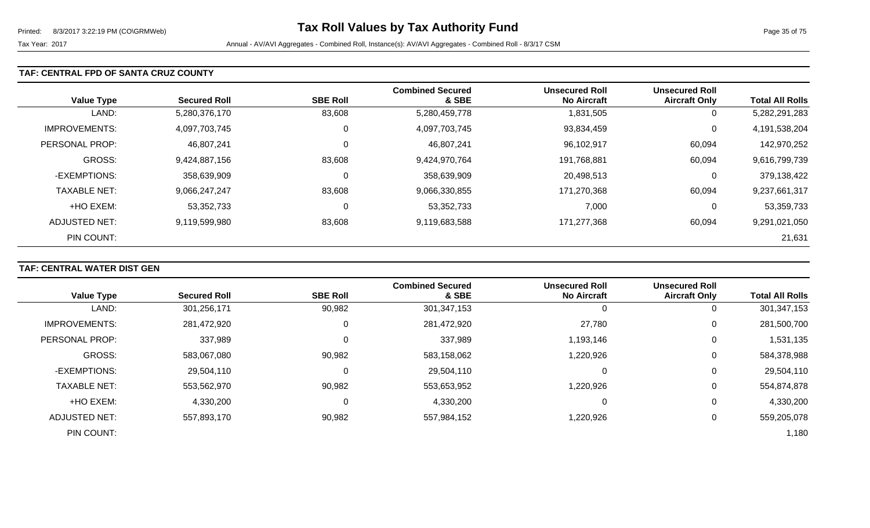#### **TAF: CENTRAL FPD OF SANTA CRUZ COUNTY**

|                      |                     |                 | <b>Combined Secured</b> | <b>Unsecured Roll</b> | <b>Unsecured Roll</b> |                        |
|----------------------|---------------------|-----------------|-------------------------|-----------------------|-----------------------|------------------------|
| <b>Value Type</b>    | <b>Secured Roll</b> | <b>SBE Roll</b> | & SBE                   | <b>No Aircraft</b>    | <b>Aircraft Only</b>  | <b>Total All Rolls</b> |
| LAND:                | 5,280,376,170       | 83,608          | 5,280,459,778           | 1,831,505             | 0                     | 5,282,291,283          |
| <b>IMPROVEMENTS:</b> | 4,097,703,745       | 0               | 4,097,703,745           | 93,834,459            | 0                     | 4,191,538,204          |
| PERSONAL PROP:       | 46,807,241          |                 | 46,807,241              | 96,102,917            | 60,094                | 142,970,252            |
| <b>GROSS:</b>        | 9,424,887,156       | 83,608          | 9,424,970,764           | 191,768,881           | 60,094                | 9,616,799,739          |
| -EXEMPTIONS:         | 358,639,909         | C               | 358,639,909             | 20,498,513            | 0                     | 379,138,422            |
| <b>TAXABLE NET:</b>  | 9,066,247,247       | 83,608          | 9,066,330,855           | 171,270,368           | 60,094                | 9,237,661,317          |
| +HO EXEM:            | 53,352,733          | 0               | 53,352,733              | 7,000                 | 0                     | 53,359,733             |
| ADJUSTED NET:        | 9,119,599,980       | 83,608          | 9,119,683,588           | 171,277,368           | 60,094                | 9,291,021,050          |
| PIN COUNT:           |                     |                 |                         |                       |                       | 21,631                 |

# **TAF: CENTRAL WATER DIST GEN**

|                      |                     |                 | <b>Combined Secured</b> | <b>Unsecured Roll</b> | <b>Unsecured Roll</b> |                        |
|----------------------|---------------------|-----------------|-------------------------|-----------------------|-----------------------|------------------------|
| <b>Value Type</b>    | <b>Secured Roll</b> | <b>SBE Roll</b> | & SBE                   | <b>No Aircraft</b>    | <b>Aircraft Only</b>  | <b>Total All Rolls</b> |
| LAND:                | 301,256,171         | 90,982          | 301,347,153             | 0                     | 0                     | 301,347,153            |
| <b>IMPROVEMENTS:</b> | 281,472,920         |                 | 281,472,920             | 27,780                | 0                     | 281,500,700            |
| PERSONAL PROP:       | 337,989             |                 | 337,989                 | 1,193,146             | 0                     | 1,531,135              |
| <b>GROSS:</b>        | 583,067,080         | 90,982          | 583,158,062             | 1,220,926             | $\mathbf 0$           | 584,378,988            |
| -EXEMPTIONS:         | 29,504,110          |                 | 29,504,110              | 0                     | 0                     | 29,504,110             |
| <b>TAXABLE NET:</b>  | 553,562,970         | 90,982          | 553,653,952             | 220,926,۱             | 0                     | 554,874,878            |
| +HO EXEM:            | 4,330,200           |                 | 4,330,200               | 0                     | 0                     | 4,330,200              |
| ADJUSTED NET:        | 557,893,170         | 90,982          | 557,984,152             | 1,220,926             | 0                     | 559,205,078            |
| PIN COUNT:           |                     |                 |                         |                       |                       | 1,180                  |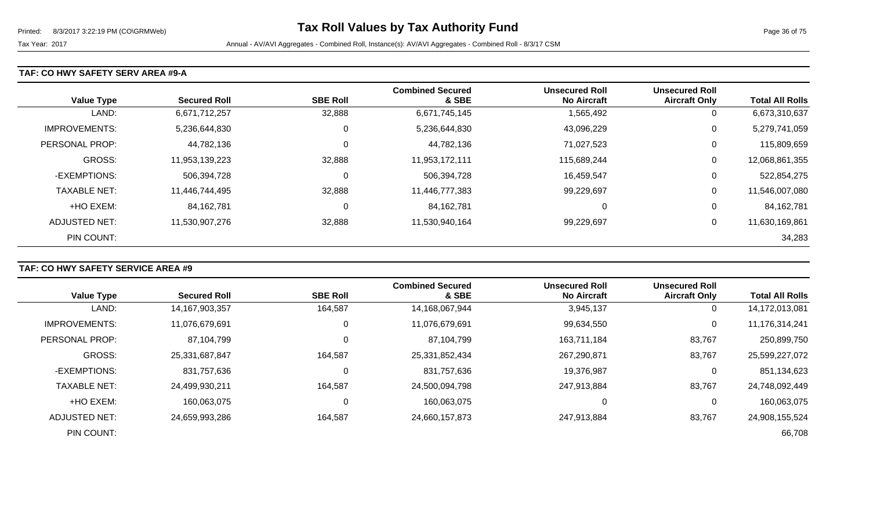#### **TAF: CO HWY SAFETY SERV AREA #9-A**

| <b>Value Type</b>    | <b>Secured Roll</b> | <b>SBE Roll</b> | <b>Combined Secured</b><br>& SBE | <b>Unsecured Roll</b><br><b>No Aircraft</b> | <b>Unsecured Roll</b><br><b>Aircraft Only</b> | <b>Total All Rolls</b> |
|----------------------|---------------------|-----------------|----------------------------------|---------------------------------------------|-----------------------------------------------|------------------------|
| LAND:                | 6,671,712,257       | 32,888          | 6,671,745,145                    | 1,565,492                                   | 0                                             | 6,673,310,637          |
| <b>IMPROVEMENTS:</b> | 5,236,644,830       | 0               | 5,236,644,830                    | 43,096,229                                  | 0                                             | 5,279,741,059          |
| PERSONAL PROP:       | 44,782,136          | 0               | 44,782,136                       | 71,027,523                                  | 0                                             | 115,809,659            |
| <b>GROSS:</b>        | 11,953,139,223      | 32,888          | 11,953,172,111                   | 115,689,244                                 | 0                                             | 12,068,861,355         |
| -EXEMPTIONS:         | 506,394,728         | 0               | 506,394,728                      | 16,459,547                                  | 0                                             | 522,854,275            |
| <b>TAXABLE NET:</b>  | 11,446,744,495      | 32,888          | 11,446,777,383                   | 99,229,697                                  | 0                                             | 11,546,007,080         |
| +HO EXEM:            | 84, 162, 781        | 0               | 84,162,781                       | υ                                           | 0                                             | 84,162,781             |
| ADJUSTED NET:        | 11,530,907,276      | 32,888          | 11,530,940,164                   | 99,229,697                                  | 0                                             | 11,630,169,861         |
| PIN COUNT:           |                     |                 |                                  |                                             |                                               | 34,283                 |

# **TAF: CO HWY SAFETY SERVICE AREA #9**

|                      |                     |                 | <b>Combined Secured</b> | <b>Unsecured Roll</b> | <b>Unsecured Roll</b> |                        |
|----------------------|---------------------|-----------------|-------------------------|-----------------------|-----------------------|------------------------|
| <b>Value Type</b>    | <b>Secured Roll</b> | <b>SBE Roll</b> | & SBE                   | <b>No Aircraft</b>    | <b>Aircraft Only</b>  | <b>Total All Rolls</b> |
| LAND:                | 14,167,903,357      | 164,587         | 14,168,067,944          | 3,945,137             | 0                     | 14,172,013,081         |
| <b>IMPROVEMENTS:</b> | 11,076,679,691      | 0               | 11,076,679,691          | 99,634,550            | 0                     | 11,176,314,241         |
| PERSONAL PROP:       | 87,104,799          |                 | 87,104,799              | 163,711,184           | 83,767                | 250,899,750            |
| <b>GROSS:</b>        | 25,331,687,847      | 164,587         | 25,331,852,434          | 267,290,871           | 83,767                | 25,599,227,072         |
| -EXEMPTIONS:         | 831,757,636         |                 | 831,757,636             | 19,376,987            | 0                     | 851,134,623            |
| <b>TAXABLE NET:</b>  | 24,499,930,211      | 164,587         | 24,500,094,798          | 247,913,884           | 83,767                | 24,748,092,449         |
| +HO EXEM:            | 160,063,075         | 0               | 160,063,075             | 0                     | 0                     | 160,063,075            |
| ADJUSTED NET:        | 24,659,993,286      | 164,587         | 24,660,157,873          | 247,913,884           | 83,767                | 24,908,155,524         |
| PIN COUNT:           |                     |                 |                         |                       |                       | 66,708                 |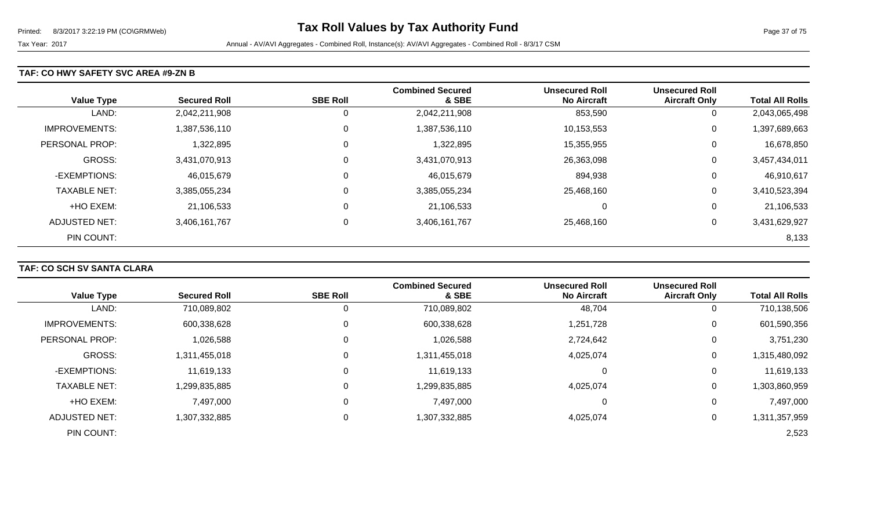#### **TAF: CO HWY SAFETY SVC AREA #9-ZN B**

| <b>Value Type</b>    | <b>Secured Roll</b> | <b>SBE Roll</b> | <b>Combined Secured</b><br>& SBE | <b>Unsecured Roll</b><br><b>No Aircraft</b> | <b>Unsecured Roll</b><br><b>Aircraft Only</b> | <b>Total All Rolls</b> |
|----------------------|---------------------|-----------------|----------------------------------|---------------------------------------------|-----------------------------------------------|------------------------|
| LAND:                | 2,042,211,908       | Ü               | 2,042,211,908                    | 853,590                                     | U                                             | 2,043,065,498          |
| <b>IMPROVEMENTS:</b> | 1,387,536,110       | 0               | 1,387,536,110                    | 10,153,553                                  | 0                                             | 1,397,689,663          |
| PERSONAL PROP:       | 1,322,895           | 0               | 1,322,895                        | 15,355,955                                  | 0                                             | 16,678,850             |
| GROSS:               | 3,431,070,913       | 0               | 3,431,070,913                    | 26,363,098                                  | 0                                             | 3,457,434,011          |
| -EXEMPTIONS:         | 46,015,679          | 0               | 46,015,679                       | 894,938                                     | 0                                             | 46,910,617             |
| <b>TAXABLE NET:</b>  | 3,385,055,234       | 0               | 3,385,055,234                    | 25,468,160                                  | 0                                             | 3,410,523,394          |
| +HO EXEM:            | 21,106,533          | 0               | 21,106,533                       | 0                                           | 0                                             | 21,106,533             |
| <b>ADJUSTED NET:</b> | 3,406,161,767       | 0               | 3,406,161,767                    | 25,468,160                                  | 0                                             | 3,431,629,927          |
| PIN COUNT:           |                     |                 |                                  |                                             |                                               | 8,133                  |

## **TAF: CO SCH SV SANTA CLARA**

|                       |                     |                 | <b>Combined Secured</b> | <b>Unsecured Roll</b> | <b>Unsecured Roll</b> |                        |
|-----------------------|---------------------|-----------------|-------------------------|-----------------------|-----------------------|------------------------|
| <b>Value Type</b>     | <b>Secured Roll</b> | <b>SBE Roll</b> | & SBE                   | <b>No Aircraft</b>    | <b>Aircraft Only</b>  | <b>Total All Rolls</b> |
| LAND:                 | 710,089,802         | O               | 710,089,802             | 48,704                | 0                     | 710,138,506            |
| <b>IMPROVEMENTS:</b>  | 600,338,628         | 0               | 600,338,628             | 1,251,728             | 0                     | 601,590,356            |
| <b>PERSONAL PROP:</b> | 1,026,588           | 0               | 1,026,588               | 2,724,642             | 0                     | 3,751,230              |
| <b>GROSS:</b>         | 1,311,455,018       | 0               | 1,311,455,018           | 4,025,074             | 0                     | 1,315,480,092          |
| -EXEMPTIONS:          | 11,619,133          | 0               | 11,619,133              | 0                     | 0                     | 11,619,133             |
| <b>TAXABLE NET:</b>   | 1,299,835,885       | 0               | 1,299,835,885           | 4,025,074             | 0                     | 1,303,860,959          |
| +HO EXEM:             | 7,497,000           | 0               | 7,497,000               | 0                     | 0                     | 7,497,000              |
| <b>ADJUSTED NET:</b>  | 1,307,332,885       | 0               | 1,307,332,885           | 4,025,074             | 0                     | 1,311,357,959          |
| PIN COUNT:            |                     |                 |                         |                       |                       | 2,523                  |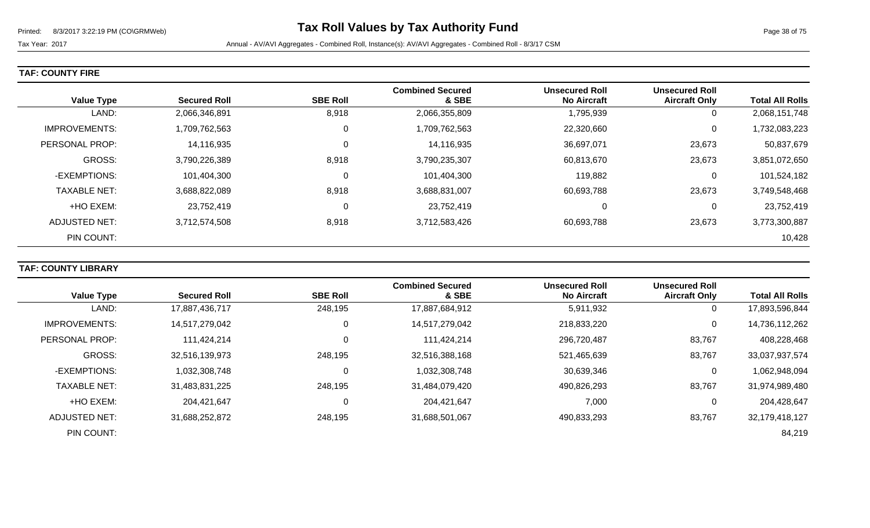**TAF: COUNTY FIRE** 

| <b>Value Type</b>    | <b>Secured Roll</b> | <b>SBE Roll</b> | <b>Combined Secured</b><br>& SBE | <b>Unsecured Roll</b><br><b>No Aircraft</b> | <b>Unsecured Roll</b><br><b>Aircraft Only</b> | <b>Total All Rolls</b> |
|----------------------|---------------------|-----------------|----------------------------------|---------------------------------------------|-----------------------------------------------|------------------------|
| LAND:                | 2,066,346,891       | 8,918           | 2,066,355,809                    | 1,795,939                                   | 0                                             | 2,068,151,748          |
| <b>IMPROVEMENTS:</b> | 1,709,762,563       | 0               | 1,709,762,563                    | 22,320,660                                  | $\overline{0}$                                | 1,732,083,223          |
| PERSONAL PROP:       | 14,116,935          | $\mathbf 0$     | 14,116,935                       | 36,697,071                                  | 23,673                                        | 50,837,679             |
| <b>GROSS:</b>        | 3,790,226,389       | 8,918           | 3,790,235,307                    | 60,813,670                                  | 23,673                                        | 3,851,072,650          |
| -EXEMPTIONS:         | 101,404,300         | 0               | 101,404,300                      | 119,882                                     | 0                                             | 101,524,182            |
| <b>TAXABLE NET:</b>  | 3,688,822,089       | 8,918           | 3,688,831,007                    | 60,693,788                                  | 23,673                                        | 3,749,548,468          |
| +HO EXEM:            | 23,752,419          | 0               | 23,752,419                       | 0                                           | 0                                             | 23,752,419             |
| ADJUSTED NET:        | 3,712,574,508       | 8,918           | 3,712,583,426                    | 60,693,788                                  | 23,673                                        | 3,773,300,887          |
| PIN COUNT:           |                     |                 |                                  |                                             |                                               | 10,428                 |

## **TAF: COUNTY LIBRARY**

|                      |                     |                 | <b>Combined Secured</b> | <b>Unsecured Roll</b> | <b>Unsecured Roll</b> |                        |
|----------------------|---------------------|-----------------|-------------------------|-----------------------|-----------------------|------------------------|
| <b>Value Type</b>    | <b>Secured Roll</b> | <b>SBE Roll</b> | & SBE                   | <b>No Aircraft</b>    | <b>Aircraft Only</b>  | <b>Total All Rolls</b> |
| LAND:                | 17,887,436,717      | 248,195         | 17,887,684,912          | 5,911,932             |                       | 17,893,596,844         |
| <b>IMPROVEMENTS:</b> | 14,517,279,042      | 0               | 14,517,279,042          | 218,833,220           | 0                     | 14,736,112,262         |
| PERSONAL PROP:       | 111,424,214         | 0               | 111,424,214             | 296,720,487           | 83,767                | 408,228,468            |
| <b>GROSS:</b>        | 32,516,139,973      | 248,195         | 32,516,388,168          | 521,465,639           | 83,767                | 33,037,937,574         |
| -EXEMPTIONS:         | 1,032,308,748       | $\Omega$        | 1,032,308,748           | 30,639,346            |                       | 1,062,948,094          |
| <b>TAXABLE NET:</b>  | 31,483,831,225      | 248,195         | 31,484,079,420          | 490,826,293           | 83,767                | 31,974,989,480         |
| +HO EXEM:            | 204,421,647         | 0               | 204,421,647             | 7,000                 | 0                     | 204,428,647            |
| ADJUSTED NET:        | 31,688,252,872      | 248,195         | 31,688,501,067          | 490,833,293           | 83,767                | 32,179,418,127         |
| PIN COUNT:           |                     |                 |                         |                       |                       | 84,219                 |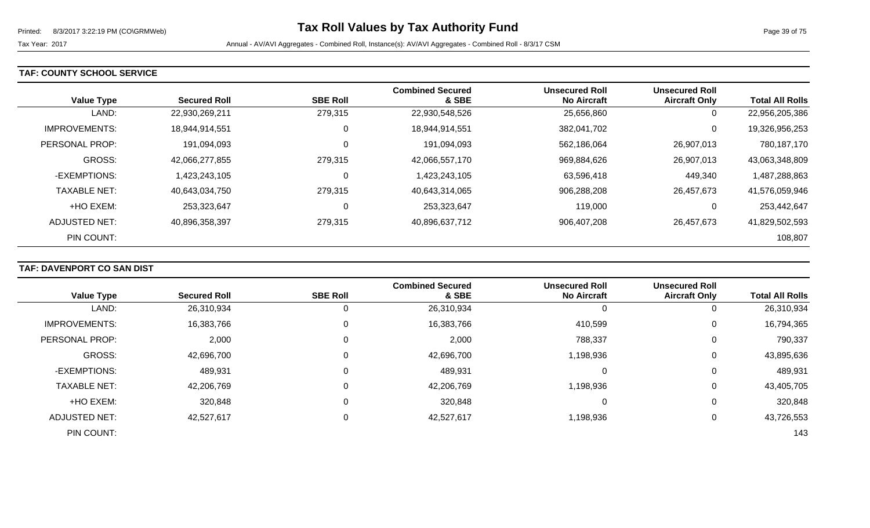#### **TAF: COUNTY SCHOOL SERVICE**

| <b>Value Type</b>    | <b>Secured Roll</b> | <b>SBE Roll</b> | <b>Combined Secured</b><br>& SBE | <b>Unsecured Roll</b><br><b>No Aircraft</b> | <b>Unsecured Roll</b><br><b>Aircraft Only</b> | <b>Total All Rolls</b> |
|----------------------|---------------------|-----------------|----------------------------------|---------------------------------------------|-----------------------------------------------|------------------------|
| LAND:                | 22,930,269,211      | 279,315         | 22,930,548,526                   | 25,656,860                                  | 0                                             | 22,956,205,386         |
| <b>IMPROVEMENTS:</b> | 18,944,914,551      | 0               | 18,944,914,551                   | 382.041.702                                 | 0                                             | 19,326,956,253         |
| PERSONAL PROP:       | 191,094,093         | 0               | 191,094,093                      | 562,186,064                                 | 26,907,013                                    | 780,187,170            |
| <b>GROSS:</b>        | 42,066,277,855      | 279,315         | 42,066,557,170                   | 969,884,626                                 | 26,907,013                                    | 43,063,348,809         |
| -EXEMPTIONS:         | 1,423,243,105       | 0               | 1,423,243,105                    | 63,596,418                                  | 449,340                                       | 1,487,288,863          |
| <b>TAXABLE NET:</b>  | 40,643,034,750      | 279,315         | 40,643,314,065                   | 906,288,208                                 | 26,457,673                                    | 41,576,059,946         |
| +HO EXEM:            | 253,323,647         | 0               | 253,323,647                      | 119,000                                     | 0                                             | 253,442,647            |
| ADJUSTED NET:        | 40,896,358,397      | 279,315         | 40,896,637,712                   | 906,407,208                                 | 26,457,673                                    | 41,829,502,593         |
| PIN COUNT:           |                     |                 |                                  |                                             |                                               | 108,807                |

## **TAF: DAVENPORT CO SAN DIST**

|                      |                     |                 | <b>Combined Secured</b> | <b>Unsecured Roll</b> | <b>Unsecured Roll</b> |                        |
|----------------------|---------------------|-----------------|-------------------------|-----------------------|-----------------------|------------------------|
| <b>Value Type</b>    | <b>Secured Roll</b> | <b>SBE Roll</b> | & SBE                   | <b>No Aircraft</b>    | <b>Aircraft Only</b>  | <b>Total All Rolls</b> |
| LAND:                | 26,310,934          |                 | 26,310,934              | 0                     | υ                     | 26,310,934             |
| <b>IMPROVEMENTS:</b> | 16,383,766          | 0               | 16,383,766              | 410,599               | 0                     | 16,794,365             |
| PERSONAL PROP:       | 2,000               | 0               | 2,000                   | 788,337               | 0                     | 790,337                |
| <b>GROSS:</b>        | 42,696,700          | 0               | 42,696,700              | 1,198,936             | 0                     | 43,895,636             |
| -EXEMPTIONS:         | 489,931             | 0               | 489,931                 | 0                     | 0                     | 489,931                |
| <b>TAXABLE NET:</b>  | 42,206,769          | 0               | 42,206,769              | 1,198,936             | 0                     | 43,405,705             |
| +HO EXEM:            | 320,848             | 0               | 320,848                 | 0                     | 0                     | 320,848                |
| <b>ADJUSTED NET:</b> | 42,527,617          | 0               | 42,527,617              | 1,198,936             | 0                     | 43,726,553             |
| PIN COUNT:           |                     |                 |                         |                       |                       | 143                    |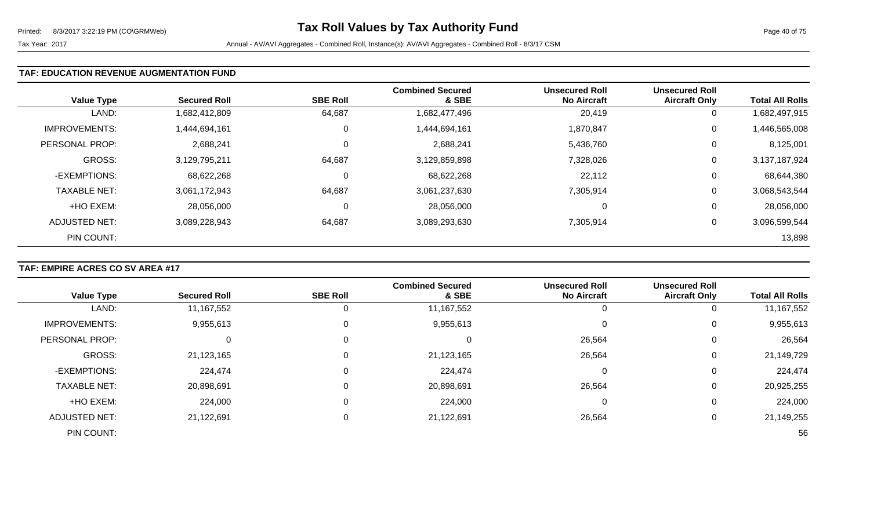#### **TAF: EDUCATION REVENUE AUGMENTATION FUND**

| <b>Value Type</b>    | <b>Secured Roll</b> | <b>SBE Roll</b> | <b>Combined Secured</b><br>& SBE | <b>Unsecured Roll</b><br><b>No Aircraft</b> | <b>Unsecured Roll</b><br><b>Aircraft Only</b> | <b>Total All Rolls</b> |
|----------------------|---------------------|-----------------|----------------------------------|---------------------------------------------|-----------------------------------------------|------------------------|
| LAND:                | 1,682,412,809       | 64,687          | 1,682,477,496                    | 20,419                                      | 0                                             | 1,682,497,915          |
| <b>IMPROVEMENTS:</b> | 1,444,694,161       | 0               | 1,444,694,161                    | 1,870,847                                   | 0                                             | 1,446,565,008          |
| PERSONAL PROP:       | 2,688,241           | 0               | 2,688,241                        | 5,436,760                                   | 0                                             | 8,125,001              |
| <b>GROSS:</b>        | 3,129,795,211       | 64,687          | 3,129,859,898                    | 7,328,026                                   | 0                                             | 3,137,187,924          |
| -EXEMPTIONS:         | 68,622,268          | 0               | 68,622,268                       | 22,112                                      | 0                                             | 68,644,380             |
| <b>TAXABLE NET:</b>  | 3,061,172,943       | 64,687          | 3,061,237,630                    | 7,305,914                                   | 0                                             | 3,068,543,544          |
| +HO EXEM:            | 28,056,000          | 0               | 28,056,000                       | 0                                           | 0                                             | 28,056,000             |
| ADJUSTED NET:        | 3,089,228,943       | 64,687          | 3,089,293,630                    | 7,305,914                                   | 0                                             | 3,096,599,544          |
| PIN COUNT:           |                     |                 |                                  |                                             |                                               | 13,898                 |

## **TAF: EMPIRE ACRES CO SV AREA #17**

|                      |                     |                 | <b>Combined Secured</b> | <b>Unsecured Roll</b> | <b>Unsecured Roll</b> |                        |
|----------------------|---------------------|-----------------|-------------------------|-----------------------|-----------------------|------------------------|
| <b>Value Type</b>    | <b>Secured Roll</b> | <b>SBE Roll</b> | & SBE                   | <b>No Aircraft</b>    | <b>Aircraft Only</b>  | <b>Total All Rolls</b> |
| LAND:                | 11,167,552          | 0               | 11, 167, 552            | 0                     |                       | 11,167,552             |
| <b>IMPROVEMENTS:</b> | 9,955,613           | 0               | 9,955,613               | 0                     | 0                     | 9,955,613              |
| PERSONAL PROP:       |                     | 0               | 0                       | 26,564                | 0                     | 26,564                 |
| <b>GROSS:</b>        | 21,123,165          | 0               | 21,123,165              | 26,564                | 0                     | 21,149,729             |
| -EXEMPTIONS:         | 224,474             | 0               | 224,474                 | 0                     | 0                     | 224,474                |
| <b>TAXABLE NET:</b>  | 20,898,691          | 0               | 20,898,691              | 26,564                | 0                     | 20,925,255             |
| +HO EXEM:            | 224,000             | 0               | 224,000                 | 0                     | 0                     | 224,000                |
| <b>ADJUSTED NET:</b> | 21,122,691          | 0               | 21,122,691              | 26,564                |                       | 21,149,255             |
| PIN COUNT:           |                     |                 |                         |                       |                       | 56                     |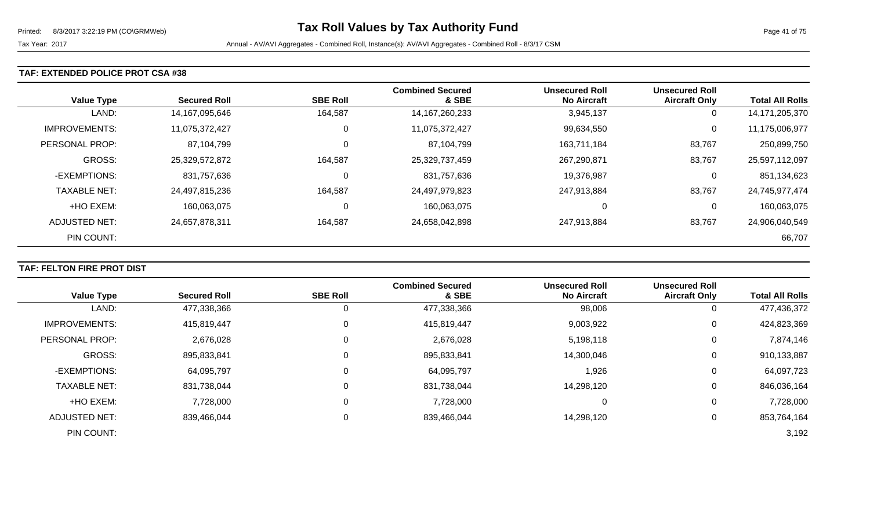#### **TAF: EXTENDED POLICE PROT CSA #38**

| <b>Value Type</b>    | <b>Secured Roll</b> | <b>SBE Roll</b> | <b>Combined Secured</b><br>& SBE | <b>Unsecured Roll</b><br><b>No Aircraft</b> | <b>Unsecured Roll</b><br><b>Aircraft Only</b> | <b>Total All Rolls</b> |
|----------------------|---------------------|-----------------|----------------------------------|---------------------------------------------|-----------------------------------------------|------------------------|
| LAND:                | 14,167,095,646      | 164,587         | 14, 167, 260, 233                | 3,945,137                                   | 0                                             | 14,171,205,370         |
| <b>IMPROVEMENTS:</b> | 11,075,372,427      | 0               | 11,075,372,427                   | 99,634,550                                  | 0                                             | 11,175,006,977         |
| PERSONAL PROP:       | 87,104,799          | 0               | 87,104,799                       | 163,711,184                                 | 83,767                                        | 250,899,750            |
| <b>GROSS:</b>        | 25,329,572,872      | 164,587         | 25,329,737,459                   | 267,290,871                                 | 83,767                                        | 25,597,112,097         |
| -EXEMPTIONS:         | 831,757,636         | 0               | 831,757,636                      | 19,376,987                                  | 0                                             | 851,134,623            |
| <b>TAXABLE NET:</b>  | 24,497,815,236      | 164,587         | 24,497,979,823                   | 247,913,884                                 | 83,767                                        | 24,745,977,474         |
| +HO EXEM:            | 160,063,075         | 0               | 160,063,075                      | 0                                           | 0                                             | 160,063,075            |
| <b>ADJUSTED NET:</b> | 24,657,878,311      | 164,587         | 24,658,042,898                   | 247,913,884                                 | 83,767                                        | 24,906,040,549         |
| PIN COUNT:           |                     |                 |                                  |                                             |                                               | 66,707                 |

## **TAF: FELTON FIRE PROT DIST**

|                      |                     |                 | <b>Combined Secured</b> | <b>Unsecured Roll</b> | <b>Unsecured Roll</b> |                        |
|----------------------|---------------------|-----------------|-------------------------|-----------------------|-----------------------|------------------------|
| <b>Value Type</b>    | <b>Secured Roll</b> | <b>SBE Roll</b> | & SBE                   | <b>No Aircraft</b>    | <b>Aircraft Only</b>  | <b>Total All Rolls</b> |
| LAND:                | 477,338,366         |                 | 477,338,366             | 98,006                | 0                     | 477,436,372            |
| <b>IMPROVEMENTS:</b> | 415,819,447         | 0               | 415,819,447             | 9,003,922             | 0                     | 424,823,369            |
| PERSONAL PROP:       | 2,676,028           | 0               | 2,676,028               | 5,198,118             | 0                     | 7,874,146              |
| GROSS:               | 895,833,841         | 0               | 895,833,841             | 14,300,046            | 0                     | 910,133,887            |
| -EXEMPTIONS:         | 64,095,797          | 0               | 64,095,797              | 1,926                 | 0                     | 64,097,723             |
| <b>TAXABLE NET:</b>  | 831,738,044         | 0               | 831,738,044             | 14,298,120            | 0                     | 846,036,164            |
| +HO EXEM:            | 7,728,000           | 0               | 7,728,000               | 0                     | 0                     | 7,728,000              |
| <b>ADJUSTED NET:</b> | 839,466,044         | 0               | 839,466,044             | 14,298,120            | 0                     | 853,764,164            |
| PIN COUNT:           |                     |                 |                         |                       |                       | 3,192                  |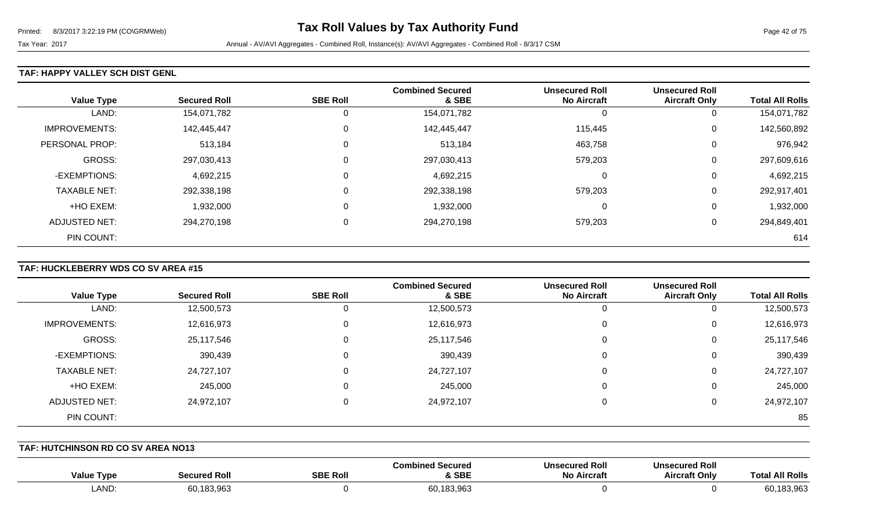#### **TAF: HAPPY VALLEY SCH DIST GENL**

| <b>Value Type</b>    | <b>Secured Roll</b> | <b>SBE Roll</b> | <b>Combined Secured</b><br>& SBE | <b>Unsecured Roll</b><br><b>No Aircraft</b> | <b>Unsecured Roll</b><br><b>Aircraft Only</b> | <b>Total All Rolls</b> |
|----------------------|---------------------|-----------------|----------------------------------|---------------------------------------------|-----------------------------------------------|------------------------|
| LAND:                | 154,071,782         | 0               | 154,071,782                      |                                             | 0                                             | 154,071,782            |
| <b>IMPROVEMENTS:</b> | 142,445,447         | 0               | 142,445,447                      | 115,445                                     | 0                                             | 142,560,892            |
| PERSONAL PROP:       | 513,184             | 0               | 513,184                          | 463,758                                     | 0                                             | 976,942                |
| <b>GROSS:</b>        | 297,030,413         | $\mathbf 0$     | 297,030,413                      | 579,203                                     | 0                                             | 297,609,616            |
| -EXEMPTIONS:         | 4,692,215           | 0               | 4,692,215                        | $\Omega$                                    | 0                                             | 4,692,215              |
| <b>TAXABLE NET:</b>  | 292,338,198         | 0               | 292,338,198                      | 579,203                                     | 0                                             | 292,917,401            |
| +HO EXEM:            | 1,932,000           | 0               | 1,932,000                        | $\Omega$                                    | 0                                             | 1,932,000              |
| ADJUSTED NET:        | 294,270,198         | 0               | 294,270,198                      | 579,203                                     | 0                                             | 294,849,401            |
| PIN COUNT:           |                     |                 |                                  |                                             |                                               | 614                    |

## **TAF: HUCKLEBERRY WDS CO SV AREA #15**

|                      |                     |                 | <b>Combined Secured</b> | <b>Unsecured Roll</b> | <b>Unsecured Roll</b> |                        |
|----------------------|---------------------|-----------------|-------------------------|-----------------------|-----------------------|------------------------|
| <b>Value Type</b>    | <b>Secured Roll</b> | <b>SBE Roll</b> | & SBE                   | <b>No Aircraft</b>    | <b>Aircraft Only</b>  | <b>Total All Rolls</b> |
| LAND:                | 12,500,573          | 0               | 12,500,573              | 0                     | U                     | 12,500,573             |
| <b>IMPROVEMENTS:</b> | 12,616,973          | 0               | 12,616,973              | 0                     | 0                     | 12,616,973             |
| GROSS:               | 25,117,546          | 0               | 25,117,546              | 0                     | 0                     | 25,117,546             |
| -EXEMPTIONS:         | 390,439             | 0               | 390,439                 | 0                     | 0                     | 390,439                |
| <b>TAXABLE NET:</b>  | 24,727,107          | 0               | 24,727,107              | 0                     | 0                     | 24,727,107             |
| +HO EXEM:            | 245,000             | 0               | 245,000                 | 0                     | 0                     | 245,000                |
| ADJUSTED NET:        | 24,972,107          | $\Omega$        | 24,972,107              | 0                     | 0                     | 24,972,107             |
| PIN COUNT:           |                     |                 |                         |                       |                       | 85                     |

**TAF: HUTCHINSON RD CO SV AREA NO13** 

| Value Type | Roll<br>ממנ                       | <b>SBE Rol</b> | .∩ed Secured<br>:ombin<br><b>SBE</b> | <b>Unsecured Roll</b><br>No Aircraft | secured Roll<br>Aircraft Only | <b>Dalle</b><br>∫0'<br>I ROIIS |
|------------|-----------------------------------|----------------|--------------------------------------|--------------------------------------|-------------------------------|--------------------------------|
| LAND:      | ີ 2 ດລ?<br>0.10<br>OU.<br>100.900 |                | 60,183,963                           |                                      |                               | $\sim$ $\sim$<br>1 UU.JUU      |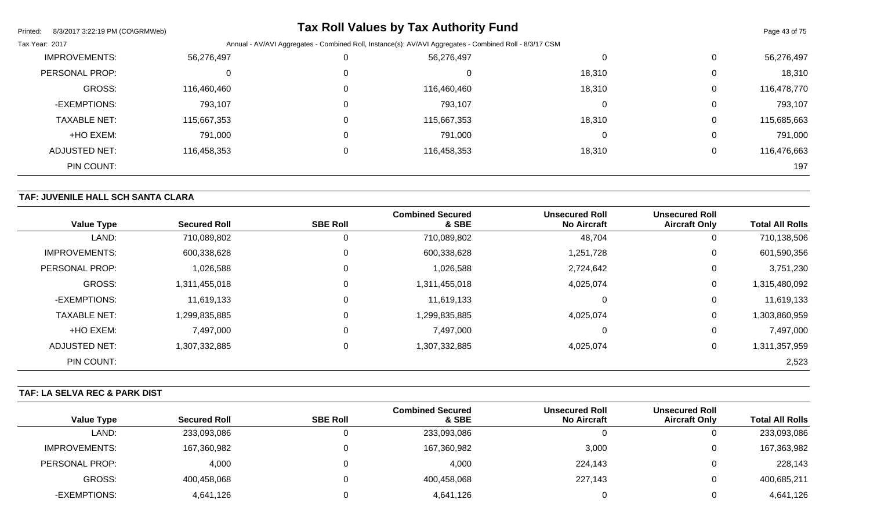| 8/3/2017 3:22:19 PM (CO\GRMWeb)<br>Printed: |             |                                                                                                         | <b>Tax Roll Values by Tax Authority Fund</b> |        |          | Page 43 of 75 |  |
|---------------------------------------------|-------------|---------------------------------------------------------------------------------------------------------|----------------------------------------------|--------|----------|---------------|--|
| Tax Year: 2017                              |             | Annual - AV/AVI Aggregates - Combined Roll, Instance(s): AV/AVI Aggregates - Combined Roll - 8/3/17 CSM |                                              |        |          |               |  |
| <b>IMPROVEMENTS:</b>                        | 56,276,497  |                                                                                                         | 56,276,497                                   | 0      | 0        | 56,276,497    |  |
| PERSONAL PROP:                              |             |                                                                                                         | U                                            | 18,310 | 0        | 18,310        |  |
| <b>GROSS:</b>                               | 116,460,460 |                                                                                                         | 116,460,460                                  | 18,310 | 0        | 116,478,770   |  |
| -EXEMPTIONS:                                | 793,107     |                                                                                                         | 793,107                                      | 0      | 0        | 793,107       |  |
| <b>TAXABLE NET:</b>                         | 115,667,353 |                                                                                                         | 115,667,353                                  | 18,310 | 0        | 115,685,663   |  |
| +HO EXEM:                                   | 791,000     |                                                                                                         | 791,000                                      | 0      | 0        | 791,000       |  |
| ADJUSTED NET:                               | 116,458,353 |                                                                                                         | 116,458,353                                  | 18,310 | $\Omega$ | 116,476,663   |  |
| PIN COUNT:                                  |             |                                                                                                         |                                              |        |          | 197           |  |

# **TAF: JUVENILE HALL SCH SANTA CLARA**

| <b>Value Type</b>    | <b>Secured Roll</b> | <b>SBE Roll</b> | <b>Combined Secured</b><br>& SBE | <b>Unsecured Roll</b><br><b>No Aircraft</b> | <b>Unsecured Roll</b><br><b>Aircraft Only</b> | <b>Total All Rolls</b> |
|----------------------|---------------------|-----------------|----------------------------------|---------------------------------------------|-----------------------------------------------|------------------------|
| LAND:                | 710,089,802         | 0               | 710,089,802                      | 48,704                                      | 0                                             | 710,138,506            |
| <b>IMPROVEMENTS:</b> | 600,338,628         | 0               | 600,338,628                      | 1,251,728                                   | 0                                             | 601,590,356            |
| PERSONAL PROP:       | 1,026,588           | $\mathbf 0$     | 1,026,588                        | 2,724,642                                   | 0                                             | 3,751,230              |
| <b>GROSS:</b>        | 1,311,455,018       | $\overline{0}$  | 1,311,455,018                    | 4,025,074                                   | $\pmb{0}$                                     | 1,315,480,092          |
| -EXEMPTIONS:         | 11,619,133          | 0               | 11,619,133                       |                                             | 0                                             | 11,619,133             |
| <b>TAXABLE NET:</b>  | 1,299,835,885       | $\overline{0}$  | 1,299,835,885                    | 4,025,074                                   | $\pmb{0}$                                     | 1,303,860,959          |
| +HO EXEM:            | 7,497,000           | 0               | 7,497,000                        |                                             | 0                                             | 7,497,000              |
| <b>ADJUSTED NET:</b> | 1,307,332,885       | $\mathbf 0$     | 1,307,332,885                    | 4,025,074                                   | $\pmb{0}$                                     | 1,311,357,959          |
| PIN COUNT:           |                     |                 |                                  |                                             |                                               | 2,523                  |

## **TAF: LA SELVA REC & PARK DIST**

|                   |                     |                 | <b>Combined Secured</b> | <b>Unsecured Roll</b> | <b>Unsecured Roll</b> |                        |
|-------------------|---------------------|-----------------|-------------------------|-----------------------|-----------------------|------------------------|
| <b>Value Type</b> | <b>Secured Roll</b> | <b>SBE Roll</b> | & SBE                   | <b>No Aircraft</b>    | <b>Aircraft Only</b>  | <b>Total All Rolls</b> |
| LAND:             | 233,093,086         |                 | 233,093,086             |                       | ັ                     | 233,093,086            |
| IMPROVEMENTS:     | 167,360,982         |                 | 167,360,982             | 3,000                 | ັ                     | 167,363,982            |
| PERSONAL PROP:    | 4,000               |                 | 4,000                   | 224,143               |                       | 228,143                |
| GROSS:            | 400,458,068         |                 | 400,458,068             | 227,143               | ັ                     | 400,685,211            |
| -EXEMPTIONS:      | 4,641,126           |                 | 4,641,126               |                       |                       | 4,641,126              |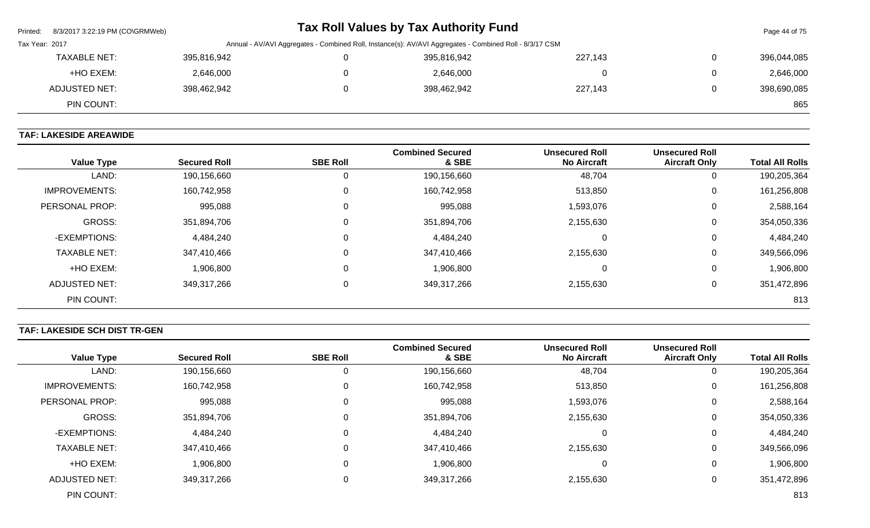| Printed: 8/3/2017 3:22:19 PM (CO\GRMWeb)                                                                                  |             |  | Tax Roll Values by Tax Authority Fund |         |                | Page 44 of 75 |
|---------------------------------------------------------------------------------------------------------------------------|-------------|--|---------------------------------------|---------|----------------|---------------|
| Tax Year: 2017<br>Annual - AV/AVI Aggregates - Combined Roll, Instance(s): AV/AVI Aggregates - Combined Roll - 8/3/17 CSM |             |  |                                       |         |                |               |
| <b>TAXABLE NET:</b>                                                                                                       | 395,816,942 |  | 395,816,942                           | 227,143 | $\overline{0}$ | 396,044,085   |
| +HO EXEM:                                                                                                                 | 2,646,000   |  | 2,646,000                             |         | $\overline{0}$ | 2,646,000     |
| ADJUSTED NET:                                                                                                             | 398,462,942 |  | 398,462,942                           | 227,143 | $\mathbf{0}$   | 398,690,085   |
| PIN COUNT:                                                                                                                |             |  |                                       |         |                | 865           |

# **TAF: LAKESIDE AREAWIDE**

| <b>Value Type</b>    | <b>Secured Roll</b> | <b>SBE Roll</b> | <b>Combined Secured</b><br>& SBE | <b>Unsecured Roll</b><br><b>No Aircraft</b> | <b>Unsecured Roll</b><br><b>Aircraft Only</b> | <b>Total All Rolls</b> |
|----------------------|---------------------|-----------------|----------------------------------|---------------------------------------------|-----------------------------------------------|------------------------|
| LAND:                | 190,156,660         |                 | 190,156,660                      | 48,704                                      | 0                                             | 190,205,364            |
| <b>IMPROVEMENTS:</b> | 160,742,958         | 0               | 160,742,958                      | 513,850                                     | 0                                             | 161,256,808            |
| PERSONAL PROP:       | 995,088             | $\Omega$        | 995,088                          | 1,593,076                                   | 0                                             | 2,588,164              |
| <b>GROSS:</b>        | 351,894,706         | $\Omega$        | 351,894,706                      | 2,155,630                                   | 0                                             | 354,050,336            |
| -EXEMPTIONS:         | 4,484,240           | $\Omega$        | 4,484,240                        |                                             | 0                                             | 4,484,240              |
| <b>TAXABLE NET:</b>  | 347,410,466         | $\Omega$        | 347,410,466                      | 2,155,630                                   | 0                                             | 349,566,096            |
| +HO EXEM:            | 1,906,800           | $\Omega$        | 1,906,800                        |                                             | 0                                             | 1,906,800              |
| ADJUSTED NET:        | 349,317,266         | $\Omega$        | 349,317,266                      | 2,155,630                                   | 0                                             | 351,472,896            |
| PIN COUNT:           |                     |                 |                                  |                                             |                                               | 813                    |

# **TAF: LAKESIDE SCH DIST TR-GEN**

| <b>Value Type</b>     | <b>Secured Roll</b> | <b>SBE Roll</b> | <b>Combined Secured</b><br>& SBE | <b>Unsecured Roll</b><br><b>No Aircraft</b> | <b>Unsecured Roll</b><br><b>Aircraft Only</b> | <b>Total All Rolls</b> |
|-----------------------|---------------------|-----------------|----------------------------------|---------------------------------------------|-----------------------------------------------|------------------------|
|                       |                     |                 |                                  |                                             |                                               |                        |
| LAND:                 | 190,156,660         |                 | 190,156,660                      | 48,704                                      | 0                                             | 190,205,364            |
| <b>IMPROVEMENTS:</b>  | 160,742,958         |                 | 160,742,958                      | 513,850                                     | 0                                             | 161,256,808            |
| <b>PERSONAL PROP:</b> | 995,088             |                 | 995,088                          | 1,593,076                                   | 0                                             | 2,588,164              |
| GROSS:                | 351,894,706         |                 | 351,894,706                      | 2,155,630                                   | 0                                             | 354,050,336            |
| -EXEMPTIONS:          | 4,484,240           |                 | 4,484,240                        | 0                                           | 0                                             | 4,484,240              |
| <b>TAXABLE NET:</b>   | 347,410,466         |                 | 347,410,466                      | 2,155,630                                   | 0                                             | 349,566,096            |
| +HO EXEM:             | 1,906,800           |                 | 1,906,800                        | $\Omega$                                    | 0                                             | 1,906,800              |
| ADJUSTED NET:         | 349,317,266         |                 | 349,317,266                      | 2,155,630                                   | 0                                             | 351,472,896            |
| PIN COUNT:            |                     |                 |                                  |                                             |                                               | 813                    |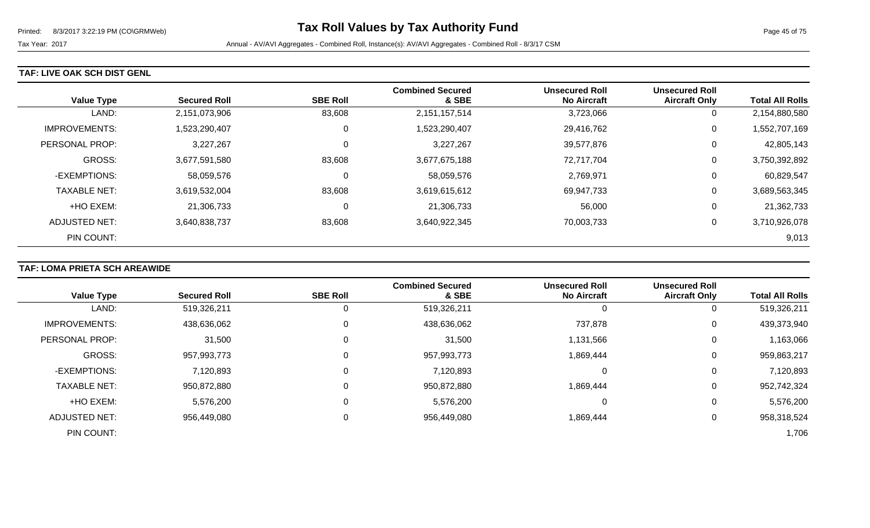### **TAF: LIVE OAK SCH DIST GENL**

|                      |                     |                 | <b>Combined Secured</b> | <b>Unsecured Roll</b> | <b>Unsecured Roll</b> |                        |
|----------------------|---------------------|-----------------|-------------------------|-----------------------|-----------------------|------------------------|
| <b>Value Type</b>    | <b>Secured Roll</b> | <b>SBE Roll</b> | & SBE                   | <b>No Aircraft</b>    | <b>Aircraft Only</b>  | <b>Total All Rolls</b> |
| LAND:                | 2,151,073,906       | 83,608          | 2,151,157,514           | 3,723,066             | 0                     | 2,154,880,580          |
| <b>IMPROVEMENTS:</b> | 1,523,290,407       |                 | 1,523,290,407           | 29,416,762            | 0                     | 1,552,707,169          |
| PERSONAL PROP:       | 3,227,267           |                 | 3,227,267               | 39,577,876            | 0                     | 42,805,143             |
| <b>GROSS:</b>        | 3,677,591,580       | 83,608          | 3,677,675,188           | 72,717,704            | 0                     | 3,750,392,892          |
| -EXEMPTIONS:         | 58,059,576          |                 | 58,059,576              | 2,769,971             | 0                     | 60,829,547             |
| <b>TAXABLE NET:</b>  | 3,619,532,004       | 83,608          | 3,619,615,612           | 69,947,733            | 0                     | 3,689,563,345          |
| +HO EXEM:            | 21,306,733          |                 | 21,306,733              | 56,000                | 0                     | 21,362,733             |
| ADJUSTED NET:        | 3,640,838,737       | 83,608          | 3,640,922,345           | 70,003,733            | 0                     | 3,710,926,078          |
| PIN COUNT:           |                     |                 |                         |                       |                       | 9,013                  |

## **TAF: LOMA PRIETA SCH AREAWIDE**

|                      |                     |                 | <b>Combined Secured</b> | <b>Unsecured Roll</b> | <b>Unsecured Roll</b> |                        |
|----------------------|---------------------|-----------------|-------------------------|-----------------------|-----------------------|------------------------|
| <b>Value Type</b>    | <b>Secured Roll</b> | <b>SBE Roll</b> | & SBE                   | <b>No Aircraft</b>    | <b>Aircraft Only</b>  | <b>Total All Rolls</b> |
| LAND:                | 519,326,211         |                 | 519,326,211             | 0                     | U                     | 519,326,211            |
| <b>IMPROVEMENTS:</b> | 438,636,062         | $\Omega$        | 438,636,062             | 737,878               | 0                     | 439,373,940            |
| PERSONAL PROP:       | 31,500              |                 | 31,500                  | 1,131,566             | 0                     | 1,163,066              |
| <b>GROSS:</b>        | 957,993,773         |                 | 957,993,773             | 1,869,444             | 0                     | 959,863,217            |
| -EXEMPTIONS:         | 7,120,893           | 0               | 7,120,893               | 0                     | 0                     | 7,120,893              |
| <b>TAXABLE NET:</b>  | 950,872,880         |                 | 950,872,880             | 1,869,444             | 0                     | 952,742,324            |
| +HO EXEM:            | 5,576,200           | $\Omega$        | 5,576,200               | 0                     | 0                     | 5,576,200              |
| <b>ADJUSTED NET:</b> | 956,449,080         |                 | 956,449,080             | 1,869,444             | 0                     | 958,318,524            |
| PIN COUNT:           |                     |                 |                         |                       |                       | 1,706                  |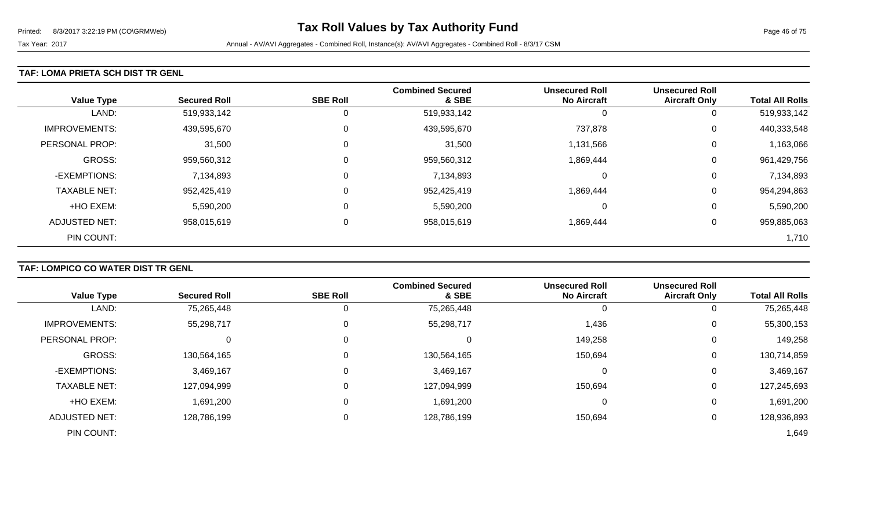#### **TAF: LOMA PRIETA SCH DIST TR GENL**

| <b>Value Type</b>    | <b>Secured Roll</b> | <b>SBE Roll</b> | <b>Combined Secured</b><br>& SBE | <b>Unsecured Roll</b><br><b>No Aircraft</b> | <b>Unsecured Roll</b><br><b>Aircraft Only</b> | <b>Total All Rolls</b> |
|----------------------|---------------------|-----------------|----------------------------------|---------------------------------------------|-----------------------------------------------|------------------------|
| LAND:                | 519,933,142         | 0               | 519,933,142                      |                                             | 0                                             | 519,933,142            |
| <b>IMPROVEMENTS:</b> | 439,595,670         | 0               | 439,595,670                      | 737,878                                     | 0                                             | 440,333,548            |
| PERSONAL PROP:       | 31,500              | 0               | 31,500                           | 1,131,566                                   | 0                                             | 1,163,066              |
| <b>GROSS:</b>        | 959,560,312         | 0               | 959,560,312                      | 1,869,444                                   | 0                                             | 961,429,756            |
| -EXEMPTIONS:         | 7,134,893           | 0               | 7,134,893                        | 0                                           | 0                                             | 7,134,893              |
| <b>TAXABLE NET:</b>  | 952,425,419         | 0               | 952,425,419                      | 1,869,444                                   | 0                                             | 954,294,863            |
| +HO EXEM:            | 5,590,200           | 0               | 5,590,200                        | 0                                           | 0                                             | 5,590,200              |
| <b>ADJUSTED NET:</b> | 958,015,619         | 0               | 958,015,619                      | 1,869,444                                   | 0                                             | 959,885,063            |
| PIN COUNT:           |                     |                 |                                  |                                             |                                               | 1,710                  |

## **TAF: LOMPICO CO WATER DIST TR GENL**

| <b>Value Type</b>    | <b>Secured Roll</b> | <b>SBE Roll</b> | <b>Combined Secured</b><br>& SBE | <b>Unsecured Roll</b><br><b>No Aircraft</b> | <b>Unsecured Roll</b><br><b>Aircraft Only</b> | <b>Total All Rolls</b> |
|----------------------|---------------------|-----------------|----------------------------------|---------------------------------------------|-----------------------------------------------|------------------------|
| LAND:                | 75,265,448          |                 | 75,265,448                       | 0                                           |                                               | 75,265,448             |
| <b>IMPROVEMENTS:</b> | 55,298,717          |                 | 55,298,717                       | 1,436                                       | 0                                             | 55,300,153             |
| PERSONAL PROP:       |                     |                 | υ                                | 149,258                                     | $\Omega$                                      | 149,258                |
| <b>GROSS:</b>        | 130,564,165         |                 | 130,564,165                      | 150,694                                     | 0                                             | 130,714,859            |
| -EXEMPTIONS:         | 3,469,167           |                 | 3,469,167                        | 0                                           | 0                                             | 3,469,167              |
| <b>TAXABLE NET:</b>  | 127,094,999         |                 | 127,094,999                      | 150,694                                     | 0                                             | 127,245,693            |
| +HO EXEM:            | 1,691,200           |                 | 1,691,200                        | 0                                           | 0                                             | 1,691,200              |
| <b>ADJUSTED NET:</b> | 128,786,199         |                 | 128,786,199                      | 150,694                                     | 0                                             | 128,936,893            |
| PIN COUNT:           |                     |                 |                                  |                                             |                                               | 1,649                  |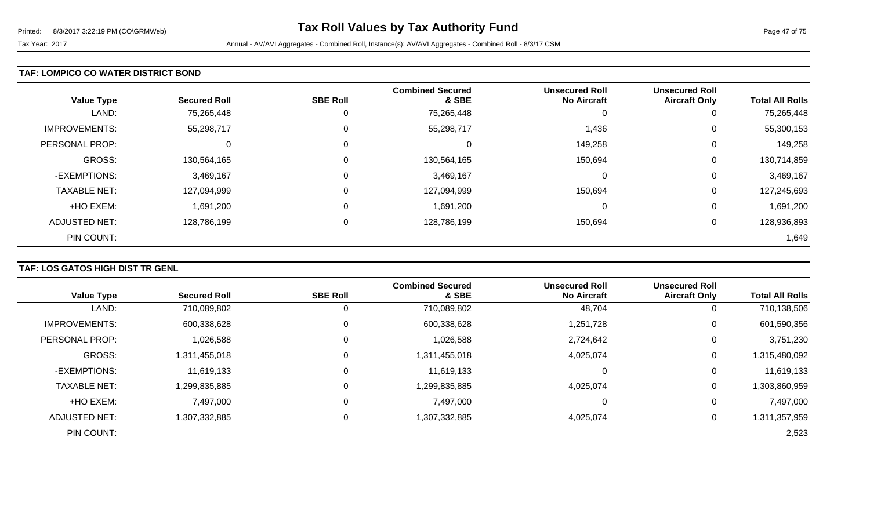#### **TAF: LOMPICO CO WATER DISTRICT BOND**

| <b>Value Type</b>    | <b>Secured Roll</b> | <b>SBE Roll</b> | <b>Combined Secured</b><br>& SBE | <b>Unsecured Roll</b><br><b>No Aircraft</b> | <b>Unsecured Roll</b><br><b>Aircraft Only</b> | <b>Total All Rolls</b> |
|----------------------|---------------------|-----------------|----------------------------------|---------------------------------------------|-----------------------------------------------|------------------------|
| LAND:                | 75,265,448          | 0               | 75,265,448                       | 0                                           | 0                                             | 75,265,448             |
| <b>IMPROVEMENTS:</b> | 55,298,717          | 0               | 55,298,717                       | 1,436                                       | 0                                             | 55,300,153             |
| PERSONAL PROP:       | 0                   | 0               | 0                                | 149,258                                     | 0                                             | 149,258                |
| GROSS:               | 130,564,165         | 0               | 130,564,165                      | 150,694                                     | 0                                             | 130,714,859            |
| -EXEMPTIONS:         | 3,469,167           | 0               | 3,469,167                        | 0                                           | 0                                             | 3,469,167              |
| <b>TAXABLE NET:</b>  | 127,094,999         | 0               | 127,094,999                      | 150,694                                     | 0                                             | 127,245,693            |
| +HO EXEM:            | 1,691,200           | 0               | 1,691,200                        | 0                                           | 0                                             | 1,691,200              |
| <b>ADJUSTED NET:</b> | 128,786,199         | 0               | 128,786,199                      | 150,694                                     | 0                                             | 128,936,893            |
| PIN COUNT:           |                     |                 |                                  |                                             |                                               | 1,649                  |

## **TAF: LOS GATOS HIGH DIST TR GENL**

|                      |                     |                 | <b>Combined Secured</b> | <b>Unsecured Roll</b> | <b>Unsecured Roll</b> |                        |
|----------------------|---------------------|-----------------|-------------------------|-----------------------|-----------------------|------------------------|
| <b>Value Type</b>    | <b>Secured Roll</b> | <b>SBE Roll</b> | & SBE                   | <b>No Aircraft</b>    | <b>Aircraft Only</b>  | <b>Total All Rolls</b> |
| LAND:                | 710,089,802         | 0               | 710,089,802             | 48,704                | 0                     | 710,138,506            |
| <b>IMPROVEMENTS:</b> | 600,338,628         | 0               | 600,338,628             | 1,251,728             | 0                     | 601,590,356            |
| PERSONAL PROP:       | 1,026,588           | 0               | 1,026,588               | 2,724,642             | 0                     | 3,751,230              |
| <b>GROSS:</b>        | 1,311,455,018       | 0               | 1,311,455,018           | 4,025,074             | 0                     | 1,315,480,092          |
| -EXEMPTIONS:         | 11,619,133          | 0               | 11,619,133              |                       | $\overline{0}$        | 11,619,133             |
| <b>TAXABLE NET:</b>  | 1,299,835,885       | 0               | 1,299,835,885           | 4,025,074             | 0                     | 1,303,860,959          |
| +HO EXEM:            | 7,497,000           | 0               | 7,497,000               | 0                     | 0                     | 7,497,000              |
| ADJUSTED NET:        | 1,307,332,885       | 0               | 1,307,332,885           | 4,025,074             | 0                     | 1,311,357,959          |
| PIN COUNT:           |                     |                 |                         |                       |                       | 2,523                  |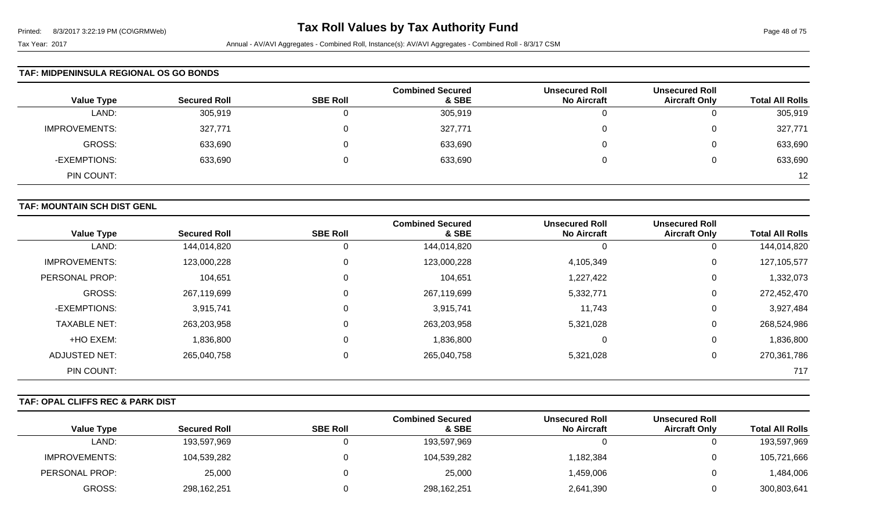#### **TAF: MIDPENINSULA REGIONAL OS GO BONDS**

| <b>Value Type</b>    | <b>Secured Roll</b> | <b>SBE Roll</b> | <b>Combined Secured</b><br>& SBE | <b>Unsecured Roll</b><br><b>No Aircraft</b> | <b>Unsecured Roll</b><br><b>Aircraft Only</b> | <b>Total All Rolls</b> |
|----------------------|---------------------|-----------------|----------------------------------|---------------------------------------------|-----------------------------------------------|------------------------|
|                      |                     |                 |                                  |                                             |                                               |                        |
| LAND:                | 305,919             | 0               | 305,919                          |                                             |                                               | 305,919                |
| <b>IMPROVEMENTS:</b> | 327,771             | 0               | 327,771                          |                                             | ັ                                             | 327,771                |
| GROSS:               | 633,690             | 0               | 633,690                          |                                             |                                               | 633,690                |
| -EXEMPTIONS:         | 633,690             | $\Omega$        | 633,690                          |                                             | ν                                             | 633,690                |
| PIN COUNT:           |                     |                 |                                  |                                             |                                               | 12                     |

#### **TAF: MOUNTAIN SCH DIST GENL**

| <b>Value Type</b>    | <b>Secured Roll</b> | <b>SBE Roll</b> | <b>Combined Secured</b><br>& SBE | <b>Unsecured Roll</b><br><b>No Aircraft</b> | <b>Unsecured Roll</b><br><b>Aircraft Only</b> | <b>Total All Rolls</b> |
|----------------------|---------------------|-----------------|----------------------------------|---------------------------------------------|-----------------------------------------------|------------------------|
| LAND:                | 144,014,820         | 0               | 144,014,820                      | -U                                          | U                                             | 144,014,820            |
| <b>IMPROVEMENTS:</b> | 123,000,228         | $\overline{0}$  | 123,000,228                      | 4,105,349                                   | 0                                             | 127,105,577            |
| PERSONAL PROP:       | 104,651             | $\overline{0}$  | 104,651                          | 1,227,422                                   | 0                                             | 1,332,073              |
| <b>GROSS:</b>        | 267,119,699         | $\overline{0}$  | 267,119,699                      | 5,332,771                                   | 0                                             | 272,452,470            |
| -EXEMPTIONS:         | 3,915,741           | $\overline{0}$  | 3,915,741                        | 11,743                                      | 0                                             | 3,927,484              |
| <b>TAXABLE NET:</b>  | 263,203,958         | $\overline{0}$  | 263,203,958                      | 5,321,028                                   | 0                                             | 268,524,986            |
| +HO EXEM:            | 836,800             | $\overline{0}$  | 1,836,800                        | $\Omega$                                    | 0                                             | 1,836,800              |
| ADJUSTED NET:        | 265,040,758         | $\mathbf 0$     | 265,040,758                      | 5,321,028                                   | 0                                             | 270,361,786            |
| PIN COUNT:           |                     |                 |                                  |                                             |                                               | 717                    |

#### **TAF: OPAL CLIFFS REC & PARK DIST**

|                   |                     |                 | <b>Combined Secured</b> | <b>Unsecured Roll</b> | <b>Unsecured Roll</b> |                        |
|-------------------|---------------------|-----------------|-------------------------|-----------------------|-----------------------|------------------------|
| <b>Value Type</b> | <b>Secured Roll</b> | <b>SBE Roll</b> | & SBE                   | <b>No Aircraft</b>    | <b>Aircraft Only</b>  | <b>Total All Rolls</b> |
| LAND:             | 193,597,969         |                 | 193,597,969             |                       |                       | 193,597,969            |
| IMPROVEMENTS:     | 104,539,282         |                 | 104,539,282             | 1,182,384             |                       | 105,721,666            |
| PERSONAL PROP:    | 25,000              |                 | 25,000                  | ,459,006              | 0                     | 1,484,006              |
| GROSS:            | 298,162,251         |                 | 298,162,251             | 2,641,390             |                       | 300,803,641            |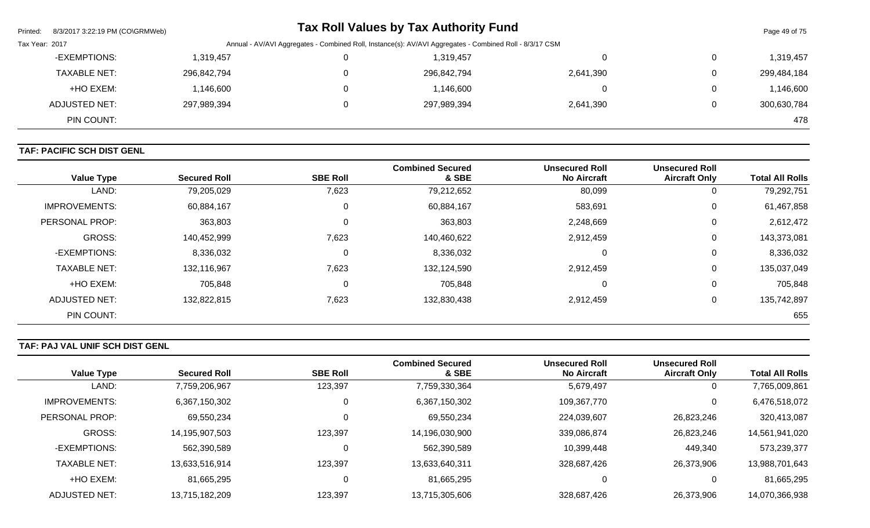| Printed:       | 8/3/2017 3:22:19 PM (CO\GRMWeb) |             |              | <b>Tax Roll Values by Tax Authority Fund</b>                                                            |           |   | Page 49 of 75 |
|----------------|---------------------------------|-------------|--------------|---------------------------------------------------------------------------------------------------------|-----------|---|---------------|
| Tax Year: 2017 |                                 |             |              | Annual - AV/AVI Aggregates - Combined Roll, Instance(s): AV/AVI Aggregates - Combined Roll - 8/3/17 CSM |           |   |               |
|                | -EXEMPTIONS:                    | 319,457,١   | 0            | 1,319,457                                                                                               |           | 0 | 1,319,457     |
|                | <b>TAXABLE NET:</b>             | 296,842,794 | $\mathbf{0}$ | 296,842,794                                                                                             | 2,641,390 | 0 | 299,484,184   |
|                | +HO EXEM:                       | .146,600    | 0            | 1,146,600                                                                                               |           | 0 | 1,146,600     |
|                | <b>ADJUSTED NET:</b>            | 297,989,394 | $\mathbf{0}$ | 297,989,394                                                                                             | 2,641,390 | 0 | 300,630,784   |
|                | PIN COUNT:                      |             |              |                                                                                                         |           |   | 478           |

## **TAF: PACIFIC SCH DIST GENL**

| <b>Value Type</b>     | <b>Secured Roll</b> | <b>SBE Roll</b> | <b>Combined Secured</b><br>& SBE | <b>Unsecured Roll</b><br><b>No Aircraft</b> | <b>Unsecured Roll</b><br><b>Aircraft Only</b> | <b>Total All Rolls</b> |
|-----------------------|---------------------|-----------------|----------------------------------|---------------------------------------------|-----------------------------------------------|------------------------|
| LAND:                 | 79,205,029          | 7,623           | 79,212,652                       | 80,099                                      | 0                                             | 79,292,751             |
| <b>IMPROVEMENTS:</b>  | 60,884,167          | 0               | 60,884,167                       | 583,691                                     | 0                                             | 61,467,858             |
| <b>PERSONAL PROP:</b> | 363,803             | $\Omega$        | 363,803                          | 2,248,669                                   | 0                                             | 2,612,472              |
| <b>GROSS:</b>         | 140,452,999         | 7,623           | 140,460,622                      | 2,912,459                                   | 0                                             | 143,373,081            |
| -EXEMPTIONS:          | 8,336,032           | 0               | 8,336,032                        | 0                                           | 0                                             | 8,336,032              |
| <b>TAXABLE NET:</b>   | 132,116,967         | 7,623           | 132,124,590                      | 2,912,459                                   | 0                                             | 135,037,049            |
| +HO EXEM:             | 705,848             | 0               | 705,848                          | 0                                           | 0                                             | 705,848                |
| <b>ADJUSTED NET:</b>  | 132,822,815         | 7,623           | 132,830,438                      | 2,912,459                                   | 0                                             | 135,742,897            |
| PIN COUNT:            |                     |                 |                                  |                                             |                                               | 655                    |

# **TAF: PAJ VAL UNIF SCH DIST GENL**

|                      |                     |                 | <b>Combined Secured</b> | <b>Unsecured Roll</b> | <b>Unsecured Roll</b> |                        |
|----------------------|---------------------|-----------------|-------------------------|-----------------------|-----------------------|------------------------|
| <b>Value Type</b>    | <b>Secured Roll</b> | <b>SBE Roll</b> | & SBE                   | <b>No Aircraft</b>    | <b>Aircraft Only</b>  | <b>Total All Rolls</b> |
| LAND:                | 7,759,206,967       | 123,397         | 7,759,330,364           | 5,679,497             | 0                     | 7,765,009,861          |
| <b>IMPROVEMENTS:</b> | 6,367,150,302       | $\Omega$        | 6,367,150,302           | 109,367,770           | 0                     | 6,476,518,072          |
| PERSONAL PROP:       | 69,550,234          | 0               | 69,550,234              | 224,039,607           | 26,823,246            | 320,413,087            |
| <b>GROSS:</b>        | 14,195,907,503      | 123,397         | 14,196,030,900          | 339,086,874           | 26,823,246            | 14,561,941,020         |
| -EXEMPTIONS:         | 562,390,589         |                 | 562,390,589             | 10,399,448            | 449,340               | 573,239,377            |
| <b>TAXABLE NET:</b>  | 13,633,516,914      | 123,397         | 13,633,640,311          | 328,687,426           | 26,373,906            | 13,988,701,643         |
| +HO EXEM:            | 81,665,295          | 0               | 81,665,295              | 0                     | 0                     | 81,665,295             |
| ADJUSTED NET:        | 13,715,182,209      | 123,397         | 13,715,305,606          | 328,687,426           | 26,373,906            | 14,070,366,938         |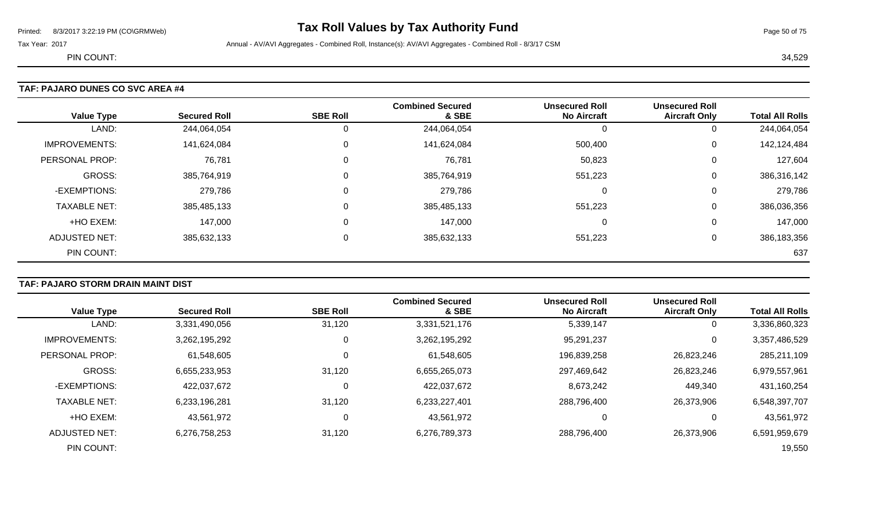# Printed: 8/3/2017 3:22:19 PM (CO\GRMWeb) **Tax Roll Values by Tax Authority Fund** Page 50 of 75

Tax Year: 2017 **Annual - AV/AVI Aggregates - Combined Roll**, Instance(s): AV/AVI Aggregates - Combined Roll - 8/3/17 CSM

PIN COUNT: 34,529

| <b>Value Type</b>    | <b>Secured Roll</b> | <b>SBE Roll</b> | <b>Combined Secured</b><br>& SBE | <b>Unsecured Roll</b><br><b>No Aircraft</b> | <b>Unsecured Roll</b><br><b>Aircraft Only</b> | <b>Total All Rolls</b> |
|----------------------|---------------------|-----------------|----------------------------------|---------------------------------------------|-----------------------------------------------|------------------------|
| LAND:                | 244,064,054         | 0               | 244,064,054                      |                                             | 0                                             | 244,064,054            |
| <b>IMPROVEMENTS:</b> | 141,624,084         | 0               | 141,624,084                      | 500,400                                     | 0                                             | 142,124,484            |
| PERSONAL PROP:       | 76,781              | 0               | 76,781                           | 50,823                                      | 0                                             | 127,604                |
| <b>GROSS:</b>        | 385,764,919         | 0               | 385,764,919                      | 551,223                                     | 0                                             | 386,316,142            |
| -EXEMPTIONS:         | 279,786             | 0               | 279,786                          | 0                                           | 0                                             | 279,786                |
| <b>TAXABLE NET:</b>  | 385,485,133         | 0               | 385,485,133                      | 551,223                                     | 0                                             | 386,036,356            |
| +HO EXEM:            | 147,000             | 0               | 147,000                          | 0                                           | 0                                             | 147,000                |
| ADJUSTED NET:        | 385,632,133         | $\mathbf{0}$    | 385,632,133                      | 551,223                                     | 0                                             | 386,183,356            |
| PIN COUNT:           |                     |                 |                                  |                                             |                                               | 637                    |

### **TAF: PAJARO STORM DRAIN MAINT DIST**

|                      |                     |                 | <b>Combined Secured</b> | <b>Unsecured Roll</b> | <b>Unsecured Roll</b> |                        |
|----------------------|---------------------|-----------------|-------------------------|-----------------------|-----------------------|------------------------|
| <b>Value Type</b>    | <b>Secured Roll</b> | <b>SBE Roll</b> | & SBE                   | <b>No Aircraft</b>    | <b>Aircraft Only</b>  | <b>Total All Rolls</b> |
| LAND:                | 3,331,490,056       | 31,120          | 3,331,521,176           | 5,339,147             | 0                     | 3,336,860,323          |
| <b>IMPROVEMENTS:</b> | 3,262,195,292       | $\mathbf 0$     | 3,262,195,292           | 95,291,237            | 0                     | 3,357,486,529          |
| PERSONAL PROP:       | 61,548,605          | 0               | 61,548,605              | 196,839,258           | 26,823,246            | 285,211,109            |
| GROSS:               | 6,655,233,953       | 31,120          | 6,655,265,073           | 297,469,642           | 26,823,246            | 6,979,557,961          |
| -EXEMPTIONS:         | 422,037,672         | $\overline{0}$  | 422,037,672             | 8,673,242             | 449,340               | 431,160,254            |
| <b>TAXABLE NET:</b>  | 6,233,196,281       | 31,120          | 6,233,227,401           | 288,796,400           | 26,373,906            | 6,548,397,707          |
| +HO EXEM:            | 43,561,972          | 0               | 43,561,972              | 0                     | 0                     | 43,561,972             |
| ADJUSTED NET:        | 6,276,758,253       | 31,120          | 6,276,789,373           | 288,796,400           | 26,373,906            | 6,591,959,679          |
| PIN COUNT:           |                     |                 |                         |                       |                       | 19,550                 |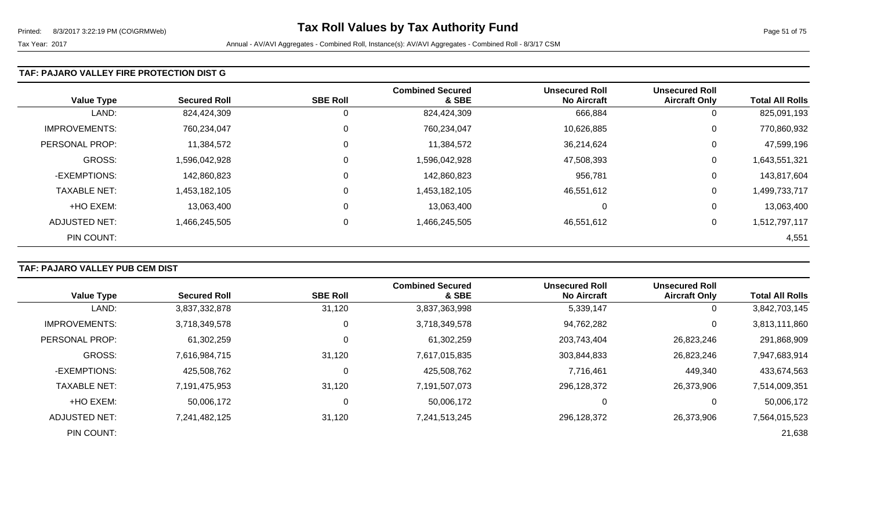#### **TAF: PAJARO VALLEY FIRE PROTECTION DIST G**

| <b>Value Type</b>    | <b>Secured Roll</b> | <b>SBE Roll</b> | <b>Combined Secured</b><br>& SBE | <b>Unsecured Roll</b><br><b>No Aircraft</b> | <b>Unsecured Roll</b><br><b>Aircraft Only</b> | <b>Total All Rolls</b> |
|----------------------|---------------------|-----------------|----------------------------------|---------------------------------------------|-----------------------------------------------|------------------------|
| LAND:                | 824,424,309         | 0               | 824,424,309                      | 666,884                                     | 0                                             | 825,091,193            |
| <b>IMPROVEMENTS:</b> | 760,234,047         | 0               | 760,234,047                      | 10,626,885                                  | 0                                             | 770,860,932            |
| PERSONAL PROP:       | 11,384,572          | 0               | 11,384,572                       | 36,214,624                                  | 0                                             | 47,599,196             |
| GROSS:               | 1,596,042,928       | 0               | 1,596,042,928                    | 47,508,393                                  | 0                                             | 1,643,551,321          |
| -EXEMPTIONS:         | 142,860,823         | 0               | 142,860,823                      | 956,781                                     | 0                                             | 143,817,604            |
| <b>TAXABLE NET:</b>  | 1,453,182,105       | 0               | 1,453,182,105                    | 46,551,612                                  | 0                                             | 1,499,733,717          |
| +HO EXEM:            | 13,063,400          | 0               | 13,063,400                       | 0                                           | 0                                             | 13,063,400             |
| ADJUSTED NET:        | 1,466,245,505       | 0               | 1,466,245,505                    | 46,551,612                                  | 0                                             | 1,512,797,117          |
| PIN COUNT:           |                     |                 |                                  |                                             |                                               | 4,551                  |

## **TAF: PAJARO VALLEY PUB CEM DIST**

| <b>Value Type</b>    | <b>Secured Roll</b> | <b>SBE Roll</b> | <b>Combined Secured</b><br>& SBE | <b>Unsecured Roll</b><br><b>No Aircraft</b> | <b>Unsecured Roll</b><br><b>Aircraft Only</b> | <b>Total All Rolls</b> |
|----------------------|---------------------|-----------------|----------------------------------|---------------------------------------------|-----------------------------------------------|------------------------|
|                      |                     |                 |                                  |                                             |                                               |                        |
| LAND:                | 3,837,332,878       | 31,120          | 3,837,363,998                    | 5,339,147                                   | O                                             | 3,842,703,145          |
| <b>IMPROVEMENTS:</b> | 3,718,349,578       |                 | 3,718,349,578                    | 94,762,282                                  | 0                                             | 3,813,111,860          |
| PERSONAL PROP:       | 61,302,259          |                 | 61,302,259                       | 203,743,404                                 | 26,823,246                                    | 291,868,909            |
| <b>GROSS:</b>        | 7,616,984,715       | 31,120          | 7,617,015,835                    | 303,844,833                                 | 26,823,246                                    | 7,947,683,914          |
| -EXEMPTIONS:         | 425.508.762         |                 | 425,508,762                      | 7,716,461                                   | 449,340                                       | 433,674,563            |
| <b>TAXABLE NET:</b>  | 7,191,475,953       | 31,120          | 7,191,507,073                    | 296,128,372                                 | 26,373,906                                    | 7,514,009,351          |
| +HO EXEM:            | 50,006,172          |                 | 50,006,172                       | 0                                           | 0                                             | 50,006,172             |
| ADJUSTED NET:        | 7,241,482,125       | 31,120          | 7,241,513,245                    | 296,128,372                                 | 26,373,906                                    | 7,564,015,523          |
| PIN COUNT:           |                     |                 |                                  |                                             |                                               | 21,638                 |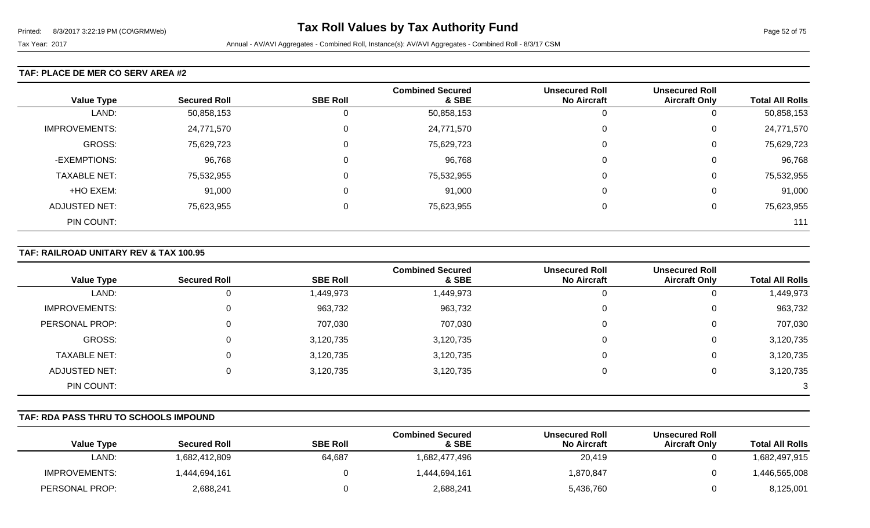#### **TAF: PLACE DE MER CO SERV AREA #2**

|                      |                     |                 | <b>Combined Secured</b> | <b>Unsecured Roll</b> | <b>Unsecured Roll</b> |                        |
|----------------------|---------------------|-----------------|-------------------------|-----------------------|-----------------------|------------------------|
| <b>Value Type</b>    | <b>Secured Roll</b> | <b>SBE Roll</b> | & SBE                   | <b>No Aircraft</b>    | <b>Aircraft Only</b>  | <b>Total All Rolls</b> |
| LAND:                | 50,858,153          | 0               | 50,858,153              | U                     | υ                     | 50,858,153             |
| <b>IMPROVEMENTS:</b> | 24,771,570          | 0               | 24,771,570              | 0                     | U                     | 24,771,570             |
| GROSS:               | 75,629,723          | 0               | 75,629,723              | 0                     | U                     | 75,629,723             |
| -EXEMPTIONS:         | 96,768              | 0               | 96,768                  | 0                     | υ                     | 96,768                 |
| <b>TAXABLE NET:</b>  | 75,532,955          | 0               | 75,532,955              | 0                     | U                     | 75,532,955             |
| +HO EXEM:            | 91,000              | $\mathbf 0$     | 91,000                  | 0                     | U                     | 91,000                 |
| <b>ADJUSTED NET:</b> | 75,623,955          | 0               | 75,623,955              | $\Omega$              | υ                     | 75,623,955             |
| PIN COUNT:           |                     |                 |                         |                       |                       | 111                    |

#### **TAF: RAILROAD UNITARY REV & TAX 100.95**

|                      |                     |                 | <b>Combined Secured</b> | <b>Unsecured Roll</b> | <b>Unsecured Roll</b> |                        |
|----------------------|---------------------|-----------------|-------------------------|-----------------------|-----------------------|------------------------|
| <b>Value Type</b>    | <b>Secured Roll</b> | <b>SBE Roll</b> | & SBE                   | <b>No Aircraft</b>    | <b>Aircraft Only</b>  | <b>Total All Rolls</b> |
| LAND:                |                     | 1,449,973       | 1,449,973               |                       | 0                     | 1,449,973              |
| IMPROVEMENTS:        |                     | 963,732         | 963,732                 |                       | 0                     | 963,732                |
| PERSONAL PROP:       |                     | 707,030         | 707,030                 |                       | 0                     | 707,030                |
| GROSS:               |                     | 3,120,735       | 3,120,735               |                       | 0                     | 3,120,735              |
| <b>TAXABLE NET:</b>  |                     | 3,120,735       | 3,120,735               |                       | 0                     | 3,120,735              |
| <b>ADJUSTED NET:</b> |                     | 3,120,735       | 3,120,735               |                       | 0                     | 3,120,735              |
| PIN COUNT:           |                     |                 |                         |                       |                       | 3                      |

#### **TAF: RDA PASS THRU TO SCHOOLS IMPOUND**

| <b>Value Type</b> | <b>Secured Roll</b> | <b>SBE Roll</b> | <b>Combined Secured</b><br>& SBE | <b>Unsecured Roll</b><br><b>No Aircraft</b> | <b>Unsecured Roll</b><br><b>Aircraft Only</b> | <b>Total All Rolls</b> |
|-------------------|---------------------|-----------------|----------------------------------|---------------------------------------------|-----------------------------------------------|------------------------|
| LAND:             | 1,682,412,809       | 64,687          | 1,682,477,496                    | 20,419                                      |                                               | 1,682,497,915          |
| IMPROVEMENTS:     | 1,444,694,161       |                 | 1.444.694.161                    | 1,870,847                                   |                                               | ,446,565,008           |
| PERSONAL PROP:    | 2,688,241           |                 | 2,688,241                        | 5,436,760                                   |                                               | 8,125,001              |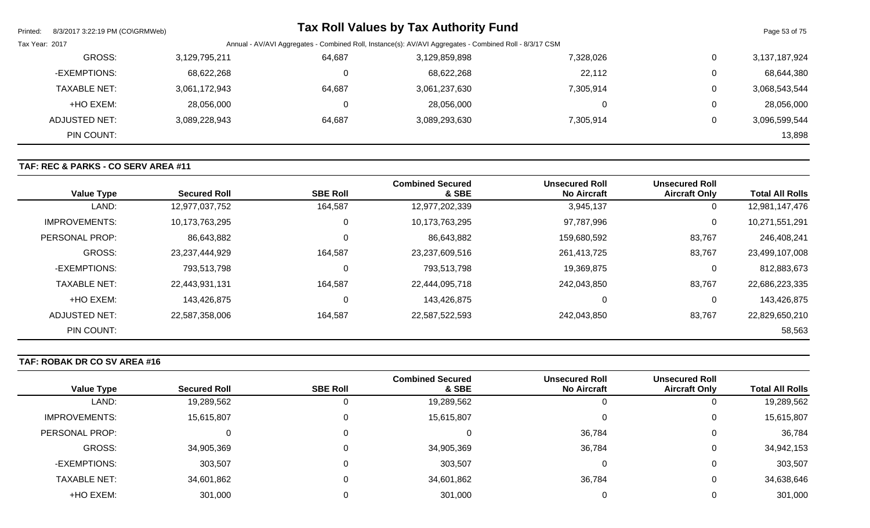| Printed:       | 8/3/2017 3:22:19 PM (CO\GRMWeb) |               |        | <b>Tax Roll Values by Tax Authority Fund</b>                                                            |           |   | Page 53 of 75 |
|----------------|---------------------------------|---------------|--------|---------------------------------------------------------------------------------------------------------|-----------|---|---------------|
| Tax Year: 2017 |                                 |               |        | Annual - AV/AVI Aggregates - Combined Roll, Instance(s): AV/AVI Aggregates - Combined Roll - 8/3/17 CSM |           |   |               |
|                | GROSS:                          | 3,129,795,211 | 64,687 | 3,129,859,898                                                                                           | 7,328,026 | 0 | 3,137,187,924 |
|                | -EXEMPTIONS:                    | 68,622,268    | υ      | 68,622,268                                                                                              | 22,112    | 0 | 68,644,380    |
|                | <b>TAXABLE NET:</b>             | 3,061,172,943 | 64,687 | 3,061,237,630                                                                                           | 7,305,914 | 0 | 3,068,543,544 |
|                | +HO EXEM:                       | 28,056,000    |        | 28,056,000                                                                                              |           | 0 | 28,056,000    |
|                | ADJUSTED NET:                   | 3,089,228,943 | 64,687 | 3,089,293,630                                                                                           | 7,305,914 | 0 | 3,096,599,544 |
|                | PIN COUNT:                      |               |        |                                                                                                         |           |   | 13,898        |

## **TAF: REC & PARKS - CO SERV AREA #11**

| <b>Value Type</b>    | <b>Secured Roll</b> | <b>SBE Roll</b> | <b>Combined Secured</b><br>& SBE | <b>Unsecured Roll</b><br><b>No Aircraft</b> | <b>Unsecured Roll</b><br><b>Aircraft Only</b> | <b>Total All Rolls</b> |
|----------------------|---------------------|-----------------|----------------------------------|---------------------------------------------|-----------------------------------------------|------------------------|
| LAND:                | 12,977,037,752      | 164,587         | 12,977,202,339                   | 3,945,137                                   | 0                                             | 12,981,147,476         |
| <b>IMPROVEMENTS:</b> | 10,173,763,295      | 0               | 10,173,763,295                   | 97,787,996                                  | 0                                             | 10,271,551,291         |
| PERSONAL PROP:       | 86,643,882          |                 | 86,643,882                       | 159,680,592                                 | 83,767                                        | 246,408,241            |
| GROSS:               | 23,237,444,929      | 164,587         | 23,237,609,516                   | 261,413,725                                 | 83,767                                        | 23,499,107,008         |
| -EXEMPTIONS:         | 793,513,798         |                 | 793,513,798                      | 19,369,875                                  | 0                                             | 812,883,673            |
| <b>TAXABLE NET:</b>  | 22,443,931,131      | 164,587         | 22,444,095,718                   | 242,043,850                                 | 83,767                                        | 22,686,223,335         |
| +HO EXEM:            | 143,426,875         | C               | 143,426,875                      |                                             | $\mathbf 0$                                   | 143,426,875            |
| ADJUSTED NET:        | 22,587,358,006      | 164,587         | 22,587,522,593                   | 242,043,850                                 | 83,767                                        | 22,829,650,210         |
| PIN COUNT:           |                     |                 |                                  |                                             |                                               | 58,563                 |

## **TAF: ROBAK DR CO SV AREA #16**

| <b>Value Type</b>    | <b>Secured Roll</b> | <b>SBE Roll</b> | <b>Combined Secured</b><br>& SBE | <b>Unsecured Roll</b><br><b>No Aircraft</b> | <b>Unsecured Roll</b><br><b>Aircraft Only</b> | <b>Total All Rolls</b> |
|----------------------|---------------------|-----------------|----------------------------------|---------------------------------------------|-----------------------------------------------|------------------------|
| LAND:                | 19,289,562          | 0               | 19,289,562                       |                                             |                                               | 19,289,562             |
|                      |                     |                 |                                  |                                             |                                               |                        |
| <b>IMPROVEMENTS:</b> | 15,615,807          | 0               | 15,615,807                       |                                             | 0                                             | 15,615,807             |
| PERSONAL PROP:       | 0                   | 0               |                                  | 36,784                                      | 0                                             | 36,784                 |
| GROSS:               | 34,905,369          | 0               | 34,905,369                       | 36,784                                      | 0                                             | 34,942,153             |
| -EXEMPTIONS:         | 303,507             | 0               | 303,507                          |                                             | $\overline{0}$                                | 303,507                |
| <b>TAXABLE NET:</b>  | 34,601,862          | 0               | 34,601,862                       | 36,784                                      | 0                                             | 34,638,646             |
| +HO EXEM:            | 301,000             |                 | 301,000                          |                                             | 0                                             | 301,000                |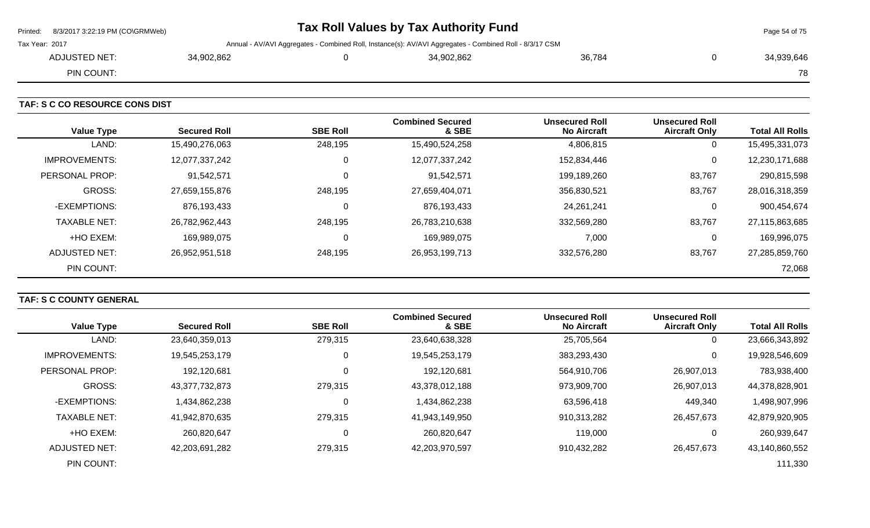|                | Printed: 8/3/2017 3:22:19 PM (CO\GRMWeb) | Tax Roll Values by Tax Authority Fund |  |                                                                                                         |        |  |            |
|----------------|------------------------------------------|---------------------------------------|--|---------------------------------------------------------------------------------------------------------|--------|--|------------|
| Tax Year: 2017 |                                          |                                       |  | Annual - AV/AVI Aggregates - Combined Roll, Instance(s): AV/AVI Aggregates - Combined Roll - 8/3/17 CSM |        |  |            |
|                | ADJUSTED NET:                            | 34,902,862                            |  | 34,902,862                                                                                              | 36,784 |  | 34,939,646 |
|                | PIN COUNT:                               |                                       |  |                                                                                                         |        |  | 78         |
|                |                                          |                                       |  |                                                                                                         |        |  |            |

**TAF: S C CO RESOURCE CONS DIST** 

| <b>Value Type</b>    | <b>Secured Roll</b> | <b>SBE Roll</b> | <b>Combined Secured</b><br>& SBE | <b>Unsecured Roll</b><br><b>No Aircraft</b> | <b>Unsecured Roll</b><br><b>Aircraft Only</b> | <b>Total All Rolls</b> |
|----------------------|---------------------|-----------------|----------------------------------|---------------------------------------------|-----------------------------------------------|------------------------|
| LAND:                | 15,490,276,063      | 248,195         | 15,490,524,258                   | 4,806,815                                   | 0                                             | 15,495,331,073         |
| <b>IMPROVEMENTS:</b> | 12,077,337,242      |                 | 12,077,337,242                   | 152,834,446                                 | 0                                             | 12,230,171,688         |
| PERSONAL PROP:       | 91,542,571          |                 | 91,542,571                       | 199,189,260                                 | 83,767                                        | 290,815,598            |
| <b>GROSS:</b>        | 27,659,155,876      | 248,195         | 27,659,404,071                   | 356,830,521                                 | 83,767                                        | 28,016,318,359         |
| -EXEMPTIONS:         | 876,193,433         |                 | 876,193,433                      | 24,261,241                                  |                                               | 900,454,674            |
| <b>TAXABLE NET:</b>  | 26,782,962,443      | 248,195         | 26,783,210,638                   | 332,569,280                                 | 83,767                                        | 27,115,863,685         |
| +HO EXEM:            | 169.989.075         |                 | 169,989,075                      | 7,000                                       |                                               | 169,996,075            |
| ADJUSTED NET:        | 26,952,951,518      | 248,195         | 26,953,199,713                   | 332,576,280                                 | 83,767                                        | 27,285,859,760         |
| PIN COUNT:           |                     |                 |                                  |                                             |                                               | 72,068                 |

# **TAF: S C COUNTY GENERAL**

| <b>Value Type</b>    | <b>Secured Roll</b> | <b>SBE Roll</b> | <b>Combined Secured</b><br>& SBE | <b>Unsecured Roll</b><br><b>No Aircraft</b> | <b>Unsecured Roll</b><br><b>Aircraft Only</b> | <b>Total All Rolls</b> |
|----------------------|---------------------|-----------------|----------------------------------|---------------------------------------------|-----------------------------------------------|------------------------|
|                      |                     |                 |                                  |                                             |                                               |                        |
| LAND:                | 23,640,359,013      | 279,315         | 23,640,638,328                   | 25,705,564                                  | 0                                             | 23,666,343,892         |
| <b>IMPROVEMENTS:</b> | 19,545,253,179      | 0               | 19,545,253,179                   | 383,293,430                                 | 0                                             | 19,928,546,609         |
| PERSONAL PROP:       | 192,120,681         | 0               | 192,120,681                      | 564,910,706                                 | 26,907,013                                    | 783,938,400            |
| <b>GROSS:</b>        | 43,377,732,873      | 279,315         | 43,378,012,188                   | 973,909,700                                 | 26,907,013                                    | 44,378,828,901         |
| -EXEMPTIONS:         | 1,434,862,238       | 0               | 1,434,862,238                    | 63,596,418                                  | 449,340                                       | 1,498,907,996          |
| <b>TAXABLE NET:</b>  | 41,942,870,635      | 279,315         | 41,943,149,950                   | 910,313,282                                 | 26,457,673                                    | 42,879,920,905         |
| +HO EXEM:            | 260.820.647         | 0               | 260,820,647                      | 119,000                                     | 0                                             | 260,939,647            |
| ADJUSTED NET:        | 42,203,691,282      | 279,315         | 42,203,970,597                   | 910,432,282                                 | 26,457,673                                    | 43,140,860,552         |
| PIN COUNT:           |                     |                 |                                  |                                             |                                               | 111,330                |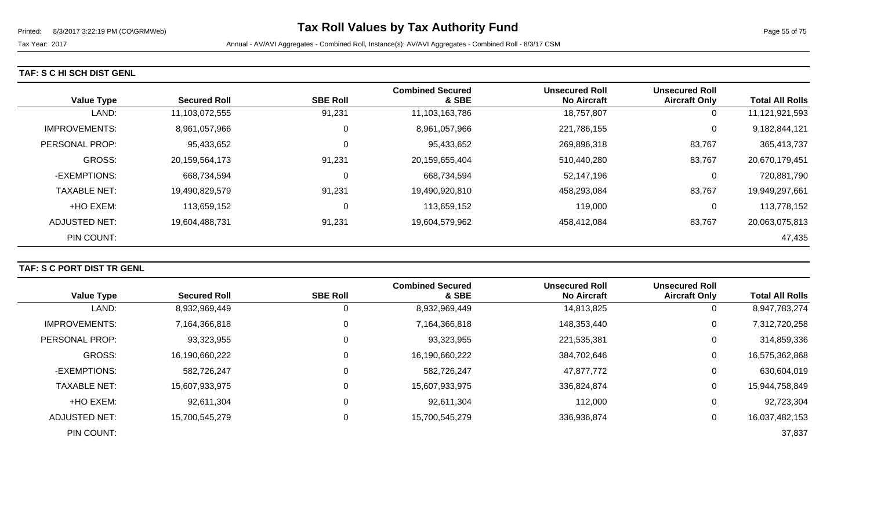## **TAF: S C HI SCH DIST GENL**

| <b>Value Type</b>    | <b>Secured Roll</b> | <b>SBE Roll</b> | <b>Combined Secured</b><br>& SBE | <b>Unsecured Roll</b><br><b>No Aircraft</b> | <b>Unsecured Roll</b><br><b>Aircraft Only</b> | <b>Total All Rolls</b> |
|----------------------|---------------------|-----------------|----------------------------------|---------------------------------------------|-----------------------------------------------|------------------------|
| LAND:                | 11,103,072,555      | 91,231          | 11,103,163,786                   | 18,757,807                                  | 0                                             | 11,121,921,593         |
| <b>IMPROVEMENTS:</b> | 8,961,057,966       | 0               | 8,961,057,966                    | 221,786,155                                 | 0                                             | 9,182,844,121          |
| PERSONAL PROP:       | 95,433,652          | 0               | 95,433,652                       | 269,896,318                                 | 83,767                                        | 365,413,737            |
| <b>GROSS:</b>        | 20,159,564,173      | 91,231          | 20,159,655,404                   | 510,440,280                                 | 83,767                                        | 20,670,179,451         |
| -EXEMPTIONS:         | 668,734,594         | 0               | 668,734,594                      | 52,147,196                                  | 0                                             | 720,881,790            |
| <b>TAXABLE NET:</b>  | 19,490,829,579      | 91,231          | 19,490,920,810                   | 458,293,084                                 | 83,767                                        | 19,949,297,661         |
| +HO EXEM:            | 113,659,152         | C               | 113,659,152                      | 119,000                                     | 0                                             | 113,778,152            |
| ADJUSTED NET:        | 19,604,488,731      | 91,231          | 19,604,579,962                   | 458,412,084                                 | 83,767                                        | 20,063,075,813         |
| PIN COUNT:           |                     |                 |                                  |                                             |                                               | 47,435                 |

## **TAF: S C PORT DIST TR GENL**

| <b>Value Type</b>    | <b>Secured Roll</b> | <b>SBE Roll</b> | <b>Combined Secured</b><br>& SBE | <b>Unsecured Roll</b><br><b>No Aircraft</b> | <b>Unsecured Roll</b><br><b>Aircraft Only</b> | <b>Total All Rolls</b> |
|----------------------|---------------------|-----------------|----------------------------------|---------------------------------------------|-----------------------------------------------|------------------------|
| LAND:                | 8,932,969,449       | Ü               | 8,932,969,449                    | 14,813,825                                  | 0                                             | 8,947,783,274          |
| <b>IMPROVEMENTS:</b> | 7,164,366,818       | 0               | 7,164,366,818                    | 148,353,440                                 | 0                                             | 7,312,720,258          |
| PERSONAL PROP:       | 93,323,955          | 0               | 93,323,955                       | 221,535,381                                 | 0                                             | 314,859,336            |
| <b>GROSS:</b>        | 16,190,660,222      | 0               | 16,190,660,222                   | 384,702,646                                 | 0                                             | 16,575,362,868         |
| -EXEMPTIONS:         | 582,726,247         | 0               | 582,726,247                      | 47,877,772                                  | 0                                             | 630,604,019            |
| <b>TAXABLE NET:</b>  | 15,607,933,975      | 0               | 15,607,933,975                   | 336,824,874                                 | 0                                             | 15,944,758,849         |
| +HO EXEM:            | 92,611,304          | 0               | 92,611,304                       | 112,000                                     | 0                                             | 92,723,304             |
| ADJUSTED NET:        | 15,700,545,279      | 0               | 15,700,545,279                   | 336,936,874                                 | 0                                             | 16,037,482,153         |
| PIN COUNT:           |                     |                 |                                  |                                             |                                               | 37,837                 |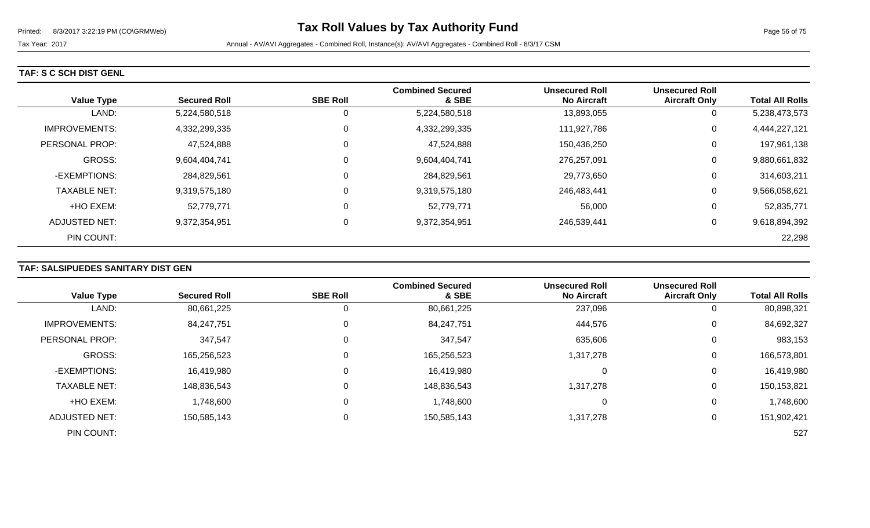#### **TAF: S C SCH DIST GENL**

| <b>Value Type</b>     | <b>Secured Roll</b> | <b>SBE Roll</b> | <b>Combined Secured</b><br>& SBE | <b>Unsecured Roll</b><br><b>No Aircraft</b> | <b>Unsecured Roll</b><br><b>Aircraft Only</b> | <b>Total All Rolls</b> |
|-----------------------|---------------------|-----------------|----------------------------------|---------------------------------------------|-----------------------------------------------|------------------------|
| LAND:                 | 5,224,580,518       | 0               | 5,224,580,518                    | 13,893,055                                  | 0                                             | 5,238,473,573          |
| <b>IMPROVEMENTS:</b>  | 4,332,299,335       | 0               | 4,332,299,335                    | 111,927,786                                 | 0                                             | 4,444,227,121          |
| <b>PERSONAL PROP:</b> | 47,524,888          | 0               | 47,524,888                       | 150,436,250                                 | 0                                             | 197,961,138            |
| <b>GROSS:</b>         | 9,604,404,741       | 0               | 9,604,404,741                    | 276,257,091                                 | 0                                             | 9,880,661,832          |
| -EXEMPTIONS:          | 284,829,561         | 0               | 284,829,561                      | 29,773,650                                  | 0                                             | 314,603,211            |
| <b>TAXABLE NET:</b>   | 9,319,575,180       | 0               | 9,319,575,180                    | 246,483,441                                 | 0                                             | 9,566,058,621          |
| +HO EXEM:             | 52,779,771          | 0               | 52,779,771                       | 56,000                                      | 0                                             | 52,835,771             |
| ADJUSTED NET:         | 9,372,354,951       | $\pmb{0}$       | 9,372,354,951                    | 246,539,441                                 | 0                                             | 9,618,894,392          |
| PIN COUNT:            |                     |                 |                                  |                                             |                                               | 22,298                 |

## **TAF: SALSIPUEDES SANITARY DIST GEN**

|                       |                     |                 | <b>Combined Secured</b> | <b>Unsecured Roll</b> | <b>Unsecured Roll</b> |                        |
|-----------------------|---------------------|-----------------|-------------------------|-----------------------|-----------------------|------------------------|
| <b>Value Type</b>     | <b>Secured Roll</b> | <b>SBE Roll</b> | & SBE                   | <b>No Aircraft</b>    | <b>Aircraft Only</b>  | <b>Total All Rolls</b> |
| LAND:                 | 80,661,225          | 0               | 80,661,225              | 237,096               | 0                     | 80,898,321             |
| <b>IMPROVEMENTS:</b>  | 84,247,751          | 0               | 84,247,751              | 444,576               | 0                     | 84,692,327             |
| <b>PERSONAL PROP:</b> | 347,547             | 0               | 347,547                 | 635,606               | $\mathbf 0$           | 983,153                |
| <b>GROSS:</b>         | 165,256,523         | 0               | 165,256,523             | 1,317,278             | 0                     | 166,573,801            |
| -EXEMPTIONS:          | 16,419,980          | 0               | 16,419,980              |                       | 0                     | 16,419,980             |
| <b>TAXABLE NET:</b>   | 148,836,543         | $\mathbf 0$     | 148,836,543             | 1,317,278             | 0                     | 150,153,821            |
| +HO EXEM:             | 1,748,600           | $\Omega$        | 1,748,600               | 0                     | 0                     | 1,748,600              |
| <b>ADJUSTED NET:</b>  | 150,585,143         | 0               | 150,585,143             | 1,317,278             | 0                     | 151,902,421            |
| PIN COUNT:            |                     |                 |                         |                       |                       | 527                    |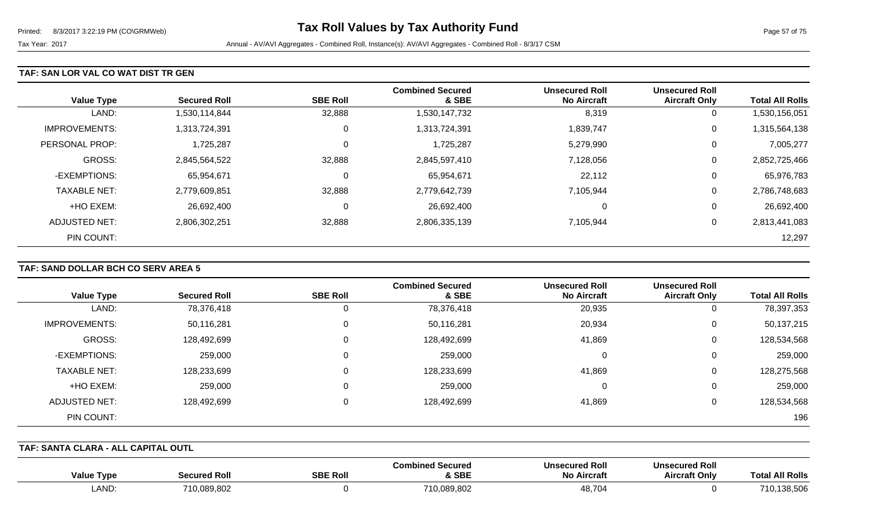#### **TAF: SAN LOR VAL CO WAT DIST TR GEN**

| <b>Value Type</b>    | <b>Secured Roll</b> | <b>SBE Roll</b> | <b>Combined Secured</b><br>& SBE | <b>Unsecured Roll</b><br><b>No Aircraft</b> | <b>Unsecured Roll</b><br><b>Aircraft Only</b> | <b>Total All Rolls</b> |
|----------------------|---------------------|-----------------|----------------------------------|---------------------------------------------|-----------------------------------------------|------------------------|
| LAND:                | 1,530,114,844       | 32,888          | 1,530,147,732                    | 8,319                                       | 0                                             | 1,530,156,051          |
| <b>IMPROVEMENTS:</b> | 1,313,724,391       | 0               | 1,313,724,391                    | 1,839,747                                   | 0                                             | 1,315,564,138          |
| PERSONAL PROP:       | 1,725,287           | 0               | 1,725,287                        | 5,279,990                                   | 0                                             | 7,005,277              |
| <b>GROSS:</b>        | 2,845,564,522       | 32,888          | 2,845,597,410                    | 7,128,056                                   | 0                                             | 2,852,725,466          |
| -EXEMPTIONS:         | 65,954,671          | $\Omega$        | 65,954,671                       | 22,112                                      | 0                                             | 65,976,783             |
| <b>TAXABLE NET:</b>  | 2,779,609,851       | 32,888          | 2,779,642,739                    | 7,105,944                                   | 0                                             | 2,786,748,683          |
| +HO EXEM:            | 26,692,400          | 0               | 26,692,400                       |                                             | 0                                             | 26,692,400             |
| ADJUSTED NET:        | 2,806,302,251       | 32,888          | 2,806,335,139                    | 7,105,944                                   | 0                                             | 2,813,441,083          |
| PIN COUNT:           |                     |                 |                                  |                                             |                                               | 12,297                 |

## **TAF: SAND DOLLAR BCH CO SERV AREA 5**

|                      |                     |                 | <b>Combined Secured</b> | <b>Unsecured Roll</b> | <b>Unsecured Roll</b> |                        |
|----------------------|---------------------|-----------------|-------------------------|-----------------------|-----------------------|------------------------|
| <b>Value Type</b>    | <b>Secured Roll</b> | <b>SBE Roll</b> | & SBE                   | <b>No Aircraft</b>    | <b>Aircraft Only</b>  | <b>Total All Rolls</b> |
| LAND:                | 78,376,418          | 0               | 78,376,418              | 20,935                | 0                     | 78,397,353             |
| <b>IMPROVEMENTS:</b> | 50,116,281          | 0               | 50,116,281              | 20,934                | 0                     | 50,137,215             |
| GROSS:               | 128,492,699         | 0               | 128,492,699             | 41,869                | 0                     | 128,534,568            |
| -EXEMPTIONS:         | 259,000             | 0               | 259,000                 | 0                     | 0                     | 259,000                |
| <b>TAXABLE NET:</b>  | 128,233,699         | 0               | 128,233,699             | 41,869                | 0                     | 128,275,568            |
| +HO EXEM:            | 259,000             | $\Omega$        | 259,000                 | 0                     | 0                     | 259,000                |
| ADJUSTED NET:        | 128,492,699         | 0               | 128,492,699             | 41,869                | 0                     | 128,534,568            |
| PIN COUNT:           |                     |                 |                         |                       |                       | 196                    |

#### **TAF: SANTA CLARA - ALL CAPITAL OUTL**

| <b>Value Type</b> | Secured Rol | <b>SBE Roll</b> | <b>Combined Secured</b><br>& SBE | Unsecured Roll<br><b>No Aircraft</b> | <b>Unsecured Roll</b><br><b>Aircraft Only</b> | <b>All Rolls</b><br>Tota |
|-------------------|-------------|-----------------|----------------------------------|--------------------------------------|-----------------------------------------------|--------------------------|
| LAND              | 710,089,802 |                 | 710,089,802                      | 48,704                               |                                               | 740<br>138,506           |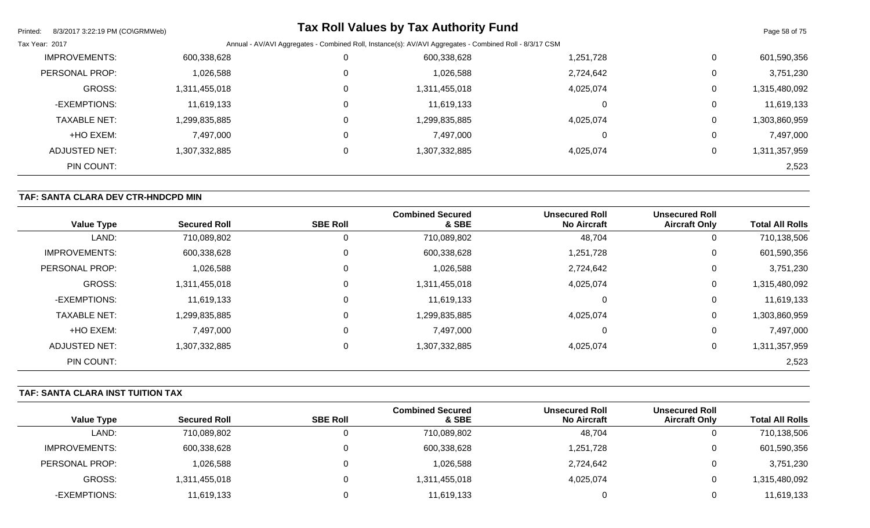| Printed:<br>8/3/2017 3:22:19 PM (CO\GRMWeb) |               |          | <b>Tax Roll Values by Tax Authority Fund</b>                                                            |           |              | Page 58 of 75 |
|---------------------------------------------|---------------|----------|---------------------------------------------------------------------------------------------------------|-----------|--------------|---------------|
| Tax Year: 2017                              |               |          | Annual - AV/AVI Aggregates - Combined Roll, Instance(s): AV/AVI Aggregates - Combined Roll - 8/3/17 CSM |           |              |               |
| <b>IMPROVEMENTS:</b>                        | 600,338,628   |          | 600,338,628                                                                                             | 1,251,728 | $\mathbf 0$  | 601,590,356   |
| PERSONAL PROP:                              | 1,026,588     |          | 1,026,588                                                                                               | 2,724,642 | $\Omega$     | 3,751,230     |
| <b>GROSS:</b>                               | 1,311,455,018 |          | 1,311,455,018                                                                                           | 4,025,074 | 0            | 1,315,480,092 |
| -EXEMPTIONS:                                | 11,619,133    |          | 11,619,133                                                                                              |           | $\mathbf 0$  | 11,619,133    |
| <b>TAXABLE NET:</b>                         | 1,299,835,885 | $\Omega$ | 1,299,835,885                                                                                           | 4,025,074 | 0            | 1,303,860,959 |
| +HO EXEM:                                   | 7,497,000     | 0        | 7,497,000                                                                                               |           | 0            | 7,497,000     |
| ADJUSTED NET:                               | 1,307,332,885 |          | 1,307,332,885                                                                                           | 4,025,074 | $\mathbf{0}$ | 1,311,357,959 |
| PIN COUNT:                                  |               |          |                                                                                                         |           |              | 2,523         |

## **TAF: SANTA CLARA DEV CTR-HNDCPD MIN**

| <b>Value Type</b>    | <b>Secured Roll</b> | <b>SBE Roll</b> | <b>Combined Secured</b><br>& SBE | <b>Unsecured Roll</b><br><b>No Aircraft</b> | <b>Unsecured Roll</b><br><b>Aircraft Only</b> | <b>Total All Rolls</b> |
|----------------------|---------------------|-----------------|----------------------------------|---------------------------------------------|-----------------------------------------------|------------------------|
| LAND:                | 710,089,802         | 0               | 710,089,802                      | 48,704                                      | 0                                             | 710,138,506            |
| <b>IMPROVEMENTS:</b> | 600,338,628         | $\mathbf 0$     | 600,338,628                      | 1,251,728                                   | 0                                             | 601,590,356            |
| PERSONAL PROP:       | 1,026,588           | $\mathbf 0$     | 1,026,588                        | 2,724,642                                   | 0                                             | 3,751,230              |
| <b>GROSS:</b>        | 1,311,455,018       | $\mathbf 0$     | 1,311,455,018                    | 4,025,074                                   | 0                                             | 1,315,480,092          |
| -EXEMPTIONS:         | 11,619,133          | $\mathbf 0$     | 11,619,133                       | 0                                           | 0                                             | 11,619,133             |
| <b>TAXABLE NET:</b>  | 1,299,835,885       | $\mathbf 0$     | 1,299,835,885                    | 4,025,074                                   | 0                                             | 1,303,860,959          |
| +HO EXEM:            | 7,497,000           | 0               | 7,497,000                        | 0                                           | 0                                             | 7,497,000              |
| <b>ADJUSTED NET:</b> | 1,307,332,885       | $\mathbf 0$     | 1,307,332,885                    | 4,025,074                                   | 0                                             | 1,311,357,959          |
| PIN COUNT:           |                     |                 |                                  |                                             |                                               | 2,523                  |

## **TAF: SANTA CLARA INST TUITION TAX**

|                      |                     |                 | <b>Combined Secured</b> | <b>Unsecured Roll</b> | <b>Unsecured Roll</b> |                        |
|----------------------|---------------------|-----------------|-------------------------|-----------------------|-----------------------|------------------------|
| <b>Value Type</b>    | <b>Secured Roll</b> | <b>SBE Roll</b> | & SBE                   | <b>No Aircraft</b>    | <b>Aircraft Only</b>  | <b>Total All Rolls</b> |
| LAND:                | 710,089,802         |                 | 710,089,802             | 48,704                | U                     | 710,138,506            |
| <b>IMPROVEMENTS:</b> | 600,338,628         |                 | 600,338,628             | 1,251,728             | 0                     | 601,590,356            |
| PERSONAL PROP:       | 1,026,588           |                 | 1,026,588               | 2,724,642             | 0                     | 3,751,230              |
| GROSS:               | 1,311,455,018       |                 | 1,311,455,018           | 4,025,074             | 0                     | ,315,480,092           |
| -EXEMPTIONS:         | 11,619,133          |                 | 11,619,133              |                       | 0                     | 11,619,133             |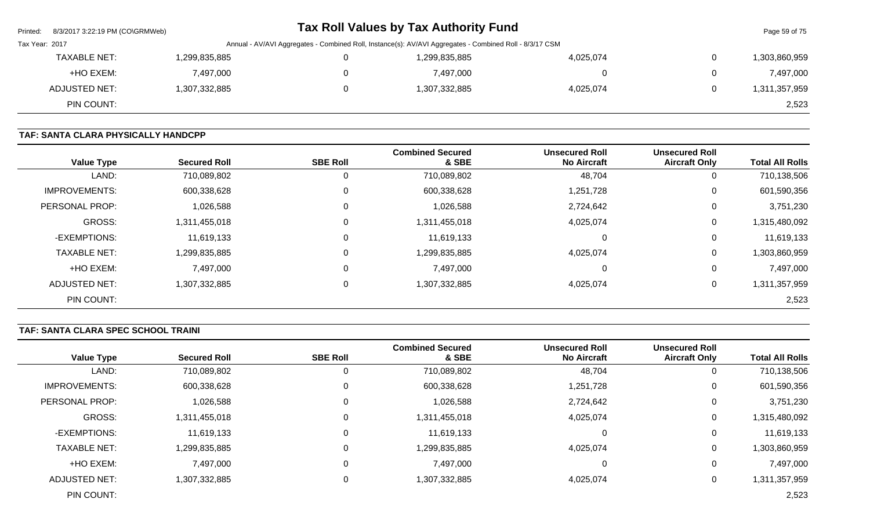| Printed:       | 8/3/2017 3:22:19 PM (CO\GRMWeb) |                                                                                                         | <b>Tax Roll Values by Tax Authority Fund</b> |           | Page 59 of 75 |
|----------------|---------------------------------|---------------------------------------------------------------------------------------------------------|----------------------------------------------|-----------|---------------|
| Tax Year: 2017 |                                 | Annual - AV/AVI Aggregates - Combined Roll, Instance(s): AV/AVI Aggregates - Combined Roll - 8/3/17 CSM |                                              |           |               |
|                | <b>TAXABLE NET:</b>             | 1,299,835,885                                                                                           | 1,299,835,885                                | 4,025,074 | 1,303,860,959 |
|                | +HO EXEM:                       | 7,497,000                                                                                               | 7,497,000                                    |           | 7,497,000     |
|                | ADJUSTED NET:                   | 1,307,332,885                                                                                           | 1,307,332,885                                | 4,025,074 | 1,311,357,959 |
|                | PIN COUNT:                      |                                                                                                         |                                              |           | 2,523         |

# **TAF: SANTA CLARA PHYSICALLY HANDCPP**

| <b>Value Type</b>    | <b>Secured Roll</b> | <b>SBE Roll</b> | <b>Combined Secured</b><br>& SBE | <b>Unsecured Roll</b><br><b>No Aircraft</b> | <b>Unsecured Roll</b><br><b>Aircraft Only</b> | <b>Total All Rolls</b> |
|----------------------|---------------------|-----------------|----------------------------------|---------------------------------------------|-----------------------------------------------|------------------------|
| LAND:                | 710,089,802         | 0               | 710,089,802                      | 48,704                                      | υ                                             | 710,138,506            |
| <b>IMPROVEMENTS:</b> | 600,338,628         | $\mathbf 0$     | 600,338,628                      | 1,251,728                                   | U                                             | 601,590,356            |
| PERSONAL PROP:       | 1,026,588           | 0               | 1,026,588                        | 2,724,642                                   | 0                                             | 3,751,230              |
| <b>GROSS:</b>        | 1,311,455,018       | $\mathbf 0$     | 1,311,455,018                    | 4,025,074                                   | 0                                             | 1,315,480,092          |
| -EXEMPTIONS:         | 11,619,133          | 0               | 11,619,133                       | 0                                           | 0                                             | 11,619,133             |
| <b>TAXABLE NET:</b>  | 1,299,835,885       | $\mathbf 0$     | 1,299,835,885                    | 4,025,074                                   | 0                                             | 1,303,860,959          |
| +HO EXEM:            | 7,497,000           | $\mathbf 0$     | 7,497,000                        | 0                                           | 0                                             | 7,497,000              |
| ADJUSTED NET:        | 1,307,332,885       | $\mathbf 0$     | 1,307,332,885                    | 4,025,074                                   | 0                                             | 1,311,357,959          |
| PIN COUNT:           |                     |                 |                                  |                                             |                                               | 2,523                  |

# **TAF: SANTA CLARA SPEC SCHOOL TRAINI**

| <b>Value Type</b>    | <b>Secured Roll</b> | <b>SBE Roll</b> | <b>Combined Secured</b><br>& SBE | <b>Unsecured Roll</b><br><b>No Aircraft</b> | <b>Unsecured Roll</b><br><b>Aircraft Only</b> | <b>Total All Rolls</b> |
|----------------------|---------------------|-----------------|----------------------------------|---------------------------------------------|-----------------------------------------------|------------------------|
| LAND:                | 710,089,802         |                 | 710,089,802                      | 48,704                                      | U                                             | 710,138,506            |
| <b>IMPROVEMENTS:</b> | 600,338,628         | 0               | 600,338,628                      | 1,251,728                                   | 0                                             | 601,590,356            |
| PERSONAL PROP:       | 1,026,588           | 0               | 1,026,588                        | 2,724,642                                   | 0                                             | 3,751,230              |
| <b>GROSS:</b>        | 1,311,455,018       | 0               | 1,311,455,018                    | 4,025,074                                   | 0                                             | 1,315,480,092          |
| -EXEMPTIONS:         | 11,619,133          |                 | 11,619,133                       | 0                                           | 0                                             | 11,619,133             |
| <b>TAXABLE NET:</b>  | 1,299,835,885       | $\mathbf{0}$    | 1,299,835,885                    | 4,025,074                                   | 0                                             | 1,303,860,959          |
| +HO EXEM:            | 7,497,000           | 0               | 7,497,000                        | 0                                           | 0                                             | 7,497,000              |
| <b>ADJUSTED NET:</b> | 1,307,332,885       | 0               | 1,307,332,885                    | 4,025,074                                   | 0                                             | 1,311,357,959          |
| PIN COUNT:           |                     |                 |                                  |                                             |                                               | 2,523                  |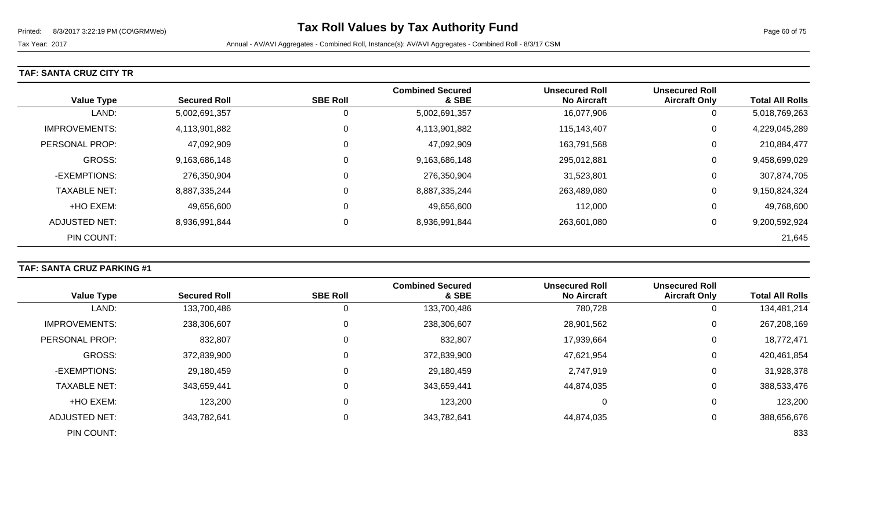### **TAF: SANTA CRUZ CITY TR**

| <b>Value Type</b>    | <b>Secured Roll</b> | <b>SBE Roll</b> | <b>Combined Secured</b><br>& SBE | <b>Unsecured Roll</b><br><b>No Aircraft</b> | <b>Unsecured Roll</b><br><b>Aircraft Only</b> | <b>Total All Rolls</b> |
|----------------------|---------------------|-----------------|----------------------------------|---------------------------------------------|-----------------------------------------------|------------------------|
| LAND:                | 5,002,691,357       | 0               | 5,002,691,357                    | 16,077,906                                  | 0                                             | 5,018,769,263          |
| <b>IMPROVEMENTS:</b> | 4,113,901,882       | $\Omega$        | 4,113,901,882                    | 115,143,407                                 | 0                                             | 4,229,045,289          |
| PERSONAL PROP:       | 47,092,909          | 0               | 47,092,909                       | 163,791,568                                 | 0                                             | 210,884,477            |
| <b>GROSS:</b>        | 9,163,686,148       | $\Omega$        | 9,163,686,148                    | 295,012,881                                 | 0                                             | 9,458,699,029          |
| -EXEMPTIONS:         | 276,350,904         | 0               | 276,350,904                      | 31,523,801                                  | 0                                             | 307,874,705            |
| <b>TAXABLE NET:</b>  | 8,887,335,244       | $\mathbf 0$     | 8,887,335,244                    | 263,489,080                                 | 0                                             | 9,150,824,324          |
| +HO EXEM:            | 49,656,600          | $\mathbf 0$     | 49,656,600                       | 112,000                                     | 0                                             | 49,768,600             |
| ADJUSTED NET:        | 8,936,991,844       | $\mathbf 0$     | 8,936,991,844                    | 263,601,080                                 | 0                                             | 9,200,592,924          |
| PIN COUNT:           |                     |                 |                                  |                                             |                                               | 21,645                 |

## **TAF: SANTA CRUZ PARKING #1**

|                       |                     |                 | <b>Combined Secured</b> | <b>Unsecured Roll</b> | <b>Unsecured Roll</b> |                        |
|-----------------------|---------------------|-----------------|-------------------------|-----------------------|-----------------------|------------------------|
| <b>Value Type</b>     | <b>Secured Roll</b> | <b>SBE Roll</b> | & SBE                   | <b>No Aircraft</b>    | <b>Aircraft Only</b>  | <b>Total All Rolls</b> |
| LAND:                 | 133,700,486         |                 | 133,700,486             | 780,728               | 0                     | 134,481,214            |
| <b>IMPROVEMENTS:</b>  | 238,306,607         |                 | 238,306,607             | 28,901,562            | 0                     | 267,208,169            |
| <b>PERSONAL PROP:</b> | 832,807             |                 | 832,807                 | 17,939,664            | 0                     | 18,772,471             |
| <b>GROSS:</b>         | 372,839,900         |                 | 372,839,900             | 47,621,954            | 0                     | 420,461,854            |
| -EXEMPTIONS:          | 29,180,459          |                 | 29,180,459              | 2,747,919             | 0                     | 31,928,378             |
| <b>TAXABLE NET:</b>   | 343,659,441         |                 | 343,659,441             | 44,874,035            | 0                     | 388,533,476            |
| +HO EXEM:             | 123,200             |                 | 123,200                 | 0                     | 0                     | 123,200                |
| <b>ADJUSTED NET:</b>  | 343,782,641         |                 | 343,782,641             | 44,874,035            | 0                     | 388,656,676            |
| PIN COUNT:            |                     |                 |                         |                       |                       | 833                    |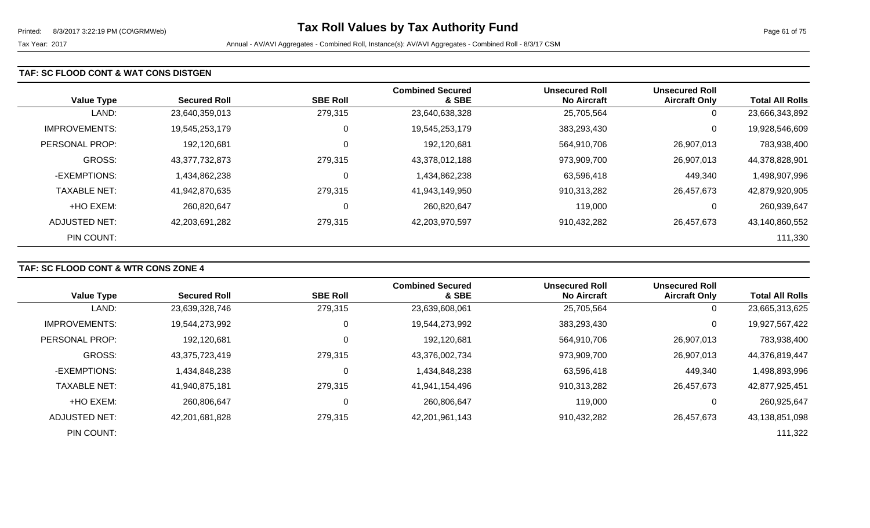#### **TAF: SC FLOOD CONT & WAT CONS DISTGEN**

| <b>Value Type</b>    | <b>Secured Roll</b> | <b>SBE Roll</b> | <b>Combined Secured</b><br>& SBE | <b>Unsecured Roll</b><br><b>No Aircraft</b> | <b>Unsecured Roll</b><br><b>Aircraft Only</b> | <b>Total All Rolls</b> |
|----------------------|---------------------|-----------------|----------------------------------|---------------------------------------------|-----------------------------------------------|------------------------|
| LAND:                | 23,640,359,013      | 279,315         | 23,640,638,328                   | 25,705,564                                  | 0                                             | 23,666,343,892         |
| <b>IMPROVEMENTS:</b> | 19.545.253.179      | 0               | 19,545,253,179                   | 383,293,430                                 | 0                                             | 19,928,546,609         |
| PERSONAL PROP:       | 192,120,681         | 0               | 192,120,681                      | 564,910,706                                 | 26,907,013                                    | 783,938,400            |
| <b>GROSS:</b>        | 43,377,732,873      | 279,315         | 43,378,012,188                   | 973,909,700                                 | 26,907,013                                    | 44,378,828,901         |
| -EXEMPTIONS:         | 1,434,862,238       | 0               | 1,434,862,238                    | 63,596,418                                  | 449,340                                       | 1,498,907,996          |
| <b>TAXABLE NET:</b>  | 41,942,870,635      | 279,315         | 41,943,149,950                   | 910,313,282                                 | 26,457,673                                    | 42,879,920,905         |
| +HO EXEM:            | 260,820,647         | 0               | 260,820,647                      | 119,000                                     | 0                                             | 260,939,647            |
| ADJUSTED NET:        | 42,203,691,282      | 279,315         | 42,203,970,597                   | 910,432,282                                 | 26,457,673                                    | 43,140,860,552         |
| PIN COUNT:           |                     |                 |                                  |                                             |                                               | 111,330                |

#### **TAF: SC FLOOD CONT & WTR CONS ZONE 4**

|                      |                     |                 | <b>Combined Secured</b> | <b>Unsecured Roll</b> | <b>Unsecured Roll</b> |                        |
|----------------------|---------------------|-----------------|-------------------------|-----------------------|-----------------------|------------------------|
| <b>Value Type</b>    | <b>Secured Roll</b> | <b>SBE Roll</b> | & SBE                   | <b>No Aircraft</b>    | <b>Aircraft Only</b>  | <b>Total All Rolls</b> |
| LAND:                | 23,639,328,746      | 279,315         | 23,639,608,061          | 25,705,564            | 0                     | 23,665,313,625         |
| <b>IMPROVEMENTS:</b> | 19,544,273,992      | 0               | 19,544,273,992          | 383,293,430           | 0                     | 19,927,567,422         |
| PERSONAL PROP:       | 192,120,681         | 0               | 192,120,681             | 564,910,706           | 26,907,013            | 783,938,400            |
| GROSS:               | 43,375,723,419      | 279,315         | 43,376,002,734          | 973,909,700           | 26,907,013            | 44,376,819,447         |
| -EXEMPTIONS:         | 1,434,848,238       | 0               | 1,434,848,238           | 63,596,418            | 449,340               | 1,498,893,996          |
| <b>TAXABLE NET:</b>  | 41,940,875,181      | 279,315         | 41,941,154,496          | 910,313,282           | 26,457,673            | 42,877,925,451         |
| +HO EXEM:            | 260,806,647         | 0               | 260,806,647             | 119,000               | 0                     | 260,925,647            |
| ADJUSTED NET:        | 42,201,681,828      | 279,315         | 42,201,961,143          | 910,432,282           | 26,457,673            | 43,138,851,098         |
| PIN COUNT:           |                     |                 |                         |                       |                       | 111,322                |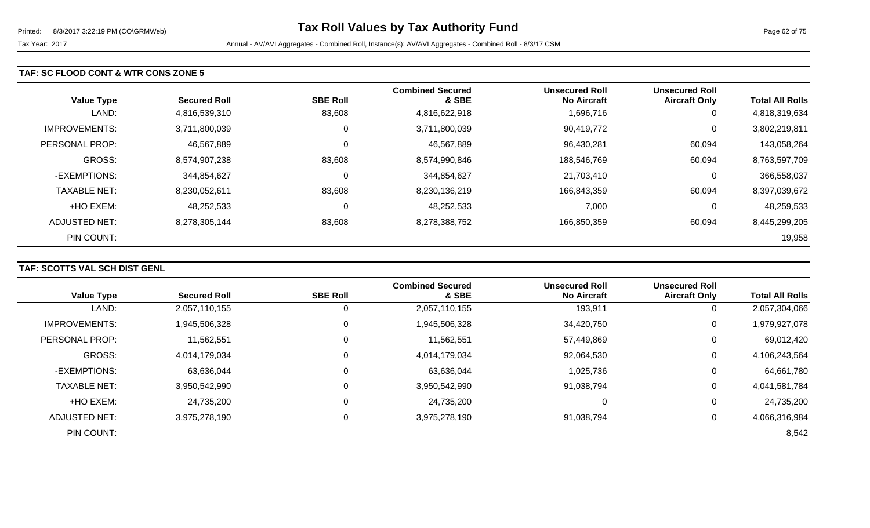#### **TAF: SC FLOOD CONT & WTR CONS ZONE 5**

| <b>Value Type</b>    | <b>Secured Roll</b> | <b>SBE Roll</b> | <b>Combined Secured</b><br>& SBE | <b>Unsecured Roll</b><br><b>No Aircraft</b> | <b>Unsecured Roll</b><br><b>Aircraft Only</b> | <b>Total All Rolls</b> |
|----------------------|---------------------|-----------------|----------------------------------|---------------------------------------------|-----------------------------------------------|------------------------|
| LAND:                | 4,816,539,310       | 83,608          | 4,816,622,918                    | 1,696,716                                   | 0                                             | 4,818,319,634          |
| <b>IMPROVEMENTS:</b> | 3,711,800,039       | 0               | 3,711,800,039                    | 90,419,772                                  | 0                                             | 3,802,219,811          |
| PERSONAL PROP:       | 46,567,889          | 0               | 46,567,889                       | 96,430,281                                  | 60,094                                        | 143,058,264            |
| <b>GROSS:</b>        | 8,574,907,238       | 83,608          | 8,574,990,846                    | 188,546,769                                 | 60,094                                        | 8,763,597,709          |
| -EXEMPTIONS:         | 344,854,627         | 0               | 344,854,627                      | 21,703,410                                  | 0                                             | 366,558,037            |
| <b>TAXABLE NET:</b>  | 8,230,052,611       | 83,608          | 8,230,136,219                    | 166,843,359                                 | 60,094                                        | 8,397,039,672          |
| +HO EXEM:            | 48,252,533          | 0               | 48,252,533                       | 7,000                                       | 0                                             | 48,259,533             |
| ADJUSTED NET:        | 8,278,305,144       | 83,608          | 8,278,388,752                    | 166,850,359                                 | 60,094                                        | 8,445,299,205          |
| PIN COUNT:           |                     |                 |                                  |                                             |                                               | 19,958                 |

## **TAF: SCOTTS VAL SCH DIST GENL**

|                      |                     |                 | <b>Combined Secured</b> | <b>Unsecured Roll</b> | <b>Unsecured Roll</b> |                        |
|----------------------|---------------------|-----------------|-------------------------|-----------------------|-----------------------|------------------------|
| <b>Value Type</b>    | <b>Secured Roll</b> | <b>SBE Roll</b> | & SBE                   | <b>No Aircraft</b>    | <b>Aircraft Only</b>  | <b>Total All Rolls</b> |
| LAND:                | 2,057,110,155       |                 | 2,057,110,155           | 193,911               | 0                     | 2,057,304,066          |
| <b>IMPROVEMENTS:</b> | 1,945,506,328       |                 | 1,945,506,328           | 34,420,750            | 0                     | 1,979,927,078          |
| PERSONAL PROP:       | 11,562,551          |                 | 11,562,551              | 57,449,869            | 0                     | 69,012,420             |
| <b>GROSS:</b>        | 4,014,179,034       |                 | 4,014,179,034           | 92,064,530            | 0                     | 4,106,243,564          |
| -EXEMPTIONS:         | 63,636,044          |                 | 63,636,044              | 1,025,736             | 0                     | 64,661,780             |
| <b>TAXABLE NET:</b>  | 3,950,542,990       |                 | 3,950,542,990           | 91,038,794            | 0                     | 4,041,581,784          |
| +HO EXEM:            | 24,735,200          |                 | 24,735,200              | 0                     | 0                     | 24,735,200             |
| ADJUSTED NET:        | 3,975,278,190       |                 | 3,975,278,190           | 91,038,794            | 0                     | 4,066,316,984          |
| PIN COUNT:           |                     |                 |                         |                       |                       | 8,542                  |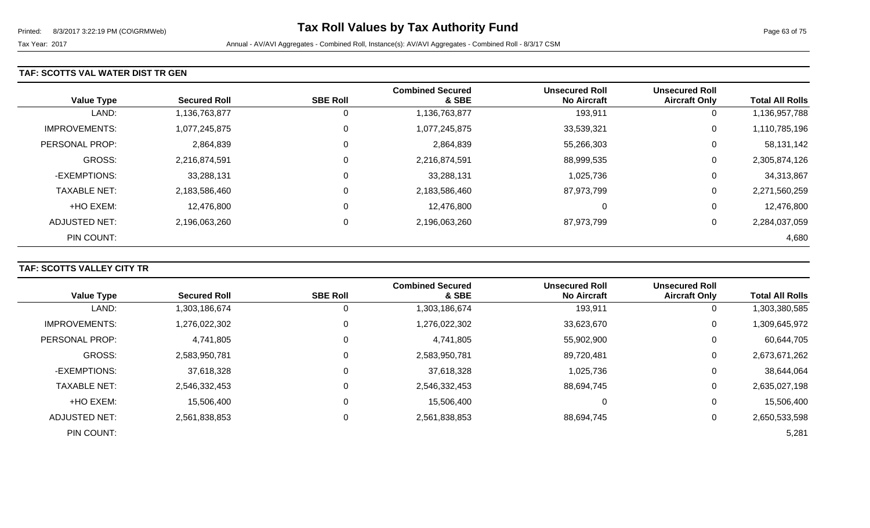#### **TAF: SCOTTS VAL WATER DIST TR GEN**

| <b>Value Type</b>    | <b>Secured Roll</b> | <b>SBE Roll</b> | <b>Combined Secured</b><br>& SBE | <b>Unsecured Roll</b><br><b>No Aircraft</b> | <b>Unsecured Roll</b><br><b>Aircraft Only</b> | <b>Total All Rolls</b> |
|----------------------|---------------------|-----------------|----------------------------------|---------------------------------------------|-----------------------------------------------|------------------------|
| LAND:                | 1,136,763,877       | $\overline{0}$  | 1,136,763,877                    | 193,911                                     | 0                                             | 1,136,957,788          |
| <b>IMPROVEMENTS:</b> | 1,077,245,875       | 0               | 1,077,245,875                    | 33,539,321                                  | 0                                             | 1,110,785,196          |
| PERSONAL PROP:       | 2,864,839           | 0               | 2,864,839                        | 55,266,303                                  | 0                                             | 58,131,142             |
| <b>GROSS:</b>        | 2,216,874,591       | 0               | 2,216,874,591                    | 88,999,535                                  | 0                                             | 2,305,874,126          |
| -EXEMPTIONS:         | 33,288,131          | 0               | 33,288,131                       | 1,025,736                                   | 0                                             | 34,313,867             |
| <b>TAXABLE NET:</b>  | 2,183,586,460       | 0               | 2,183,586,460                    | 87,973,799                                  | 0                                             | 2,271,560,259          |
| +HO EXEM:            | 12,476,800          | 0               | 12,476,800                       | 0                                           | 0                                             | 12,476,800             |
| ADJUSTED NET:        | 2,196,063,260       | 0               | 2,196,063,260                    | 87,973,799                                  | 0                                             | 2,284,037,059          |
| PIN COUNT:           |                     |                 |                                  |                                             |                                               | 4,680                  |

## **TAF: SCOTTS VALLEY CITY TR**

|                       |                     | <b>SBE Roll</b> | <b>Combined Secured</b><br>& SBE | <b>Unsecured Roll</b><br><b>No Aircraft</b> | <b>Unsecured Roll</b> | <b>Total All Rolls</b> |
|-----------------------|---------------------|-----------------|----------------------------------|---------------------------------------------|-----------------------|------------------------|
| <b>Value Type</b>     | <b>Secured Roll</b> |                 |                                  |                                             | <b>Aircraft Only</b>  |                        |
| LAND:                 | 1,303,186,674       | 0               | 1,303,186,674                    | 193,911                                     | 0                     | 1,303,380,585          |
| <b>IMPROVEMENTS:</b>  | 1,276,022,302       | 0               | 1,276,022,302                    | 33,623,670                                  | 0                     | 1,309,645,972          |
| <b>PERSONAL PROP:</b> | 4,741,805           | 0               | 4,741,805                        | 55,902,900                                  | 0                     | 60,644,705             |
| <b>GROSS:</b>         | 2,583,950,781       | $\Omega$        | 2,583,950,781                    | 89,720,481                                  | 0                     | 2,673,671,262          |
| -EXEMPTIONS:          | 37,618,328          | $\mathbf 0$     | 37,618,328                       | 1,025,736                                   | 0                     | 38,644,064             |
| <b>TAXABLE NET:</b>   | 2,546,332,453       | $\Omega$        | 2,546,332,453                    | 88,694,745                                  | 0                     | 2,635,027,198          |
| +HO EXEM:             | 15,506,400          | $\mathbf 0$     | 15,506,400                       | 0                                           | 0                     | 15,506,400             |
| <b>ADJUSTED NET:</b>  | 2,561,838,853       | 0               | 2,561,838,853                    | 88,694,745                                  | 0                     | 2,650,533,598          |
| PIN COUNT:            |                     |                 |                                  |                                             |                       | 5,281                  |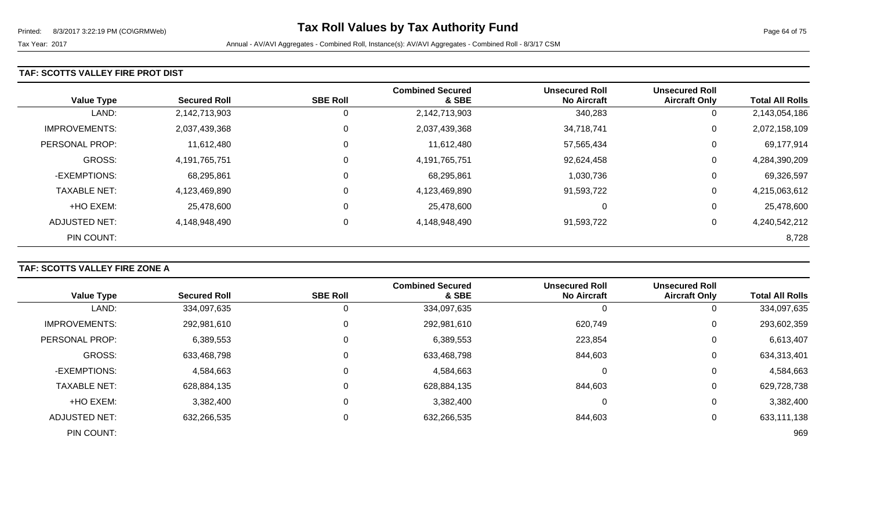#### **TAF: SCOTTS VALLEY FIRE PROT DIST**

| <b>Value Type</b>    | <b>Secured Roll</b> | <b>SBE Roll</b> | <b>Combined Secured</b><br>& SBE | <b>Unsecured Roll</b><br><b>No Aircraft</b> | <b>Unsecured Roll</b><br><b>Aircraft Only</b> | <b>Total All Rolls</b> |
|----------------------|---------------------|-----------------|----------------------------------|---------------------------------------------|-----------------------------------------------|------------------------|
| LAND:                | 2,142,713,903       | 0               | 2,142,713,903                    | 340,283                                     | 0                                             | 2,143,054,186          |
| <b>IMPROVEMENTS:</b> | 2,037,439,368       | $\mathbf 0$     | 2,037,439,368                    | 34,718,741                                  | 0                                             | 2,072,158,109          |
| PERSONAL PROP:       | 11,612,480          | $\mathbf 0$     | 11,612,480                       | 57,565,434                                  | 0                                             | 69,177,914             |
| <b>GROSS:</b>        | 4,191,765,751       | $\mathbf 0$     | 4,191,765,751                    | 92,624,458                                  | 0                                             | 4,284,390,209          |
| -EXEMPTIONS:         | 68,295,861          | $\mathbf 0$     | 68,295,861                       | 1,030,736                                   | 0                                             | 69,326,597             |
| <b>TAXABLE NET:</b>  | 4,123,469,890       | $\mathbf 0$     | 4,123,469,890                    | 91,593,722                                  | 0                                             | 4,215,063,612          |
| +HO EXEM:            | 25,478,600          | $\mathbf 0$     | 25,478,600                       | 0                                           | 0                                             | 25,478,600             |
| ADJUSTED NET:        | 4,148,948,490       | 0               | 4,148,948,490                    | 91,593,722                                  | 0                                             | 4,240,542,212          |
| PIN COUNT:           |                     |                 |                                  |                                             |                                               | 8,728                  |

## **TAF: SCOTTS VALLEY FIRE ZONE A**

|                       |                     |                 | <b>Combined Secured</b> | <b>Unsecured Roll</b> | <b>Unsecured Roll</b> |                        |
|-----------------------|---------------------|-----------------|-------------------------|-----------------------|-----------------------|------------------------|
| <b>Value Type</b>     | <b>Secured Roll</b> | <b>SBE Roll</b> | & SBE                   | <b>No Aircraft</b>    | <b>Aircraft Only</b>  | <b>Total All Rolls</b> |
| LAND:                 | 334,097,635         | 0               | 334,097,635             | 0                     |                       | 334,097,635            |
| <b>IMPROVEMENTS:</b>  | 292,981,610         | 0               | 292,981,610             | 620,749               | 0                     | 293,602,359            |
| <b>PERSONAL PROP:</b> | 6,389,553           | 0               | 6,389,553               | 223,854               | 0                     | 6,613,407              |
| <b>GROSS:</b>         | 633,468,798         | 0               | 633,468,798             | 844,603               | 0                     | 634,313,401            |
| -EXEMPTIONS:          | 4,584,663           | 0               | 4,584,663               | 0                     | 0                     | 4,584,663              |
| <b>TAXABLE NET:</b>   | 628,884,135         | 0               | 628,884,135             | 844,603               | 0                     | 629,728,738            |
| +HO EXEM:             | 3,382,400           | 0               | 3,382,400               | 0                     | 0                     | 3,382,400              |
| <b>ADJUSTED NET:</b>  | 632,266,535         | $\mathbf 0$     | 632,266,535             | 844,603               |                       | 633,111,138            |
| PIN COUNT:            |                     |                 |                         |                       |                       | 969                    |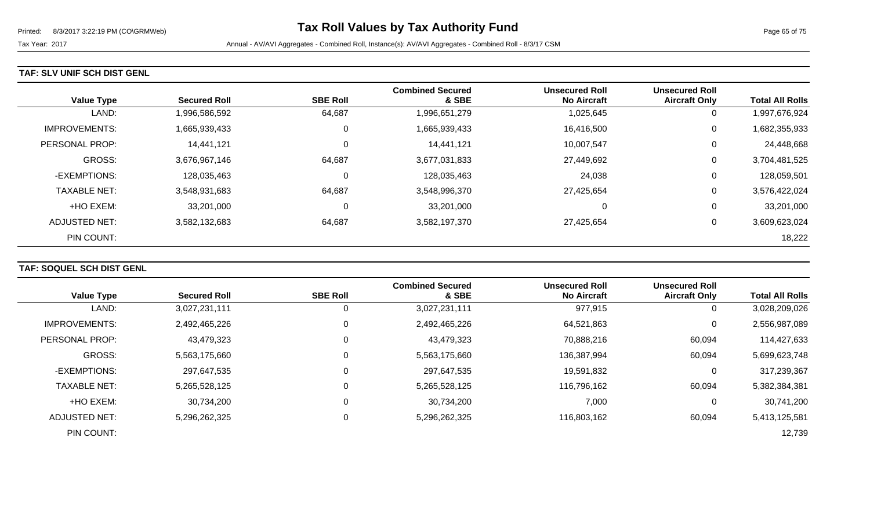#### **TAF: SLV UNIF SCH DIST GENL**

|                      |                     |                 | <b>Combined Secured</b> | <b>Unsecured Roll</b> | <b>Unsecured Roll</b> |                        |
|----------------------|---------------------|-----------------|-------------------------|-----------------------|-----------------------|------------------------|
| <b>Value Type</b>    | <b>Secured Roll</b> | <b>SBE Roll</b> | & SBE                   | <b>No Aircraft</b>    | <b>Aircraft Only</b>  | <b>Total All Rolls</b> |
| LAND:                | 1,996,586,592       | 64,687          | 1,996,651,279           | 1,025,645             | 0                     | 1,997,676,924          |
| <b>IMPROVEMENTS:</b> | 1,665,939,433       | 0               | 1,665,939,433           | 16,416,500            | 0                     | 1,682,355,933          |
| PERSONAL PROP:       | 14,441,121          | 0               | 14,441,121              | 10,007,547            | 0                     | 24,448,668             |
| <b>GROSS:</b>        | 3,676,967,146       | 64,687          | 3,677,031,833           | 27,449,692            | 0                     | 3,704,481,525          |
| -EXEMPTIONS:         | 128,035,463         | C               | 128,035,463             | 24,038                | 0                     | 128,059,501            |
| <b>TAXABLE NET:</b>  | 3,548,931,683       | 64,687          | 3,548,996,370           | 27,425,654            | 0                     | 3,576,422,024          |
| +HO EXEM:            | 33,201,000          | 0               | 33,201,000              | 0                     | 0                     | 33,201,000             |
| ADJUSTED NET:        | 3,582,132,683       | 64,687          | 3,582,197,370           | 27,425,654            | 0                     | 3,609,623,024          |
| PIN COUNT:           |                     |                 |                         |                       |                       | 18,222                 |

## **TAF: SOQUEL SCH DIST GENL**

| <b>Value Type</b>     | <b>Secured Roll</b> | <b>SBE Roll</b> | <b>Combined Secured</b><br>& SBE | <b>Unsecured Roll</b><br><b>No Aircraft</b> | <b>Unsecured Roll</b><br><b>Aircraft Only</b> | <b>Total All Rolls</b> |
|-----------------------|---------------------|-----------------|----------------------------------|---------------------------------------------|-----------------------------------------------|------------------------|
|                       |                     |                 |                                  |                                             |                                               |                        |
| LAND:                 | 3,027,231,111       |                 | 3,027,231,111                    | 977,915                                     | 0                                             | 3,028,209,026          |
| <b>IMPROVEMENTS:</b>  | 2,492,465,226       |                 | 2,492,465,226                    | 64,521,863                                  | 0                                             | 2,556,987,089          |
| <b>PERSONAL PROP:</b> | 43,479,323          | 0               | 43,479,323                       | 70,888,216                                  | 60,094                                        | 114,427,633            |
| <b>GROSS:</b>         | 5,563,175,660       |                 | 5,563,175,660                    | 136,387,994                                 | 60,094                                        | 5,699,623,748          |
| -EXEMPTIONS:          | 297,647,535         |                 | 297,647,535                      | 19,591,832                                  | 0                                             | 317,239,367            |
| <b>TAXABLE NET:</b>   | 5,265,528,125       |                 | 5,265,528,125                    | 116,796,162                                 | 60,094                                        | 5,382,384,381          |
| +HO EXEM:             | 30,734,200          |                 | 30,734,200                       | 7,000                                       | 0                                             | 30,741,200             |
| ADJUSTED NET:         | 5,296,262,325       |                 | 5,296,262,325                    | 116,803,162                                 | 60,094                                        | 5,413,125,581          |
| PIN COUNT:            |                     |                 |                                  |                                             |                                               | 12,739                 |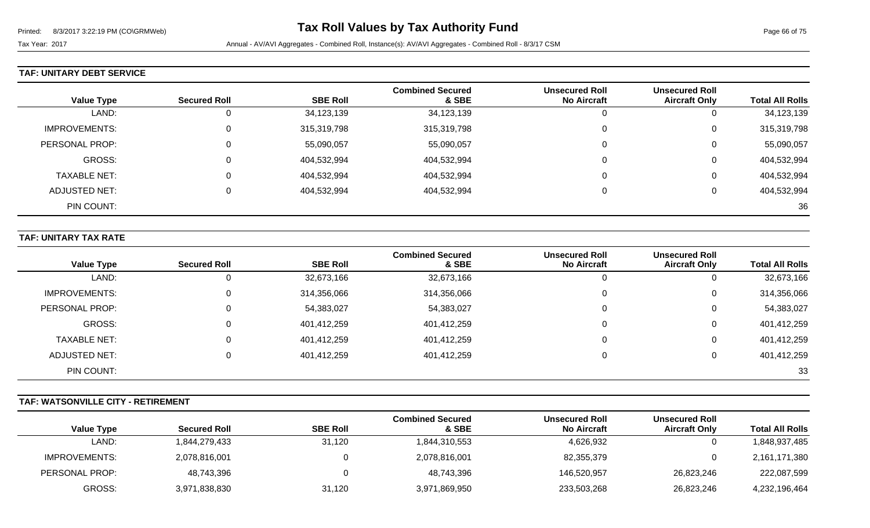## **TAF: UNITARY DEBT SERVICE**

| <b>Value Type</b>    | <b>Secured Roll</b> | <b>SBE Roll</b> | <b>Combined Secured</b><br>& SBE | <b>Unsecured Roll</b><br><b>No Aircraft</b> | <b>Unsecured Roll</b><br><b>Aircraft Only</b> | <b>Total All Rolls</b> |
|----------------------|---------------------|-----------------|----------------------------------|---------------------------------------------|-----------------------------------------------|------------------------|
| LAND:                | 0                   | 34,123,139      | 34,123,139                       | 0                                           | ν                                             | 34,123,139             |
| <b>IMPROVEMENTS:</b> | $\Omega$            | 315,319,798     | 315,319,798                      | 0                                           | U                                             | 315,319,798            |
| PERSONAL PROP:       | 0                   | 55,090,057      | 55,090,057                       | 0                                           | U                                             | 55,090,057             |
| GROSS:               | 0                   | 404,532,994     | 404,532,994                      | 0                                           | U                                             | 404,532,994            |
| <b>TAXABLE NET:</b>  | $\Omega$            | 404,532,994     | 404,532,994                      | 0                                           | U                                             | 404,532,994            |
| <b>ADJUSTED NET:</b> | $\Omega$            | 404,532,994     | 404,532,994                      | $\mathbf{0}$                                | υ                                             | 404,532,994            |
| PIN COUNT:           |                     |                 |                                  |                                             |                                               | 36                     |

### **TAF: UNITARY TAX RATE**

|                      |                     |                 | <b>Combined Secured</b> | <b>Unsecured Roll</b> | <b>Unsecured Roll</b> |                        |
|----------------------|---------------------|-----------------|-------------------------|-----------------------|-----------------------|------------------------|
| <b>Value Type</b>    | <b>Secured Roll</b> | <b>SBE Roll</b> | & SBE                   | <b>No Aircraft</b>    | <b>Aircraft Only</b>  | <b>Total All Rolls</b> |
| LAND:                |                     | 32,673,166      | 32,673,166              | 0                     |                       | 32,673,166             |
| <b>IMPROVEMENTS:</b> |                     | 314,356,066     | 314,356,066             | 0                     | 0                     | 314,356,066            |
| PERSONAL PROP:       |                     | 54,383,027      | 54,383,027              | 0                     | 0                     | 54,383,027             |
| GROSS:               |                     | 401,412,259     | 401,412,259             | 0                     | 0                     | 401,412,259            |
| <b>TAXABLE NET:</b>  |                     | 401,412,259     | 401,412,259             | 0                     | 0                     | 401,412,259            |
| ADJUSTED NET:        |                     | 401,412,259     | 401,412,259             | 0                     | 0                     | 401,412,259            |
| PIN COUNT:           |                     |                 |                         |                       |                       | 33                     |

## **TAF: WATSONVILLE CITY - RETIREMENT**

|                   |                     |                 | <b>Combined Secured</b> | <b>Unsecured Roll</b> | <b>Unsecured Roll</b> |                        |
|-------------------|---------------------|-----------------|-------------------------|-----------------------|-----------------------|------------------------|
| <b>Value Type</b> | <b>Secured Roll</b> | <b>SBE Roll</b> | & SBE                   | <b>No Aircraft</b>    | <b>Aircraft Only</b>  | <b>Total All Rolls</b> |
| LAND:             | 1,844,279,433       | 31,120          | 1,844,310,553           | 4,626,932             |                       | 1,848,937,485          |
| IMPROVEMENTS:     | 2,078,816,001       |                 | 2,078,816,001           | 82,355,379            |                       | 2,161,171,380          |
| PERSONAL PROP:    | 48,743,396          |                 | 48,743,396              | 146.520.957           | 26,823,246            | 222,087,599            |
| GROSS:            | 3,971,838,830       | 31,120          | 3,971,869,950           | 233,503,268           | 26,823,246            | 4,232,196,464          |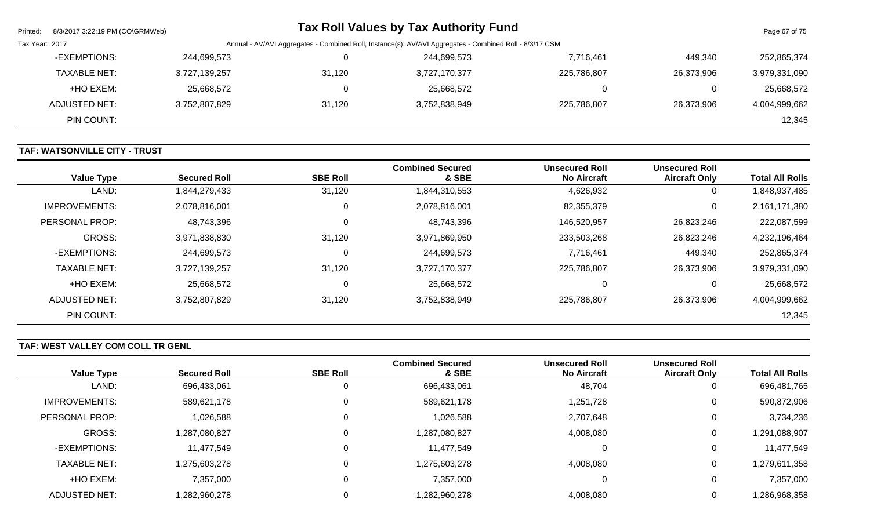| Printed:                                                                                                                  | 8/3/2017 3:22:19 PM (CO\GRMWeb) |               |        | <b>Tax Roll Values by Tax Authority Fund</b> |             |            | Page 67 of 75 |
|---------------------------------------------------------------------------------------------------------------------------|---------------------------------|---------------|--------|----------------------------------------------|-------------|------------|---------------|
| Annual - AV/AVI Aggregates - Combined Roll, Instance(s): AV/AVI Aggregates - Combined Roll - 8/3/17 CSM<br>Tax Year: 2017 |                                 |               |        |                                              |             |            |               |
|                                                                                                                           | -EXEMPTIONS:                    | 244,699,573   | 0      | 244,699,573                                  | 7,716,461   | 449.340    | 252,865,374   |
|                                                                                                                           | <b>TAXABLE NET:</b>             | 3,727,139,257 | 31,120 | 3,727,170,377                                | 225,786,807 | 26,373,906 | 3,979,331,090 |
|                                                                                                                           | +HO EXEM:                       | 25,668,572    |        | 25,668,572                                   |             |            | 25,668,572    |
|                                                                                                                           | ADJUSTED NET:                   | 3.752.807.829 | 31,120 | 3,752,838,949                                | 225.786.807 | 26,373,906 | 4,004,999,662 |
|                                                                                                                           | PIN COUNT:                      |               |        |                                              |             |            | 12,345        |

## **TAF: WATSONVILLE CITY - TRUST**

| <b>Value Type</b>    | <b>Secured Roll</b> | <b>SBE Roll</b> | <b>Combined Secured</b><br>& SBE | Unsecured Roll<br><b>No Aircraft</b> | <b>Unsecured Roll</b><br><b>Aircraft Only</b> | <b>Total All Rolls</b> |
|----------------------|---------------------|-----------------|----------------------------------|--------------------------------------|-----------------------------------------------|------------------------|
| LAND:                | 1,844,279,433       | 31,120          | 1,844,310,553                    | 4,626,932                            | 0                                             | 1,848,937,485          |
| <b>IMPROVEMENTS:</b> | 2,078,816,001       | 0               | 2,078,816,001                    | 82,355,379                           | 0                                             | 2,161,171,380          |
| PERSONAL PROP:       | 48,743,396          | $\mathbf 0$     | 48,743,396                       | 146,520,957                          | 26,823,246                                    | 222,087,599            |
| GROSS:               | 3,971,838,830       | 31,120          | 3,971,869,950                    | 233,503,268                          | 26,823,246                                    | 4,232,196,464          |
| -EXEMPTIONS:         | 244,699,573         | 0               | 244,699,573                      | 7,716,461                            | 449,340                                       | 252,865,374            |
| <b>TAXABLE NET:</b>  | 3,727,139,257       | 31,120          | 3,727,170,377                    | 225,786,807                          | 26,373,906                                    | 3,979,331,090          |
| +HO EXEM:            | 25,668,572          | 0               | 25,668,572                       | 0                                    | 0                                             | 25,668,572             |
| ADJUSTED NET:        | 3,752,807,829       | 31,120          | 3,752,838,949                    | 225,786,807                          | 26,373,906                                    | 4,004,999,662          |
| PIN COUNT:           |                     |                 |                                  |                                      |                                               | 12,345                 |

# **TAF: WEST VALLEY COM COLL TR GENL**

|                      | <b>Secured Roll</b> | <b>SBE Roll</b> | <b>Combined Secured</b><br>& SBE | <b>Unsecured Roll</b><br><b>No Aircraft</b> | <b>Unsecured Roll</b><br><b>Aircraft Only</b> | <b>Total All Rolls</b> |
|----------------------|---------------------|-----------------|----------------------------------|---------------------------------------------|-----------------------------------------------|------------------------|
| <b>Value Type</b>    |                     |                 |                                  |                                             |                                               |                        |
| LAND:                | 696,433,061         | U               | 696,433,061                      | 48,704                                      |                                               | 696,481,765            |
| <b>IMPROVEMENTS:</b> | 589,621,178         | U               | 589,621,178                      | 1,251,728                                   | 0                                             | 590,872,906            |
| PERSONAL PROP:       | 1,026,588           | υ               | 1,026,588                        | 2,707,648                                   | 0                                             | 3,734,236              |
| GROSS:               | ,287,080,827        |                 | 1,287,080,827                    | 4,008,080                                   | 0                                             | 1,291,088,907          |
| -EXEMPTIONS:         | 11,477,549          | 0               | 11,477,549                       | 0                                           |                                               | 11,477,549             |
| <b>TAXABLE NET:</b>  | 1,275,603,278       |                 | 1,275,603,278                    | 4,008,080                                   | 0                                             | 1,279,611,358          |
| +HO EXEM:            | 7,357,000           |                 | 7,357,000                        | 0                                           | 0                                             | 7,357,000              |
| ADJUSTED NET:        | .282,960,278        |                 | 1,282,960,278                    | 4,008,080                                   |                                               | 1,286,968,358          |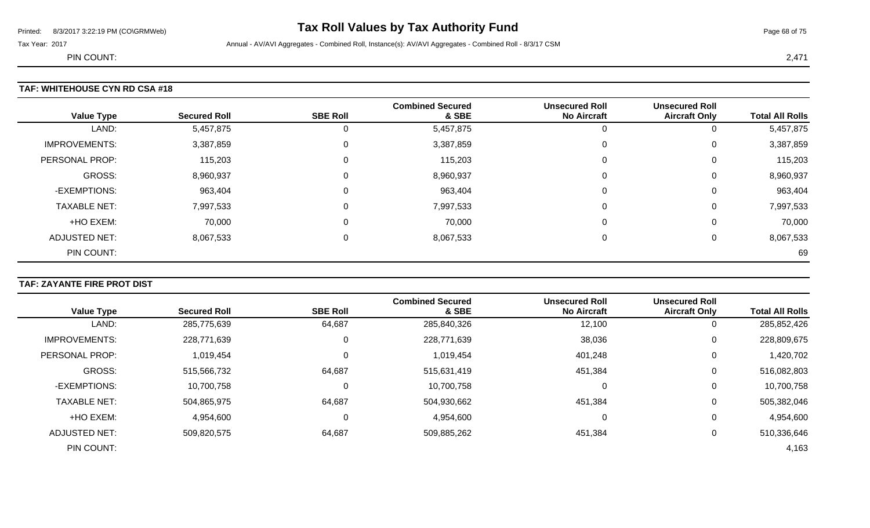# Printed: 8/3/2017 3:22:19 PM (CO\GRMWeb) **Tax Roll Values by Tax Authority Fund** Page 68 of 75

Tax Year: 2017 **Annual - AV/AVI Aggregates - Combined Roll**, Instance(s): AV/AVI Aggregates - Combined Roll - 8/3/17 CSM

PIN COUNT: 2,471

### **TAF: WHITEHOUSE CYN RD CSA #18**

| <b>Value Type</b>    | <b>Secured Roll</b> | <b>SBE Roll</b> | <b>Combined Secured</b><br>& SBE | <b>Unsecured Roll</b><br><b>No Aircraft</b> | <b>Unsecured Roll</b><br><b>Aircraft Only</b> | <b>Total All Rolls</b> |
|----------------------|---------------------|-----------------|----------------------------------|---------------------------------------------|-----------------------------------------------|------------------------|
| LAND:                | 5,457,875           | 0               | 5,457,875                        | U                                           | 0                                             | 5,457,875              |
| <b>IMPROVEMENTS:</b> | 3,387,859           | 0               | 3,387,859                        | 0                                           | 0                                             | 3,387,859              |
| PERSONAL PROP:       | 115,203             | 0               | 115,203                          | 0                                           | 0                                             | 115,203                |
| <b>GROSS:</b>        | 8,960,937           | 0               | 8,960,937                        | 0                                           | 0                                             | 8,960,937              |
| -EXEMPTIONS:         | 963,404             | 0               | 963,404                          | 0                                           | 0                                             | 963,404                |
| <b>TAXABLE NET:</b>  | 7,997,533           | 0               | 7,997,533                        | $\Omega$                                    | 0                                             | 7,997,533              |
| +HO EXEM:            | 70,000              | 0               | 70,000                           | $\Omega$                                    | 0                                             | 70,000                 |
| <b>ADJUSTED NET:</b> | 8,067,533           | 0               | 8,067,533                        | 0                                           | 0                                             | 8,067,533              |
| PIN COUNT:           |                     |                 |                                  |                                             |                                               | 69                     |

#### **TAF: ZAYANTE FIRE PROT DIST**

|                      |                     |                 | <b>Combined Secured</b> | <b>Unsecured Roll</b> | <b>Unsecured Roll</b> |                        |
|----------------------|---------------------|-----------------|-------------------------|-----------------------|-----------------------|------------------------|
| <b>Value Type</b>    | <b>Secured Roll</b> | <b>SBE Roll</b> | & SBE                   | <b>No Aircraft</b>    | <b>Aircraft Only</b>  | <b>Total All Rolls</b> |
| LAND:                | 285,775,639         | 64,687          | 285,840,326             | 12,100                | 0                     | 285,852,426            |
| <b>IMPROVEMENTS:</b> | 228,771,639         | 0               | 228,771,639             | 38,036                | 0                     | 228,809,675            |
| PERSONAL PROP:       | 1,019,454           |                 | 1,019,454               | 401,248               | 0                     | 1,420,702              |
| <b>GROSS:</b>        | 515,566,732         | 64,687          | 515,631,419             | 451,384               | 0                     | 516,082,803            |
| -EXEMPTIONS:         | 10,700,758          | 0               | 10,700,758              | $\Omega$              | 0                     | 10,700,758             |
| <b>TAXABLE NET:</b>  | 504,865,975         | 64,687          | 504,930,662             | 451,384               | 0                     | 505,382,046            |
| +HO EXEM:            | 4,954,600           | 0               | 4,954,600               | -0                    | 0                     | 4,954,600              |
| ADJUSTED NET:        | 509,820,575         | 64,687          | 509,885,262             | 451,384               | 0                     | 510,336,646            |
| PIN COUNT:           |                     |                 |                         |                       |                       | 4,163                  |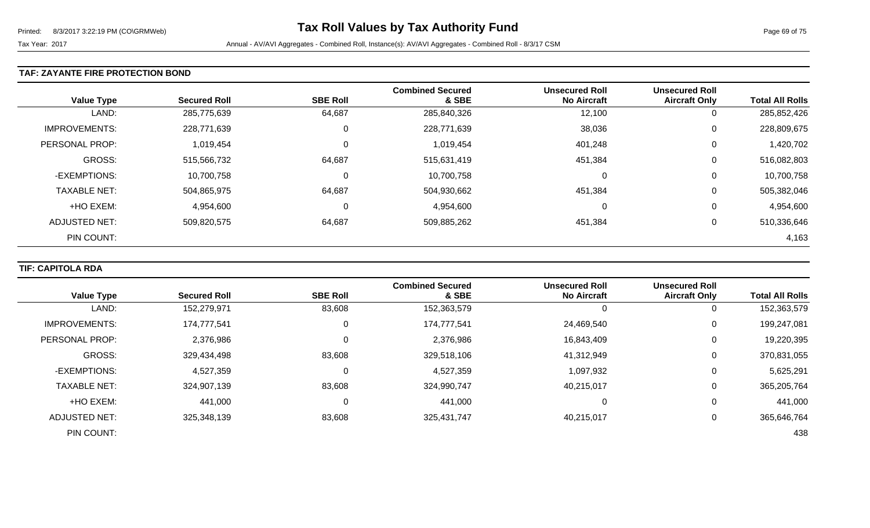#### **TAF: ZAYANTE FIRE PROTECTION BOND**

| <b>Value Type</b>    | <b>Secured Roll</b> | <b>SBE Roll</b> | <b>Combined Secured</b><br>& SBE | <b>Unsecured Roll</b><br><b>No Aircraft</b> | <b>Unsecured Roll</b><br><b>Aircraft Only</b> | <b>Total All Rolls</b> |
|----------------------|---------------------|-----------------|----------------------------------|---------------------------------------------|-----------------------------------------------|------------------------|
| LAND:                | 285,775,639         | 64,687          | 285,840,326                      | 12,100                                      | 0                                             | 285,852,426            |
| <b>IMPROVEMENTS:</b> | 228,771,639         | υ               | 228,771,639                      | 38,036                                      | 0                                             | 228,809,675            |
| PERSONAL PROP:       | 1,019,454           | υ               | 1,019,454                        | 401,248                                     | 0                                             | 1,420,702              |
| GROSS:               | 515,566,732         | 64,687          | 515,631,419                      | 451,384                                     | 0                                             | 516,082,803            |
| -EXEMPTIONS:         | 10,700,758          | υ               | 10,700,758                       |                                             | 0                                             | 10,700,758             |
| <b>TAXABLE NET:</b>  | 504,865,975         | 64,687          | 504,930,662                      | 451,384                                     | 0                                             | 505,382,046            |
| +HO EXEM:            | 4,954,600           | 0               | 4,954,600                        |                                             | 0                                             | 4,954,600              |
| ADJUSTED NET:        | 509,820,575         | 64,687          | 509,885,262                      | 451,384                                     | 0                                             | 510,336,646            |
| PIN COUNT:           |                     |                 |                                  |                                             |                                               | 4,163                  |

## **TIF: CAPITOLA RDA**

|                      |                     |                 | <b>Combined Secured</b> | <b>Unsecured Roll</b> | <b>Unsecured Roll</b> |                        |
|----------------------|---------------------|-----------------|-------------------------|-----------------------|-----------------------|------------------------|
| <b>Value Type</b>    | <b>Secured Roll</b> | <b>SBE Roll</b> | & SBE                   | <b>No Aircraft</b>    | <b>Aircraft Only</b>  | <b>Total All Rolls</b> |
| LAND:                | 152,279,971         | 83,608          | 152,363,579             | 0                     | U                     | 152,363,579            |
| <b>IMPROVEMENTS:</b> | 174,777,541         | 0               | 174,777,541             | 24,469,540            | 0                     | 199,247,081            |
| PERSONAL PROP:       | 2,376,986           | 0               | 2,376,986               | 16,843,409            | 0                     | 19,220,395             |
| <b>GROSS:</b>        | 329,434,498         | 83,608          | 329,518,106             | 41,312,949            | 0                     | 370,831,055            |
| -EXEMPTIONS:         | 4,527,359           | $\pmb{0}$       | 4,527,359               | 1,097,932             | 0                     | 5,625,291              |
| <b>TAXABLE NET:</b>  | 324,907,139         | 83,608          | 324,990,747             | 40,215,017            |                       | 365,205,764            |
| +HO EXEM:            | 441,000             | $\Omega$        | 441,000                 | 0                     | 0                     | 441,000                |
| ADJUSTED NET:        | 325,348,139         | 83,608          | 325,431,747             | 40,215,017            | 0                     | 365,646,764            |
| PIN COUNT:           |                     |                 |                         |                       |                       | 438                    |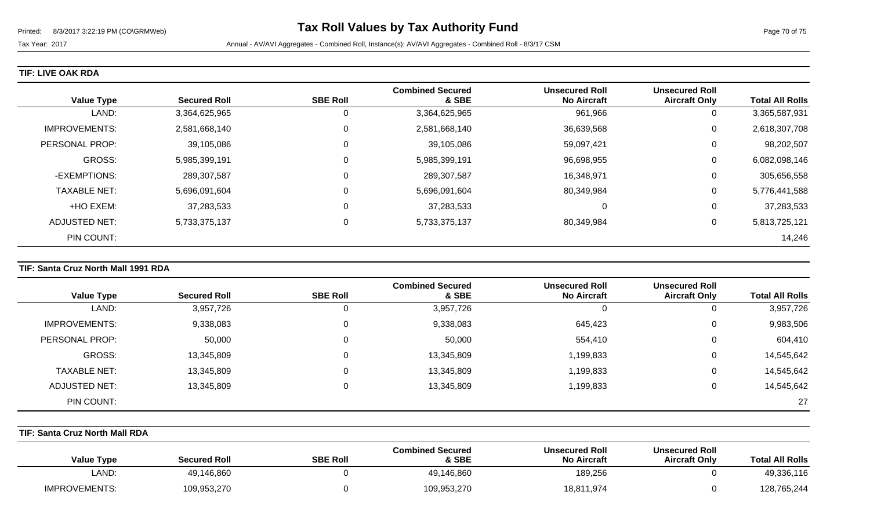#### **TIF: LIVE OAK RDA**

| <b>Value Type</b>    | <b>Secured Roll</b> | <b>SBE Roll</b> | <b>Combined Secured</b><br>& SBE | <b>Unsecured Roll</b><br><b>No Aircraft</b> | <b>Unsecured Roll</b><br><b>Aircraft Only</b> | <b>Total All Rolls</b> |
|----------------------|---------------------|-----------------|----------------------------------|---------------------------------------------|-----------------------------------------------|------------------------|
| LAND:                | 3,364,625,965       | 0               | 3,364,625,965                    | 961,966                                     | U                                             | 3,365,587,931          |
| <b>IMPROVEMENTS:</b> | 2,581,668,140       | 0               | 2,581,668,140                    | 36,639,568                                  | 0                                             | 2,618,307,708          |
| PERSONAL PROP:       | 39,105,086          | 0               | 39,105,086                       | 59,097,421                                  | U                                             | 98,202,507             |
| <b>GROSS:</b>        | 5,985,399,191       | 0               | 5,985,399,191                    | 96,698,955                                  | 0                                             | 6,082,098,146          |
| -EXEMPTIONS:         | 289,307,587         | $\mathbf 0$     | 289,307,587                      | 16,348,971                                  | U                                             | 305,656,558            |
| <b>TAXABLE NET:</b>  | 5,696,091,604       | 0               | 5,696,091,604                    | 80,349,984                                  | 0                                             | 5,776,441,588          |
| +HO EXEM:            | 37,283,533          | 0               | 37,283,533                       | 0                                           | U                                             | 37,283,533             |
| <b>ADJUSTED NET:</b> | 5,733,375,137       | 0               | 5,733,375,137                    | 80,349,984                                  | U                                             | 5,813,725,121          |
| PIN COUNT:           |                     |                 |                                  |                                             |                                               | 14,246                 |

#### **TIF: Santa Cruz North Mall 1991 RDA**

|                      |                     |                 | <b>Combined Secured</b> | <b>Unsecured Roll</b> | <b>Unsecured Roll</b> |                        |
|----------------------|---------------------|-----------------|-------------------------|-----------------------|-----------------------|------------------------|
| <b>Value Type</b>    | <b>Secured Roll</b> | <b>SBE Roll</b> | & SBE                   | <b>No Aircraft</b>    | <b>Aircraft Only</b>  | <b>Total All Rolls</b> |
| LAND:                | 3,957,726           |                 | 3,957,726               | 0                     |                       | 3,957,726              |
| <b>IMPROVEMENTS:</b> | 9,338,083           | 0               | 9,338,083               | 645,423               | 0                     | 9,983,506              |
| PERSONAL PROP:       | 50,000              |                 | 50,000                  | 554,410               | 0                     | 604,410                |
| GROSS:               | 13,345,809          |                 | 13,345,809              | 1,199,833             | 0                     | 14,545,642             |
| <b>TAXABLE NET:</b>  | 13,345,809          |                 | 13,345,809              | 1,199,833             | 0                     | 14,545,642             |
| ADJUSTED NET:        | 13,345,809          |                 | 13,345,809              | 1,199,833             | 0                     | 14,545,642             |
| PIN COUNT:           |                     |                 |                         |                       |                       | 27                     |

## **TIF: Santa Cruz North Mall RDA**

| <b>Value Type</b>    | <b>Secured Roll</b> | <b>SBE Roll</b> | <b>Combined Secured</b><br>& SBE | <b>Unsecured Roll</b><br><b>No Aircraft</b> | <b>Unsecured Roll</b><br><b>Aircraft Only</b> | <b>Total All Rolls</b> |
|----------------------|---------------------|-----------------|----------------------------------|---------------------------------------------|-----------------------------------------------|------------------------|
| ∟AND:                | 49,146,860          |                 | 49,146,860                       | 189,256                                     |                                               | 49,336,116             |
| <b>IMPROVEMENTS:</b> | 109,953,270         |                 | 109,953,270                      | 18,811,974                                  |                                               | 128,765,244            |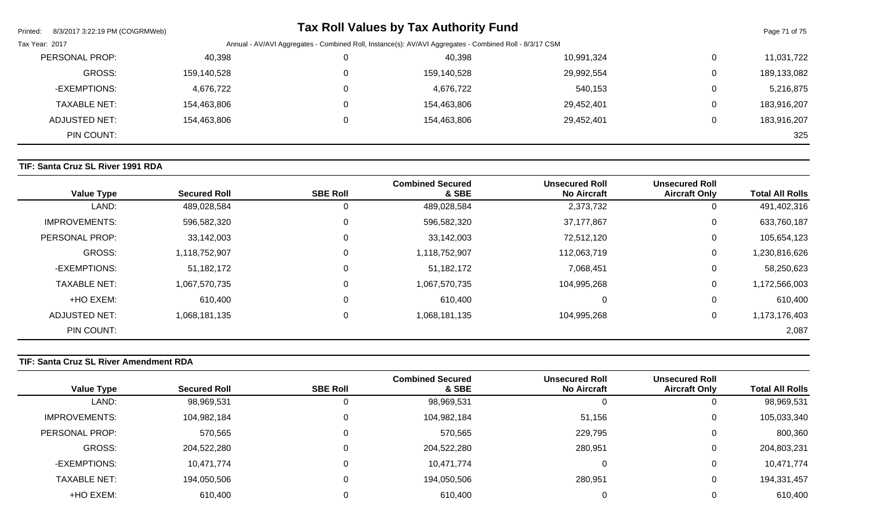| 8/3/2017 3:22:19 PM (CO\GRMWeb)<br>Printed: |             |                                                                                                         | <b>Tax Roll Values by Tax Authority Fund</b> |            |              | Page 71 of 75 |  |
|---------------------------------------------|-------------|---------------------------------------------------------------------------------------------------------|----------------------------------------------|------------|--------------|---------------|--|
| Tax Year: 2017                              |             | Annual - AV/AVI Aggregates - Combined Roll, Instance(s): AV/AVI Aggregates - Combined Roll - 8/3/17 CSM |                                              |            |              |               |  |
| PERSONAL PROP:                              | 40,398      |                                                                                                         | 40,398                                       | 10,991,324 | 0            | 11,031,722    |  |
| GROSS:                                      | 159,140,528 |                                                                                                         | 159,140,528                                  | 29,992,554 | 0            | 189,133,082   |  |
| -EXEMPTIONS:                                | 4,676,722   |                                                                                                         | 4,676,722                                    | 540,153    | $\mathbf{0}$ | 5,216,875     |  |
| <b>TAXABLE NET:</b>                         | 154,463,806 |                                                                                                         | 154,463,806                                  | 29,452,401 | 0            | 183,916,207   |  |
| ADJUSTED NET:                               | 154,463,806 |                                                                                                         | 154,463,806                                  | 29,452,401 | 0            | 183,916,207   |  |
| PIN COUNT:                                  |             |                                                                                                         |                                              |            |              | 325           |  |

# **TIF: Santa Cruz SL River 1991 RDA**

| <b>Value Type</b>    | <b>Secured Roll</b> | <b>SBE Roll</b> | <b>Combined Secured</b><br>& SBE | <b>Unsecured Roll</b><br><b>No Aircraft</b> | <b>Unsecured Roll</b><br><b>Aircraft Only</b> | <b>Total All Rolls</b> |
|----------------------|---------------------|-----------------|----------------------------------|---------------------------------------------|-----------------------------------------------|------------------------|
| LAND:                | 489,028,584         | 0               | 489,028,584                      | 2,373,732                                   | 0                                             | 491,402,316            |
| <b>IMPROVEMENTS:</b> | 596,582,320         | 0               | 596,582,320                      | 37,177,867                                  | $\overline{0}$                                | 633,760,187            |
| PERSONAL PROP:       | 33,142,003          | 0               | 33,142,003                       | 72,512,120                                  | 0                                             | 105,654,123            |
| <b>GROSS:</b>        | 1,118,752,907       | 0               | 1,118,752,907                    | 112,063,719                                 | $\mathbf 0$                                   | 1,230,816,626          |
| -EXEMPTIONS:         | 51,182,172          | 0               | 51,182,172                       | 7,068,451                                   | 0                                             | 58,250,623             |
| <b>TAXABLE NET:</b>  | 1,067,570,735       | 0               | 1,067,570,735                    | 104,995,268                                 | $\mathbf 0$                                   | 1,172,566,003          |
| +HO EXEM:            | 610,400             | 0               | 610,400                          |                                             | 0                                             | 610,400                |
| ADJUSTED NET:        | 1,068,181,135       | 0               | 1,068,181,135                    | 104,995,268                                 | $\mathbf 0$                                   | 1,173,176,403          |
| PIN COUNT:           |                     |                 |                                  |                                             |                                               | 2,087                  |

## **TIF: Santa Cruz SL River Amendment RDA**

| <b>Value Type</b>   | <b>Secured Roll</b> | <b>SBE Roll</b> | <b>Combined Secured</b><br>& SBE | <b>Unsecured Roll</b><br><b>No Aircraft</b> | <b>Unsecured Roll</b><br><b>Aircraft Only</b> | <b>Total All Rolls</b> |
|---------------------|---------------------|-----------------|----------------------------------|---------------------------------------------|-----------------------------------------------|------------------------|
| LAND:               | 98,969,531          |                 | 98,969,531                       |                                             | 0                                             | 98,969,531             |
| IMPROVEMENTS:       | 104,982,184         |                 | 104,982,184                      | 51,156                                      | 0                                             | 105,033,340            |
| PERSONAL PROP:      | 570,565             |                 | 570,565                          | 229,795                                     | $\mathbf{0}$                                  | 800,360                |
| GROSS:              | 204,522,280         |                 | 204,522,280                      | 280,951                                     | 0                                             | 204,803,231            |
| -EXEMPTIONS:        | 10,471,774          |                 | 10,471,774                       |                                             | 0                                             | 10,471,774             |
| <b>TAXABLE NET:</b> | 194,050,506         |                 | 194,050,506                      | 280,951                                     | 0                                             | 194,331,457            |
| +HO EXEM:           | 610,400             |                 | 610,400                          |                                             | 0                                             | 610,400                |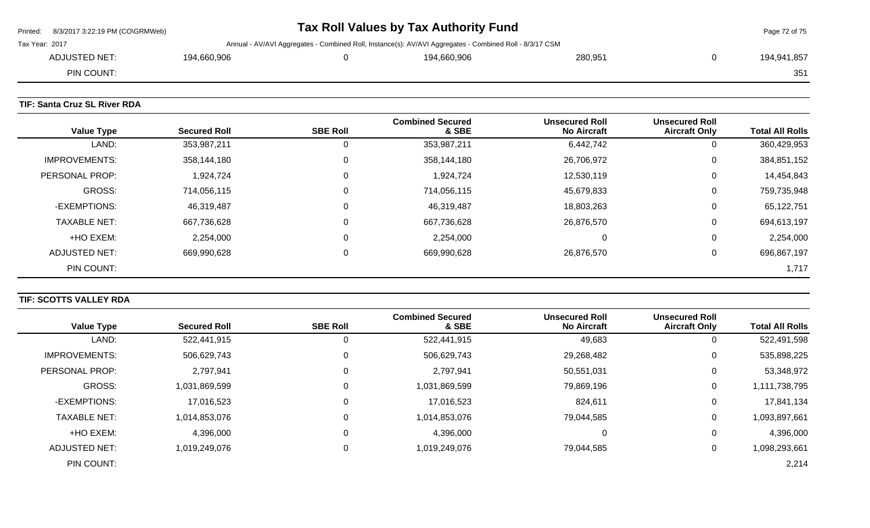| Printed: 8/3/2017 3:22:19 PM (CO\GRMWeb)                                                                                  | Tax Roll Values by Tax Authority Fund |  |             |         |  | Page 72 of 75 |
|---------------------------------------------------------------------------------------------------------------------------|---------------------------------------|--|-------------|---------|--|---------------|
| Tax Year: 2017<br>Annual - AV/AVI Aggregates - Combined Roll, Instance(s): AV/AVI Aggregates - Combined Roll - 8/3/17 CSM |                                       |  |             |         |  |               |
| ADJUSTED NET:                                                                                                             | 194,660,906                           |  | 194.660.906 | 280,951 |  | 194,941,857   |
| PIN COUNT:                                                                                                                |                                       |  |             |         |  | 351           |
|                                                                                                                           |                                       |  |             |         |  |               |

## **TIF: Santa Cruz SL River RDA**

| <b>Value Type</b>    | <b>Secured Roll</b> | <b>SBE Roll</b> | <b>Combined Secured</b><br>& SBE | <b>Unsecured Roll</b><br><b>No Aircraft</b> | <b>Unsecured Roll</b><br><b>Aircraft Only</b> | <b>Total All Rolls</b> |
|----------------------|---------------------|-----------------|----------------------------------|---------------------------------------------|-----------------------------------------------|------------------------|
| LAND:                | 353,987,211         | 0               | 353,987,211                      | 6,442,742                                   | υ                                             | 360,429,953            |
| <b>IMPROVEMENTS:</b> | 358,144,180         | $\mathbf 0$     | 358,144,180                      | 26,706,972                                  | U                                             | 384,851,152            |
| PERSONAL PROP:       | 1,924,724           | 0               | 1,924,724                        | 12,530,119                                  | U                                             | 14,454,843             |
| <b>GROSS:</b>        | 714,056,115         | 0               | 714,056,115                      | 45,679,833                                  | U                                             | 759,735,948            |
| -EXEMPTIONS:         | 46,319,487          | $\Omega$        | 46,319,487                       | 18,803,263                                  | U                                             | 65,122,751             |
| <b>TAXABLE NET:</b>  | 667,736,628         | $\mathbf 0$     | 667,736,628                      | 26,876,570                                  | 0                                             | 694,613,197            |
| +HO EXEM:            | 2,254,000           | 0               | 2,254,000                        | 0                                           | 0                                             | 2,254,000              |
| ADJUSTED NET:        | 669,990,628         | 0               | 669,990,628                      | 26,876,570                                  | U                                             | 696,867,197            |
| PIN COUNT:           |                     |                 |                                  |                                             |                                               | 1,717                  |

# **TIF: SCOTTS VALLEY RDA**

|                      |                     |                 | <b>Combined Secured</b> | <b>Unsecured Roll</b> | <b>Unsecured Roll</b> |                        |
|----------------------|---------------------|-----------------|-------------------------|-----------------------|-----------------------|------------------------|
| <b>Value Type</b>    | <b>Secured Roll</b> | <b>SBE Roll</b> | & SBE                   | <b>No Aircraft</b>    | <b>Aircraft Only</b>  | <b>Total All Rolls</b> |
| LAND:                | 522,441,915         | 0               | 522,441,915             | 49,683                | 0                     | 522,491,598            |
| <b>IMPROVEMENTS:</b> | 506,629,743         | 0               | 506,629,743             | 29,268,482            | 0                     | 535,898,225            |
| PERSONAL PROP:       | 2,797,941           | 0               | 2,797,941               | 50,551,031            | 0                     | 53,348,972             |
| <b>GROSS:</b>        | 1,031,869,599       | 0               | 1,031,869,599           | 79,869,196            | 0                     | 1,111,738,795          |
| -EXEMPTIONS:         | 17,016,523          | 0               | 17,016,523              | 824,611               | 0                     | 17,841,134             |
| <b>TAXABLE NET:</b>  | 1,014,853,076       | $\Omega$        | 1,014,853,076           | 79,044,585            | 0                     | 1,093,897,661          |
| +HO EXEM:            | 4,396,000           | 0               | 4,396,000               | 0                     | 0                     | 4,396,000              |
| <b>ADJUSTED NET:</b> | 1,019,249,076       | 0               | 1,019,249,076           | 79,044,585            | 0                     | 1,098,293,661          |
| PIN COUNT:           |                     |                 |                         |                       |                       | 2,214                  |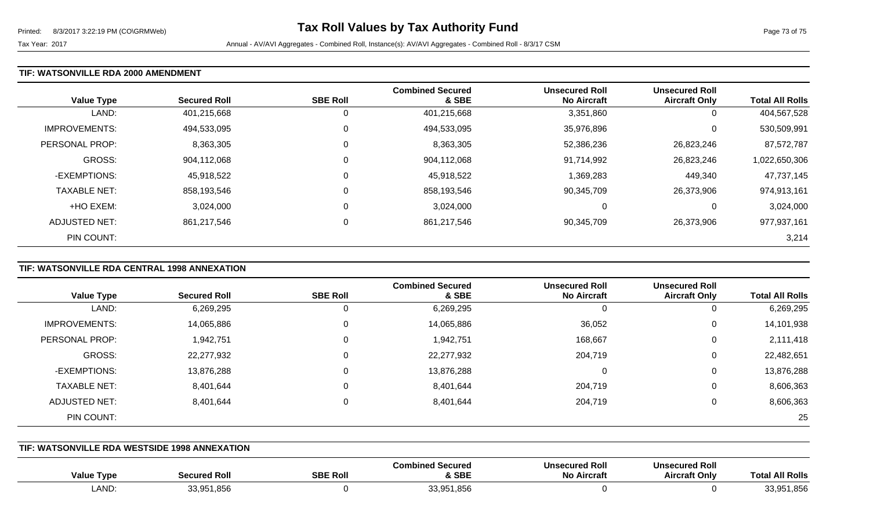Tax Year: 2017 **Annual - AV/AVI Aggregates - Combined Roll**, Instance(s): AV/AVI Aggregates - Combined Roll - 8/3/17 CSM

### **TIF: WATSONVILLE RDA 2000 AMENDMENT**

| <b>Value Type</b>    | <b>Secured Roll</b> | <b>SBE Roll</b> | <b>Combined Secured</b><br>& SBE | <b>Unsecured Roll</b><br><b>No Aircraft</b> | <b>Unsecured Roll</b><br><b>Aircraft Only</b> | <b>Total All Rolls</b> |
|----------------------|---------------------|-----------------|----------------------------------|---------------------------------------------|-----------------------------------------------|------------------------|
| LAND:                | 401,215,668         | 0               | 401,215,668                      | 3,351,860                                   | 0                                             | 404,567,528            |
| <b>IMPROVEMENTS:</b> | 494,533,095         | 0               | 494,533,095                      | 35,976,896                                  | 0                                             | 530,509,991            |
| PERSONAL PROP:       | 8,363,305           | 0               | 8,363,305                        | 52,386,236                                  | 26,823,246                                    | 87,572,787             |
| GROSS:               | 904,112,068         | 0               | 904,112,068                      | 91,714,992                                  | 26,823,246                                    | 1,022,650,306          |
| -EXEMPTIONS:         | 45,918,522          | 0               | 45,918,522                       | 1,369,283                                   | 449,340                                       | 47,737,145             |
| <b>TAXABLE NET:</b>  | 858,193,546         | 0               | 858,193,546                      | 90,345,709                                  | 26,373,906                                    | 974,913,161            |
| +HO EXEM:            | 3,024,000           | 0               | 3,024,000                        | 0                                           | 0                                             | 3,024,000              |
| ADJUSTED NET:        | 861,217,546         | 0               | 861,217,546                      | 90,345,709                                  | 26,373,906                                    | 977,937,161            |
| PIN COUNT:           |                     |                 |                                  |                                             |                                               | 3,214                  |

# **TIF: WATSONVILLE RDA CENTRAL 1998 ANNEXATION**

|                      |                     |                 | <b>Combined Secured</b> | <b>Unsecured Roll</b> | <b>Unsecured Roll</b> |                        |
|----------------------|---------------------|-----------------|-------------------------|-----------------------|-----------------------|------------------------|
| <b>Value Type</b>    | <b>Secured Roll</b> | <b>SBE Roll</b> | & SBE                   | <b>No Aircraft</b>    | <b>Aircraft Only</b>  | <b>Total All Rolls</b> |
| LAND:                | 6,269,295           | U               | 6,269,295               |                       | 0                     | 6,269,295              |
| <b>IMPROVEMENTS:</b> | 14,065,886          | 0               | 14,065,886              | 36,052                | 0                     | 14,101,938             |
| PERSONAL PROP:       | 1,942,751           | 0               | 1,942,751               | 168,667               | 0                     | 2,111,418              |
| GROSS:               | 22,277,932          | 0               | 22,277,932              | 204,719               | 0                     | 22,482,651             |
| -EXEMPTIONS:         | 13,876,288          | 0               | 13,876,288              |                       | 0                     | 13,876,288             |
| <b>TAXABLE NET:</b>  | 8,401,644           | 0               | 8,401,644               | 204,719               | 0                     | 8,606,363              |
| ADJUSTED NET:        | 8,401,644           | 0               | 8,401,644               | 204,719               | 0                     | 8,606,363              |
| PIN COUNT:           |                     |                 |                         |                       |                       | 25                     |

#### **TIF: WATSONVILLE RDA WESTSIDE 1998 ANNEXATION**

| Value<br>Tvpe | <b>Secured Roll</b>             | <b>SBE Roll</b> | ed Secured<br>∴ombined<br>& SBE | <b>Unsecured Roll</b><br>No<br>⊦ Aircrafı | <b>Unsecured Roll</b><br><b>Aircraft Only</b> | <b>All Rolls</b><br>Total |
|---------------|---------------------------------|-----------------|---------------------------------|-------------------------------------------|-----------------------------------------------|---------------------------|
| <b>LAND</b>   | 1,856<br><b>22 051</b><br>uu.uu |                 | 33.951<br>,856                  |                                           |                                               | 33,951,856                |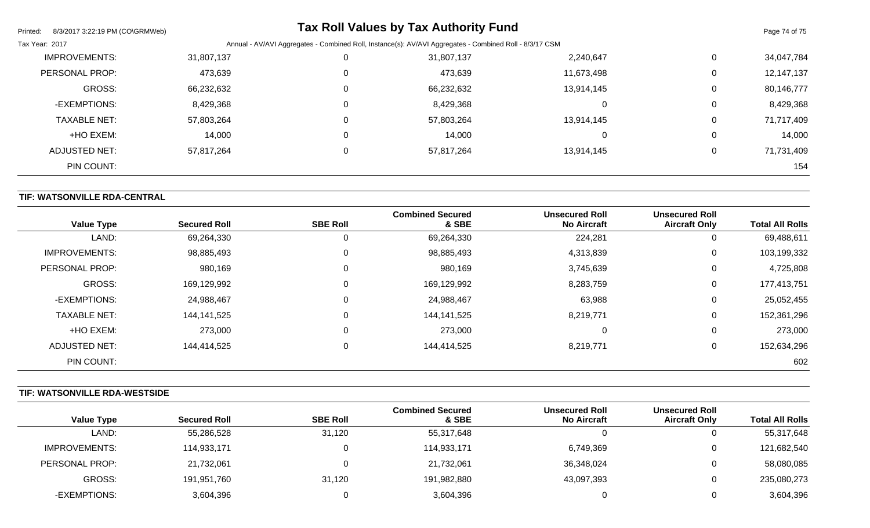| Printed:<br>8/3/2017 3:22:19 PM (CO\GRMWeb) |            |          | <b>Tax Roll Values by Tax Authority Fund</b>                                                            |            |             | Page 74 of 75 |
|---------------------------------------------|------------|----------|---------------------------------------------------------------------------------------------------------|------------|-------------|---------------|
| Tax Year: 2017                              |            |          | Annual - AV/AVI Aggregates - Combined Roll, Instance(s): AV/AVI Aggregates - Combined Roll - 8/3/17 CSM |            |             |               |
| <b>IMPROVEMENTS:</b>                        | 31,807,137 |          | 31,807,137                                                                                              | 2,240,647  | $\mathbf 0$ | 34,047,784    |
| PERSONAL PROP:                              | 473,639    | $\Omega$ | 473,639                                                                                                 | 11,673,498 | 0           | 12,147,137    |
| <b>GROSS:</b>                               | 66,232,632 | $\Omega$ | 66,232,632                                                                                              | 13,914,145 | 0           | 80,146,777    |
| -EXEMPTIONS:                                | 8,429,368  | $\Omega$ | 8,429,368                                                                                               | 0          | 0           | 8,429,368     |
| <b>TAXABLE NET:</b>                         | 57,803,264 | $\Omega$ | 57,803,264                                                                                              | 13,914,145 | 0           | 71,717,409    |
| +HO EXEM:                                   | 14,000     | $\Omega$ | 14,000                                                                                                  | 0          | 0           | 14,000        |
| <b>ADJUSTED NET:</b>                        | 57,817,264 |          | 57,817,264                                                                                              | 13,914,145 | $\mathbf 0$ | 71,731,409    |
| PIN COUNT:                                  |            |          |                                                                                                         |            |             | 154           |

## **TIF: WATSONVILLE RDA-CENTRAL**

| <b>Value Type</b>    | <b>Secured Roll</b> | <b>SBE Roll</b> | <b>Combined Secured</b><br>& SBE | <b>Unsecured Roll</b><br><b>No Aircraft</b> | <b>Unsecured Roll</b><br><b>Aircraft Only</b> | <b>Total All Rolls</b> |
|----------------------|---------------------|-----------------|----------------------------------|---------------------------------------------|-----------------------------------------------|------------------------|
| LAND:                | 69,264,330          |                 |                                  | 224,281                                     |                                               | 69,488,611             |
|                      |                     | 0               | 69,264,330                       |                                             | υ                                             |                        |
| <b>IMPROVEMENTS:</b> | 98,885,493          | $\mathbf 0$     | 98,885,493                       | 4,313,839                                   | U                                             | 103,199,332            |
| PERSONAL PROP:       | 980,169             | 0               | 980,169                          | 3,745,639                                   | 0                                             | 4,725,808              |
| <b>GROSS:</b>        | 169,129,992         | $\mathbf 0$     | 169,129,992                      | 8,283,759                                   | 0                                             | 177,413,751            |
| -EXEMPTIONS:         | 24,988,467          | $\mathbf 0$     | 24,988,467                       | 63,988                                      | 0                                             | 25,052,455             |
| <b>TAXABLE NET:</b>  | 144,141,525         | $\mathbf 0$     | 144,141,525                      | 8,219,771                                   | 0                                             | 152,361,296            |
| +HO EXEM:            | 273,000             | 0               | 273,000                          | $\Omega$                                    | 0                                             | 273,000                |
| ADJUSTED NET:        | 144,414,525         | 0               | 144,414,525                      | 8,219,771                                   | 0                                             | 152,634,296            |
| PIN COUNT:           |                     |                 |                                  |                                             |                                               | 602                    |

# **TIF: WATSONVILLE RDA-WESTSIDE**

|                      |                     |                 | <b>Combined Secured</b> | <b>Unsecured Roll</b> | <b>Unsecured Roll</b> |                        |
|----------------------|---------------------|-----------------|-------------------------|-----------------------|-----------------------|------------------------|
| <b>Value Type</b>    | <b>Secured Roll</b> | <b>SBE Roll</b> | & SBE                   | <b>No Aircraft</b>    | <b>Aircraft Only</b>  | <b>Total All Rolls</b> |
| LAND:                | 55,286,528          | 31,120          | 55,317,648              |                       | υ                     | 55,317,648             |
| <b>IMPROVEMENTS:</b> | 114,933,171         |                 | 114,933,171             | 6,749,369             | 0                     | 121,682,540            |
| PERSONAL PROP:       | 21,732,061          |                 | 21,732,061              | 36,348,024            | O                     | 58,080,085             |
| GROSS:               | 191,951,760         | 31,120          | 191,982,880             | 43,097,393            | 0                     | 235,080,273            |
| -EXEMPTIONS:         | 3,604,396           |                 | 3,604,396               |                       | 0                     | 3,604,396              |